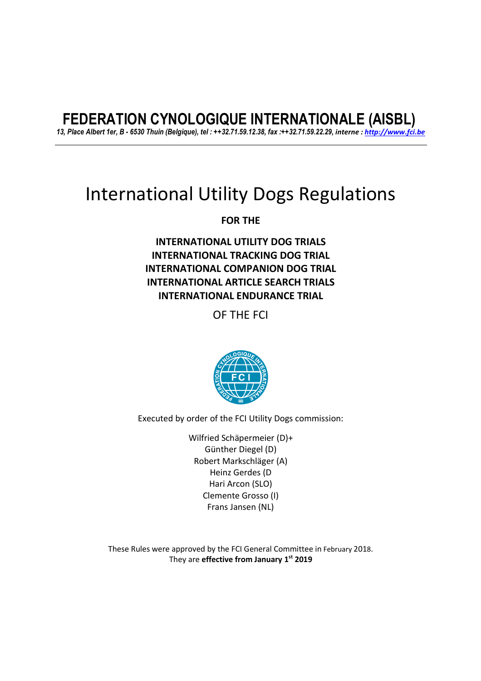# **FEDERATION CYNOLOGIQUE INTERNATIONALE (AISBL)**

*13, Place Albert 1er, B - 6530 Thuin (Belgique), tel : ++32.71.59.12.38, fax :++32.71.59.22.29, interne : http://www.fci.be*

# International Utility Dogs Regulations

**FOR THE** 

**INTERNATIONAL UTILITY DOG TRIALS INTERNATIONAL TRACKING DOG TRIAL INTERNATIONAL COMPANION DOG TRIAL INTERNATIONAL ARTICLE SEARCH TRIALS INTERNATIONAL ENDURANCE TRIAL** 

OF THE FCI



Executed by order of the FCI Utility Dogs commission:

Wilfried Schäpermeier (D)+ Günther Diegel (D) Robert Markschläger (A) Heinz Gerdes (D Hari Arcon (SLO) Clemente Grosso (I) Frans Jansen (NL)

These Rules were approved by the FCI General Committee in February 2018. They are **effective from January 1st 2019**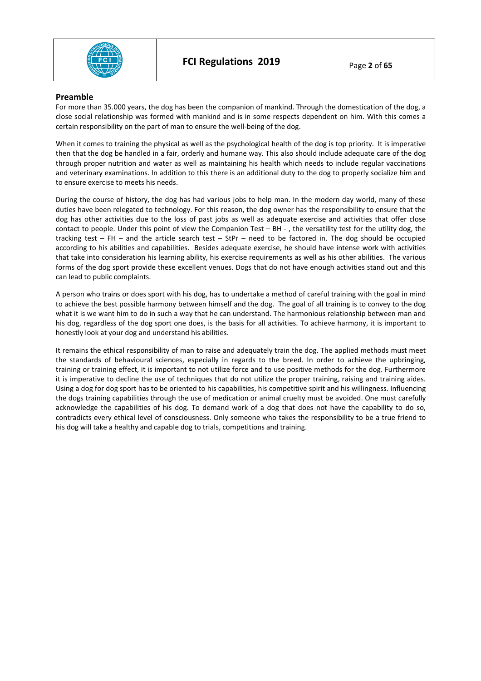

## **Preamble**

For more than 35.000 years, the dog has been the companion of mankind. Through the domestication of the dog, a close social relationship was formed with mankind and is in some respects dependent on him. With this comes a certain responsibility on the part of man to ensure the well-being of the dog.

When it comes to training the physical as well as the psychological health of the dog is top priority. It is imperative then that the dog be handled in a fair, orderly and humane way. This also should include adequate care of the dog through proper nutrition and water as well as maintaining his health which needs to include regular vaccinations and veterinary examinations. In addition to this there is an additional duty to the dog to properly socialize him and to ensure exercise to meets his needs.

During the course of history, the dog has had various jobs to help man. In the modern day world, many of these duties have been relegated to technology. For this reason, the dog owner has the responsibility to ensure that the dog has other activities due to the loss of past jobs as well as adequate exercise and activities that offer close contact to people. Under this point of view the Companion Test – BH - , the versatility test for the utility dog, the tracking test – FH – and the article search test – StPr – need to be factored in. The dog should be occupied according to his abilities and capabilities. Besides adequate exercise, he should have intense work with activities that take into consideration his learning ability, his exercise requirements as well as his other abilities. The various forms of the dog sport provide these excellent venues. Dogs that do not have enough activities stand out and this can lead to public complaints.

A person who trains or does sport with his dog, has to undertake a method of careful training with the goal in mind to achieve the best possible harmony between himself and the dog. The goal of all training is to convey to the dog what it is we want him to do in such a way that he can understand. The harmonious relationship between man and his dog, regardless of the dog sport one does, is the basis for all activities. To achieve harmony, it is important to honestly look at your dog and understand his abilities.

It remains the ethical responsibility of man to raise and adequately train the dog. The applied methods must meet the standards of behavioural sciences, especially in regards to the breed. In order to achieve the upbringing, training or training effect, it is important to not utilize force and to use positive methods for the dog. Furthermore it is imperative to decline the use of techniques that do not utilize the proper training, raising and training aides. Using a dog for dog sport has to be oriented to his capabilities, his competitive spirit and his willingness. Influencing the dogs training capabilities through the use of medication or animal cruelty must be avoided. One must carefully acknowledge the capabilities of his dog. To demand work of a dog that does not have the capability to do so, contradicts every ethical level of consciousness. Only someone who takes the responsibility to be a true friend to his dog will take a healthy and capable dog to trials, competitions and training.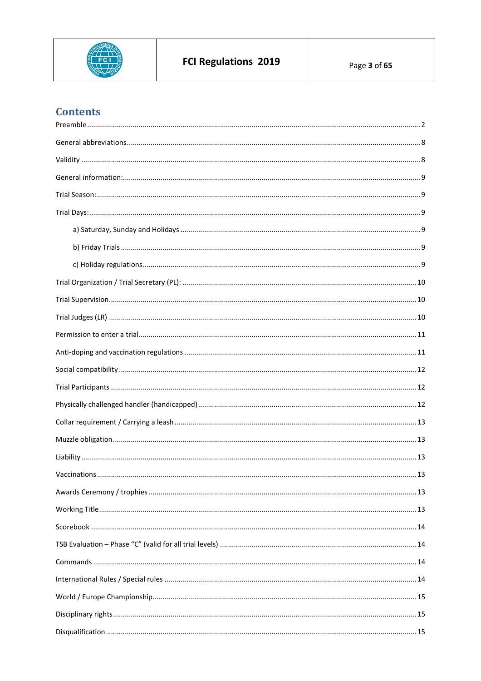

# **Contents**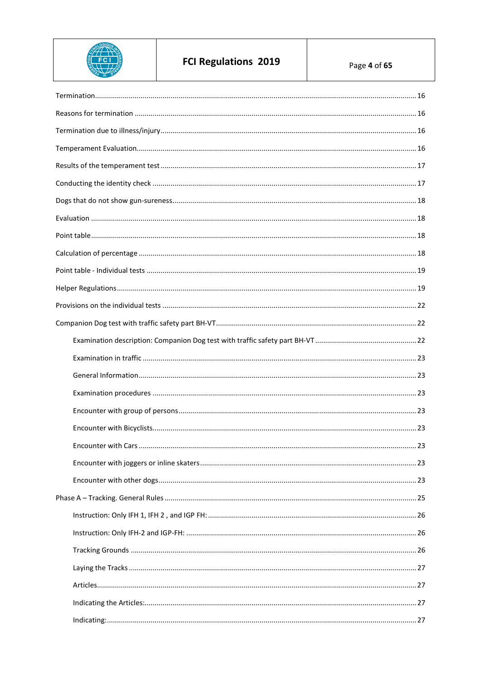

# FCI Regulations 2019

Page 4 of 65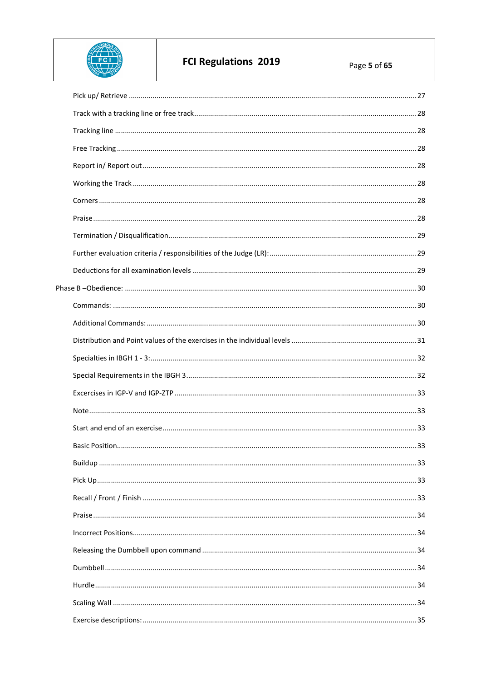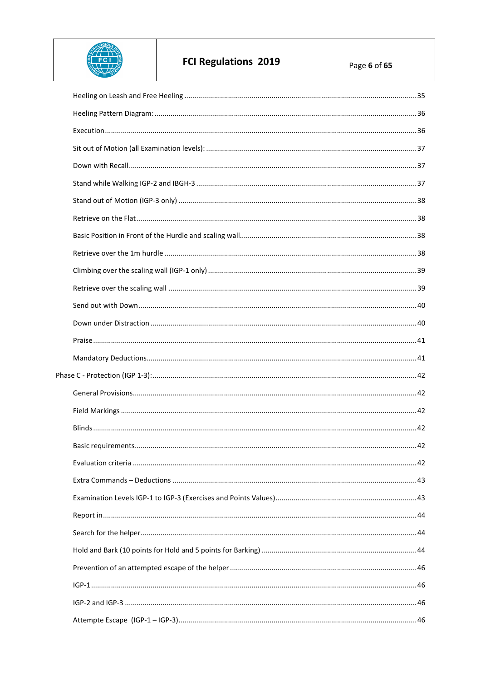

# FCI Regulations 2019

Page 6 of 65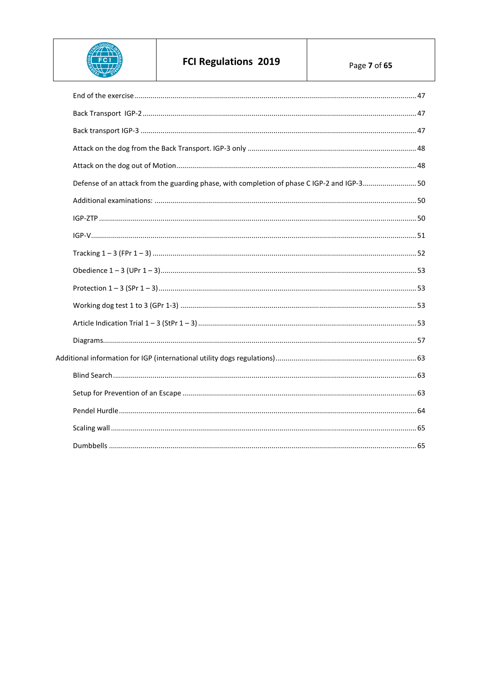

# FCI Regulations 2019

| Defense of an attack from the guarding phase, with completion of phase C IGP-2 and IGP-3 50 |  |
|---------------------------------------------------------------------------------------------|--|
|                                                                                             |  |
|                                                                                             |  |
|                                                                                             |  |
|                                                                                             |  |
|                                                                                             |  |
|                                                                                             |  |
|                                                                                             |  |
|                                                                                             |  |
|                                                                                             |  |
|                                                                                             |  |
|                                                                                             |  |
|                                                                                             |  |
|                                                                                             |  |
|                                                                                             |  |
|                                                                                             |  |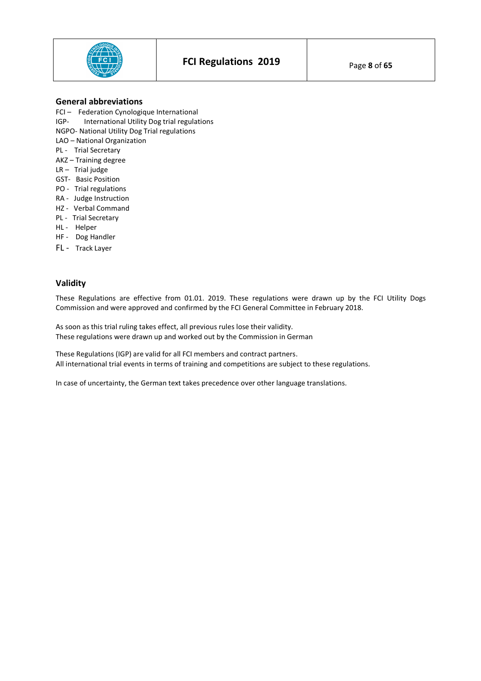

# **General abbreviations**

- FCI Federation Cynologique International
- IGP- International Utility Dog trial regulations
- NGPO- National Utility Dog Trial regulations
- LAO National Organization
- PL Trial Secretary
- AKZ Training degree
- LR Trial judge
- GST- Basic Position
- PO Trial regulations
- RA Judge Instruction
- HZ Verbal Command
- PL Trial Secretary
- HL Helper
- HF Dog Handler
- FL Track Layer

# **Validity**

These Regulations are effective from 01.01. 2019. These regulations were drawn up by the FCI Utility Dogs Commission and were approved and confirmed by the FCI General Committee in February 2018.

As soon as this trial ruling takes effect, all previous rules lose their validity. These regulations were drawn up and worked out by the Commission in German

These Regulations (IGP) are valid for all FCI members and contract partners. All international trial events in terms of training and competitions are subject to these regulations.

In case of uncertainty, the German text takes precedence over other language translations.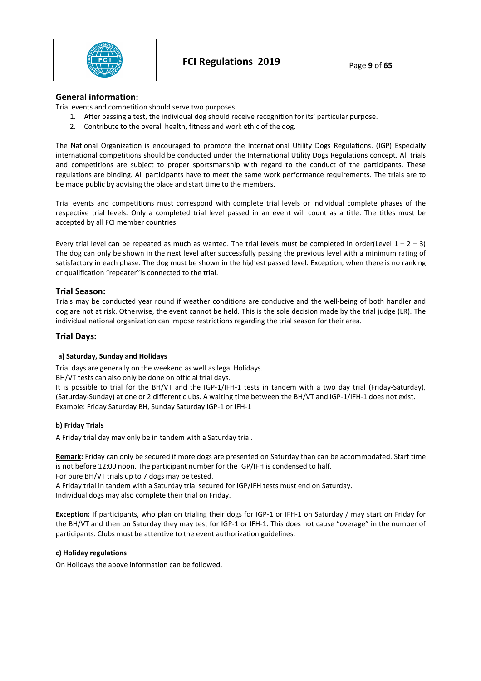

# **General information:**

Trial events and competition should serve two purposes.

- 1. After passing a test, the individual dog should receive recognition for its' particular purpose.
- 2. Contribute to the overall health, fitness and work ethic of the dog.

The National Organization is encouraged to promote the International Utility Dogs Regulations. (IGP) Especially international competitions should be conducted under the International Utility Dogs Regulations concept. All trials and competitions are subject to proper sportsmanship with regard to the conduct of the participants. These regulations are binding. All participants have to meet the same work performance requirements. The trials are to be made public by advising the place and start time to the members.

Trial events and competitions must correspond with complete trial levels or individual complete phases of the respective trial levels. Only a completed trial level passed in an event will count as a title. The titles must be accepted by all FCI member countries.

Every trial level can be repeated as much as wanted. The trial levels must be completed in order(Level  $1 - 2 - 3$ ) The dog can only be shown in the next level after successfully passing the previous level with a minimum rating of satisfactory in each phase. The dog must be shown in the highest passed level. Exception, when there is no ranking or qualification "repeater"is connected to the trial.

# **Trial Season:**

Trials may be conducted year round if weather conditions are conducive and the well-being of both handler and dog are not at risk. Otherwise, the event cannot be held. This is the sole decision made by the trial judge (LR). The individual national organization can impose restrictions regarding the trial season for their area.

# **Trial Days:**

## **a) Saturday, Sunday and Holidays**

Trial days are generally on the weekend as well as legal Holidays.

BH/VT tests can also only be done on official trial days.

It is possible to trial for the BH/VT and the IGP-1/IFH-1 tests in tandem with a two day trial (Friday-Saturday), (Saturday-Sunday) at one or 2 different clubs. A waiting time between the BH/VT and IGP-1/IFH-1 does not exist. Example: Friday Saturday BH, Sunday Saturday IGP-1 or IFH-1

## **b) Friday Trials**

A Friday trial day may only be in tandem with a Saturday trial.

**Remark:** Friday can only be secured if more dogs are presented on Saturday than can be accommodated. Start time is not before 12:00 noon. The participant number for the IGP/IFH is condensed to half.

For pure BH/VT trials up to 7 dogs may be tested.

A Friday trial in tandem with a Saturday trial secured for IGP/IFH tests must end on Saturday. Individual dogs may also complete their trial on Friday.

**Exception:** If participants, who plan on trialing their dogs for IGP-1 or IFH-1 on Saturday / may start on Friday for the BH/VT and then on Saturday they may test for IGP-1 or IFH-1. This does not cause "overage" in the number of participants. Clubs must be attentive to the event authorization guidelines.

## **c) Holiday regulations**

On Holidays the above information can be followed.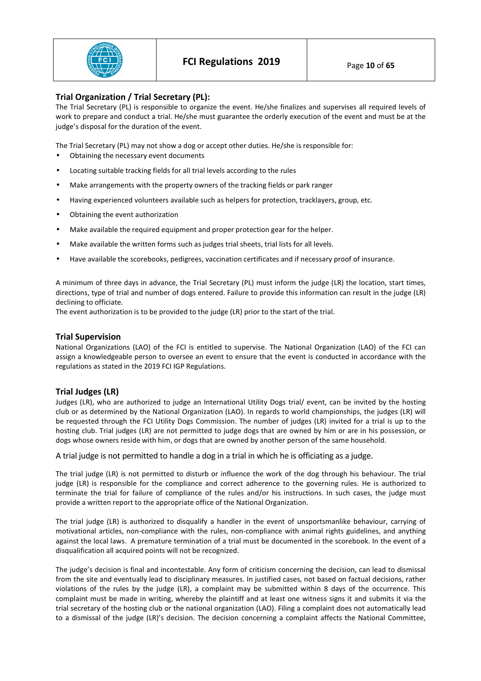

# **Trial Organization / Trial Secretary (PL):**

The Trial Secretary (PL) is responsible to organize the event. He/she finalizes and supervises all required levels of work to prepare and conduct a trial. He/she must guarantee the orderly execution of the event and must be at the judge's disposal for the duration of the event.

The Trial Secretary (PL) may not show a dog or accept other duties. He/she is responsible for:

- Obtaining the necessary event documents
- Locating suitable tracking fields for all trial levels according to the rules
- Make arrangements with the property owners of the tracking fields or park ranger
- Having experienced volunteers available such as helpers for protection, tracklayers, group, etc.
- Obtaining the event authorization
- Make available the required equipment and proper protection gear for the helper.
- Make available the written forms such as judges trial sheets, trial lists for all levels.
- Have available the scorebooks, pedigrees, vaccination certificates and if necessary proof of insurance.

A minimum of three days in advance, the Trial Secretary (PL) must inform the judge (LR) the location, start times, directions, type of trial and number of dogs entered. Failure to provide this information can result in the judge (LR) declining to officiate.

The event authorization is to be provided to the judge (LR) prior to the start of the trial.

# **Trial Supervision**

National Organizations (LAO) of the FCI is entitled to supervise. The National Organization (LAO) of the FCI can assign a knowledgeable person to oversee an event to ensure that the event is conducted in accordance with the regulations as stated in the 2019 FCI IGP Regulations.

# **Trial Judges (LR)**

Judges (LR), who are authorized to judge an International Utility Dogs trial/ event, can be invited by the hosting club or as determined by the National Organization (LAO). In regards to world championships, the judges (LR) will be requested through the FCI Utility Dogs Commission. The number of judges (LR) invited for a trial is up to the hosting club. Trial judges (LR) are not permitted to judge dogs that are owned by him or are in his possession, or dogs whose owners reside with him, or dogs that are owned by another person of the same household.

A trial judge is not permitted to handle a dog in a trial in which he is officiating as a judge.

The trial judge (LR) is not permitted to disturb or influence the work of the dog through his behaviour. The trial judge (LR) is responsible for the compliance and correct adherence to the governing rules. He is authorized to terminate the trial for failure of compliance of the rules and/or his instructions. In such cases, the judge must provide a written report to the appropriate office of the National Organization.

The trial judge (LR) is authorized to disqualify a handler in the event of unsportsmanlike behaviour, carrying of motivational articles, non-compliance with the rules, non-compliance with animal rights guidelines, and anything against the local laws. A premature termination of a trial must be documented in the scorebook. In the event of a disqualification all acquired points will not be recognized.

The judge's decision is final and incontestable. Any form of criticism concerning the decision, can lead to dismissal from the site and eventually lead to disciplinary measures. In justified cases, not based on factual decisions, rather violations of the rules by the judge (LR), a complaint may be submitted within 8 days of the occurrence. This complaint must be made in writing, whereby the plaintiff and at least one witness signs it and submits it via the trial secretary of the hosting club or the national organization (LAO). Filing a complaint does not automatically lead to a dismissal of the judge (LR)'s decision. The decision concerning a complaint affects the National Committee,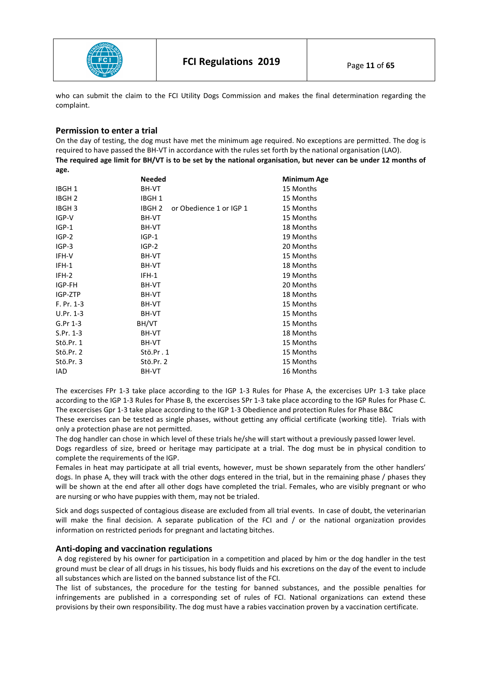

who can submit the claim to the FCI Utility Dogs Commission and makes the final determination regarding the complaint.

# **Permission to enter a trial**

On the day of testing, the dog must have met the minimum age required. No exceptions are permitted. The dog is required to have passed the BH-VT in accordance with the rules set forth by the national organisation (LAO). **The required age limit for BH/VT is to be set by the national organisation, but never can be under 12 months of age.** 

|                   | <b>Needed</b>     |                         | Minimum Age |
|-------------------|-------------------|-------------------------|-------------|
| IBGH <sub>1</sub> | BH-VT             |                         | 15 Months   |
| IBGH <sub>2</sub> | IBGH <sub>1</sub> |                         | 15 Months   |
| IBGH <sub>3</sub> | IBGH <sub>2</sub> | or Obedience 1 or IGP 1 | 15 Months   |
| IGP-V             | BH-VT             |                         | 15 Months   |
| $IGP-1$           | BH-VT             |                         | 18 Months   |
| $IGP-2$           | $IGP-1$           |                         | 19 Months   |
| $IGP-3$           | $IGP-2$           |                         | 20 Months   |
| IFH-V             | BH-VT             |                         | 15 Months   |
| IFH-1             | BH-VT             |                         | 18 Months   |
| IFH-2             | IFH-1             |                         | 19 Months   |
| IGP-FH            | BH-VT             |                         | 20 Months   |
| IGP-ZTP           | BH-VT             |                         | 18 Months   |
| F. Pr. 1-3        | BH-VT             |                         | 15 Months   |
| $U.Pr. 1-3$       | BH-VT             |                         | 15 Months   |
| G.Pr 1-3          | BH/VT             |                         | 15 Months   |
| S.Pr. 1-3         | BH-VT             |                         | 18 Months   |
| Stö.Pr. 1         | BH-VT             |                         | 15 Months   |
| Stö.Pr. 2         | Stö.Pr.1          |                         | 15 Months   |
| Stö.Pr. 3         | Stö.Pr. 2         |                         | 15 Months   |
| <b>IAD</b>        | BH-VT             |                         | 16 Months   |

The excercises FPr 1-3 take place according to the IGP 1-3 Rules for Phase A, the excercises UPr 1-3 take place according to the IGP 1-3 Rules for Phase B, the excercises SPr 1-3 take place according to the IGP Rules for Phase C. The excercises Gpr 1-3 take place according to the IGP 1-3 Obedience and protection Rules for Phase B&C

These exercises can be tested as single phases, without getting any official certificate (working title). Trials with only a protection phase are not permitted.

The dog handler can chose in which level of these trials he/she will start without a previously passed lower level. Dogs regardless of size, breed or heritage may participate at a trial. The dog must be in physical condition to complete the requirements of the IGP.

Females in heat may participate at all trial events, however, must be shown separately from the other handlers' dogs. In phase A, they will track with the other dogs entered in the trial, but in the remaining phase / phases they will be shown at the end after all other dogs have completed the trial. Females, who are visibly pregnant or who are nursing or who have puppies with them, may not be trialed.

Sick and dogs suspected of contagious disease are excluded from all trial events. In case of doubt, the veterinarian will make the final decision. A separate publication of the FCI and / or the national organization provides information on restricted periods for pregnant and lactating bitches.

## **Anti-doping and vaccination regulations**

 A dog registered by his owner for participation in a competition and placed by him or the dog handler in the test ground must be clear of all drugs in his tissues, his body fluids and his excretions on the day of the event to include all substances which are listed on the banned substance list of the FCI.

The list of substances, the procedure for the testing for banned substances, and the possible penalties for infringements are published in a corresponding set of rules of FCI. National organizations can extend these provisions by their own responsibility. The dog must have a rabies vaccination proven by a vaccination certificate.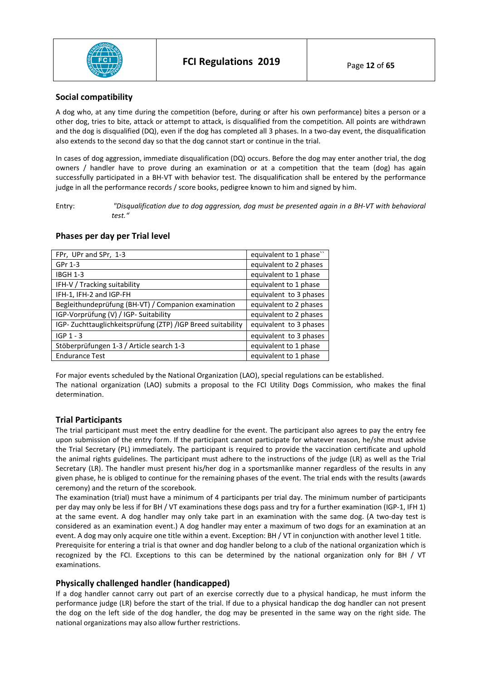

# **Social compatibility**

A dog who, at any time during the competition (before, during or after his own performance) bites a person or a other dog, tries to bite, attack or attempt to attack, is disqualified from the competition. All points are withdrawn and the dog is disqualified (DQ), even if the dog has completed all 3 phases. In a two-day event, the disqualification also extends to the second day so that the dog cannot start or continue in the trial.

In cases of dog aggression, immediate disqualification (DQ) occurs. Before the dog may enter another trial, the dog owners / handler have to prove during an examination or at a competition that the team (dog) has again successfully participated in a BH-VT with behavior test. The disqualification shall be entered by the performance judge in all the performance records / score books, pedigree known to him and signed by him.

Entry: *"Disqualification due to dog aggression, dog must be presented again in a BH-VT with behavioral test."*

# **Phases per day per Trial level**

| FPr, UPr and SPr, 1-3                                      | equivalent to 1 phase" |
|------------------------------------------------------------|------------------------|
| GPr 1-3                                                    | equivalent to 2 phases |
| <b>IBGH 1-3</b>                                            | equivalent to 1 phase  |
| IFH-V / Tracking suitability                               | equivalent to 1 phase  |
| IFH-1, IFH-2 and IGP-FH                                    | equivalent to 3 phases |
| Begleithundeprüfung (BH-VT) / Companion examination        | equivalent to 2 phases |
| IGP-Vorprüfung (V) / IGP- Suitability                      | equivalent to 2 phases |
| IGP-Zuchttauglichkeitsprüfung (ZTP) /IGP Breed suitability | equivalent to 3 phases |
| $IGP 1 - 3$                                                | equivalent to 3 phases |
| Stöberprüfungen 1-3 / Article search 1-3                   | equivalent to 1 phase  |
| <b>Endurance Test</b>                                      | equivalent to 1 phase  |

For major events scheduled by the National Organization (LAO), special regulations can be established. The national organization (LAO) submits a proposal to the FCI Utility Dogs Commission, who makes the final determination.

# **Trial Participants**

The trial participant must meet the entry deadline for the event. The participant also agrees to pay the entry fee upon submission of the entry form. If the participant cannot participate for whatever reason, he/she must advise the Trial Secretary (PL) immediately. The participant is required to provide the vaccination certificate and uphold the animal rights guidelines. The participant must adhere to the instructions of the judge (LR) as well as the Trial Secretary (LR). The handler must present his/her dog in a sportsmanlike manner regardless of the results in any given phase, he is obliged to continue for the remaining phases of the event. The trial ends with the results (awards ceremony) and the return of the scorebook.

The examination (trial) must have a minimum of 4 participants per trial day. The minimum number of participants per day may only be less if for BH / VT examinations these dogs pass and try for a further examination (IGP-1, IFH 1) at the same event. A dog handler may only take part in an examination with the same dog. (A two-day test is considered as an examination event.) A dog handler may enter a maximum of two dogs for an examination at an event. A dog may only acquire one title within a event. Exception: BH / VT in conjunction with another level 1 title.

Prerequisite for entering a trial is that owner and dog handler belong to a club of the national organization which is recognized by the FCI. Exceptions to this can be determined by the national organization only for BH / VT examinations.

## **Physically challenged handler (handicapped)**

If a dog handler cannot carry out part of an exercise correctly due to a physical handicap, he must inform the performance judge (LR) before the start of the trial. If due to a physical handicap the dog handler can not present the dog on the left side of the dog handler, the dog may be presented in the same way on the right side. The national organizations may also allow further restrictions.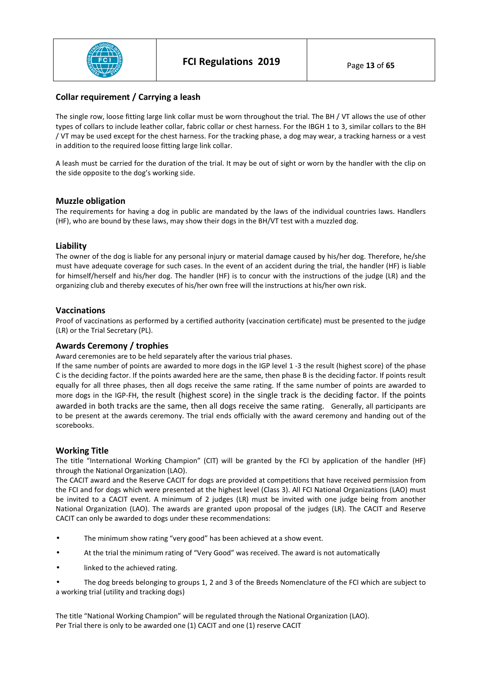

# **Collar requirement / Carrying a leash**

The single row, loose fitting large link collar must be worn throughout the trial. The BH / VT allows the use of other types of collars to include leather collar, fabric collar or chest harness. For the IBGH 1 to 3, similar collars to the BH / VT may be used except for the chest harness. For the tracking phase, a dog may wear, a tracking harness or a vest in addition to the required loose fitting large link collar.

A leash must be carried for the duration of the trial. It may be out of sight or worn by the handler with the clip on the side opposite to the dog's working side.

# **Muzzle obligation**

The requirements for having a dog in public are mandated by the laws of the individual countries laws. Handlers (HF), who are bound by these laws, may show their dogs in the BH/VT test with a muzzled dog.

# **Liability**

The owner of the dog is liable for any personal injury or material damage caused by his/her dog. Therefore, he/she must have adequate coverage for such cases. In the event of an accident during the trial, the handler (HF) is liable for himself/herself and his/her dog. The handler (HF) is to concur with the instructions of the judge (LR) and the organizing club and thereby executes of his/her own free will the instructions at his/her own risk.

# **Vaccinations**

Proof of vaccinations as performed by a certified authority (vaccination certificate) must be presented to the judge (LR) or the Trial Secretary (PL).

# **Awards Ceremony / trophies**

Award ceremonies are to be held separately after the various trial phases.

If the same number of points are awarded to more dogs in the IGP level 1 -3 the result (highest score) of the phase C is the deciding factor. If the points awarded here are the same, then phase B is the deciding factor. If points result equally for all three phases, then all dogs receive the same rating. If the same number of points are awarded to more dogs in the IGP-FH, the result (highest score) in the single track is the deciding factor. If the points awarded in both tracks are the same, then all dogs receive the same rating. Generally, all participants are to be present at the awards ceremony. The trial ends officially with the award ceremony and handing out of the scorebooks.

## **Working Title**

The title "International Working Champion" (CIT) will be granted by the FCI by application of the handler (HF) through the National Organization (LAO).

The CACIT award and the Reserve CACIT for dogs are provided at competitions that have received permission from the FCI and for dogs which were presented at the highest level (Class 3). All FCI National Organizations (LAO) must be invited to a CACIT event. A minimum of 2 judges (LR) must be invited with one judge being from another National Organization (LAO). The awards are granted upon proposal of the judges (LR). The CACIT and Reserve CACIT can only be awarded to dogs under these recommendations:

- The minimum show rating "very good" has been achieved at a show event.
- At the trial the minimum rating of "Very Good" was received. The award is not automatically
- linked to the achieved rating.

• The dog breeds belonging to groups 1, 2 and 3 of the Breeds Nomenclature of the FCI which are subject to a working trial (utility and tracking dogs)

The title "National Working Champion" will be regulated through the National Organization (LAO). Per Trial there is only to be awarded one (1) CACIT and one (1) reserve CACIT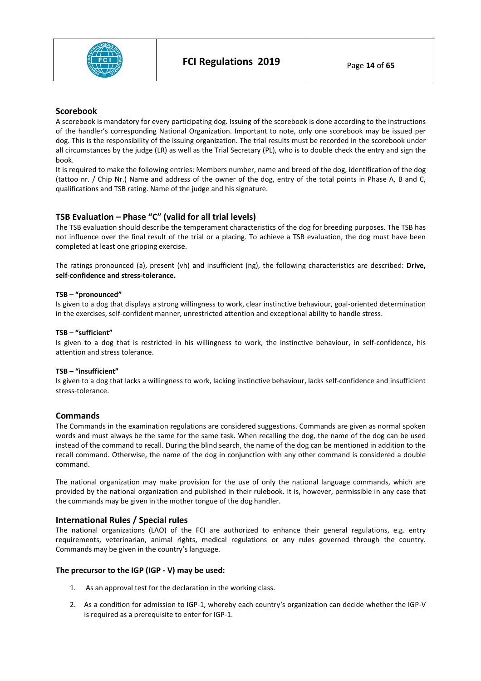

#### **Scorebook**

A scorebook is mandatory for every participating dog. Issuing of the scorebook is done according to the instructions of the handler's corresponding National Organization. Important to note, only one scorebook may be issued per dog. This is the responsibility of the issuing organization. The trial results must be recorded in the scorebook under all circumstances by the judge (LR) as well as the Trial Secretary (PL), who is to double check the entry and sign the book.

It is required to make the following entries: Members number, name and breed of the dog, identification of the dog (tattoo nr. / Chip Nr.) Name and address of the owner of the dog, entry of the total points in Phase A, B and C, qualifications and TSB rating. Name of the judge and his signature.

# **TSB Evaluation – Phase "C" (valid for all trial levels)**

The TSB evaluation should describe the temperament characteristics of the dog for breeding purposes. The TSB has not influence over the final result of the trial or a placing. To achieve a TSB evaluation, the dog must have been completed at least one gripping exercise.

The ratings pronounced (a), present (vh) and insufficient (ng), the following characteristics are described: **Drive, self-confidence and stress-tolerance.** 

#### **TSB – "pronounced"**

Is given to a dog that displays a strong willingness to work, clear instinctive behaviour, goal-oriented determination in the exercises, self-confident manner, unrestricted attention and exceptional ability to handle stress.

#### **TSB – "sufficient"**

Is given to a dog that is restricted in his willingness to work, the instinctive behaviour, in self-confidence, his attention and stress tolerance.

#### **TSB – "insufficient"**

Is given to a dog that lacks a willingness to work, lacking instinctive behaviour, lacks self-confidence and insufficient stress-tolerance.

## **Commands**

The Commands in the examination regulations are considered suggestions. Commands are given as normal spoken words and must always be the same for the same task. When recalling the dog, the name of the dog can be used instead of the command to recall. During the blind search, the name of the dog can be mentioned in addition to the recall command. Otherwise, the name of the dog in conjunction with any other command is considered a double command.

The national organization may make provision for the use of only the national language commands, which are provided by the national organization and published in their rulebook. It is, however, permissible in any case that the commands may be given in the mother tongue of the dog handler.

## **International Rules / Special rules**

The national organizations (LAO) of the FCI are authorized to enhance their general regulations, e.g. entry requirements, veterinarian, animal rights, medical regulations or any rules governed through the country. Commands may be given in the country's language.

## **The precursor to the IGP (IGP - V) may be used:**

- 1. As an approval test for the declaration in the working class.
- 2. As a condition for admission to IGP-1, whereby each country's organization can decide whether the IGP-V is required as a prerequisite to enter for IGP-1.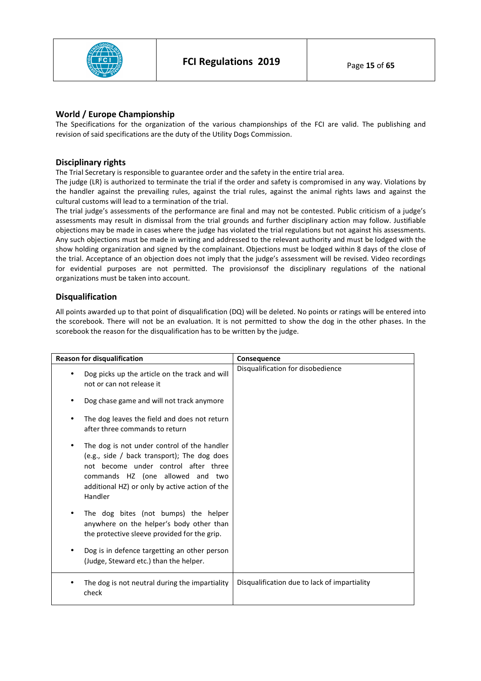

# **World / Europe Championship**

The Specifications for the organization of the various championships of the FCI are valid. The publishing and revision of said specifications are the duty of the Utility Dogs Commission.

# **Disciplinary rights**

The Trial Secretary is responsible to guarantee order and the safety in the entire trial area.

The judge (LR) is authorized to terminate the trial if the order and safety is compromised in any way. Violations by the handler against the prevailing rules, against the trial rules, against the animal rights laws and against the cultural customs will lead to a termination of the trial.

The trial judge's assessments of the performance are final and may not be contested. Public criticism of a judge's assessments may result in dismissal from the trial grounds and further disciplinary action may follow. Justifiable objections may be made in cases where the judge has violated the trial regulations but not against his assessments. Any such objections must be made in writing and addressed to the relevant authority and must be lodged with the show holding organization and signed by the complainant. Objections must be lodged within 8 days of the close of the trial. Acceptance of an objection does not imply that the judge's assessment will be revised. Video recordings for evidential purposes are not permitted. The provisionsof the disciplinary regulations of the national organizations must be taken into account.

# **Disqualification**

All points awarded up to that point of disqualification (DQ) will be deleted. No points or ratings will be entered into the scorebook. There will not be an evaluation. It is not permitted to show the dog in the other phases. In the scorebook the reason for the disqualification has to be written by the judge.

| <b>Reason for disqualification</b>                                                                                                                                                                                                  | Consequence                                  |
|-------------------------------------------------------------------------------------------------------------------------------------------------------------------------------------------------------------------------------------|----------------------------------------------|
| Dog picks up the article on the track and will<br>not or can not release it                                                                                                                                                         | Disqualification for disobedience            |
| Dog chase game and will not track anymore                                                                                                                                                                                           |                                              |
| The dog leaves the field and does not return<br>after three commands to return                                                                                                                                                      |                                              |
| The dog is not under control of the handler<br>(e.g., side / back transport); The dog does<br>not become under control after three<br>commands HZ (one allowed and two<br>additional HZ) or only by active action of the<br>Handler |                                              |
| The dog bites (not bumps) the helper<br>anywhere on the helper's body other than<br>the protective sleeve provided for the grip.                                                                                                    |                                              |
| Dog is in defence targetting an other person<br>(Judge, Steward etc.) than the helper.                                                                                                                                              |                                              |
| The dog is not neutral during the impartiality<br>check                                                                                                                                                                             | Disqualification due to lack of impartiality |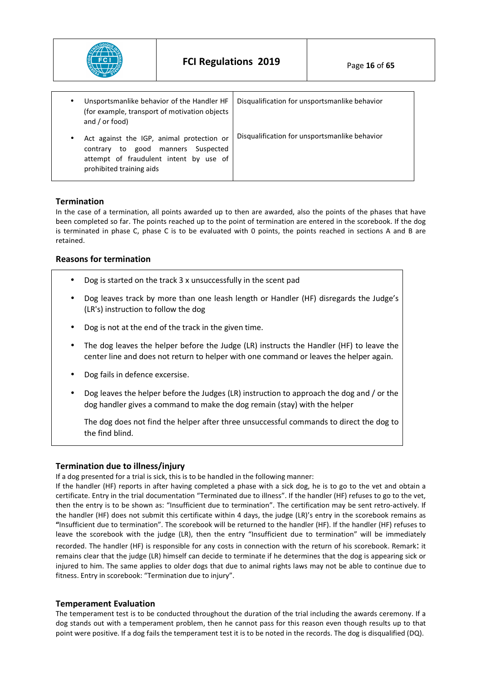

| Unsportsmanlike behavior of the Handler HF<br>$\bullet$<br>(for example, transport of motivation objects<br>and $/$ or food)                                          | Disqualification for unsportsmanlike behavior |
|-----------------------------------------------------------------------------------------------------------------------------------------------------------------------|-----------------------------------------------|
| Act against the IGP, animal protection or<br>$\bullet$<br>Suspected<br>contrary to good manners<br>attempt of fraudulent intent by use of<br>prohibited training aids | Disqualification for unsportsmanlike behavior |

# **Termination**

In the case of a termination, all points awarded up to then are awarded, also the points of the phases that have been completed so far. The points reached up to the point of termination are entered in the scorebook. If the dog is terminated in phase C, phase C is to be evaluated with 0 points, the points reached in sections A and B are retained.

## **Reasons for termination**

- Dog is started on the track 3 x unsuccessfully in the scent pad
- Dog leaves track by more than one leash length or Handler (HF) disregards the Judge's (LR's) instruction to follow the dog
- Dog is not at the end of the track in the given time.
- The dog leaves the helper before the Judge (LR) instructs the Handler (HF) to leave the center line and does not return to helper with one command or leaves the helper again.
- Dog fails in defence excersise.
- Dog leaves the helper before the Judges (LR) instruction to approach the dog and / or the dog handler gives a command to make the dog remain (stay) with the helper

The dog does not find the helper after three unsuccessful commands to direct the dog to the find blind.

## **Termination due to illness/injury**

If a dog presented for a trial is sick, this is to be handled in the following manner:

If the handler (HF) reports in after having completed a phase with a sick dog, he is to go to the vet and obtain a certificate. Entry in the trial documentation "Terminated due to illness". If the handler (HF) refuses to go to the vet, then the entry is to be shown as: "Insufficient due to termination". The certification may be sent retro-actively. If the handler (HF) does not submit this certificate within 4 days, the judge (LR)'s entry in the scorebook remains as **"**Insufficient due to termination". The scorebook will be returned to the handler (HF). If the handler (HF) refuses to leave the scorebook with the judge (LR), then the entry "Insufficient due to termination" will be immediately

recorded. The handler (HF) is responsible for any costs in connection with the return of his scorebook. Remark: it remains clear that the judge (LR) himself can decide to terminate if he determines that the dog is appearing sick or injured to him. The same applies to older dogs that due to animal rights laws may not be able to continue due to fitness. Entry in scorebook: "Termination due to injury".

# **Temperament Evaluation**

The temperament test is to be conducted throughout the duration of the trial including the awards ceremony. If a dog stands out with a temperament problem, then he cannot pass for this reason even though results up to that point were positive. If a dog fails the temperament test it is to be noted in the records. The dog is disqualified (DQ).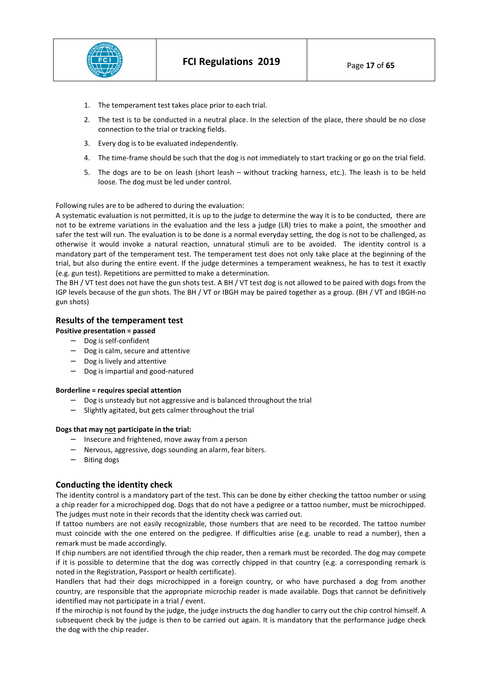

- 1. The temperament test takes place prior to each trial.
- 2. The test is to be conducted in a neutral place. In the selection of the place, there should be no close connection to the trial or tracking fields.
- 3. Every dog is to be evaluated independently.
- 4. The time-frame should be such that the dog is not immediately to start tracking or go on the trial field.
- 5. The dogs are to be on leash (short leash without tracking harness, etc.). The leash is to be held loose. The dog must be led under control.

#### Following rules are to be adhered to during the evaluation:

A systematic evaluation is not permitted, it is up to the judge to determine the way it is to be conducted, there are not to be extreme variations in the evaluation and the less a judge (LR) tries to make a point, the smoother and safer the test will run. The evaluation is to be done is a normal everyday setting, the dog is not to be challenged, as otherwise it would invoke a natural reaction, unnatural stimuli are to be avoided. The identity control is a mandatory part of the temperament test. The temperament test does not only take place at the beginning of the trial, but also during the entire event. If the judge determines a temperament weakness, he has to test it exactly (e.g. gun test). Repetitions are permitted to make a determination.

The BH / VT test does not have the gun shots test. A BH / VT test dog is not allowed to be paired with dogs from the IGP levels because of the gun shots. The BH / VT or IBGH may be paired together as a group. (BH / VT and IBGH-no gun shots)

# **Results of the temperament test**

## **Positive presentation = passed**

- − Dog is self-confident
- − Dog is calm, secure and attentive
- − Dog is lively and attentive
- − Dog is impartial and good-natured

#### **Borderline = requires special attention**

- Dog is unsteady but not aggressive and is balanced throughout the trial
- − Slightly agitated, but gets calmer throughout the trial

#### **Dogs that may not participate in the trial:**

- − Insecure and frightened, move away from a person
- − Nervous, aggressive, dogs sounding an alarm, fear biters.
- − Biting dogs

## **Conducting the identity check**

The identity control is a mandatory part of the test. This can be done by either checking the tattoo number or using a chip reader for a microchipped dog. Dogs that do not have a pedigree or a tattoo number, must be microchipped. The judges must note in their records that the identity check was carried out.

If tattoo numbers are not easily recognizable, those numbers that are need to be recorded. The tattoo number must coincide with the one entered on the pedigree. If difficulties arise (e.g. unable to read a number), then a remark must be made accordingly.

If chip numbers are not identified through the chip reader, then a remark must be recorded. The dog may compete if it is possible to determine that the dog was correctly chipped in that country (e.g. a corresponding remark is noted in the Registration, Passport or health certificate).

Handlers that had their dogs microchipped in a foreign country, or who have purchased a dog from another country, are responsible that the appropriate microchip reader is made available. Dogs that cannot be definitively identified may not participate in a trial / event.

If the mirochip is not found by the judge, the judge instructs the dog handler to carry out the chip control himself. A subsequent check by the judge is then to be carried out again. It is mandatory that the performance judge check the dog with the chip reader.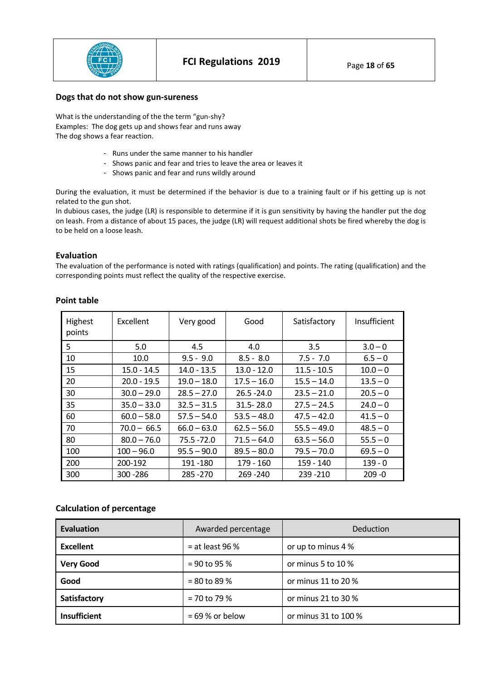

# **Dogs that do not show gun-sureness**

What is the understanding of the the term "gun-shy? Examples: The dog gets up and shows fear and runs away The dog shows a fear reaction.

- Runs under the same manner to his handler
- Shows panic and fear and tries to leave the area or leaves it
- Shows panic and fear and runs wildly around

During the evaluation, it must be determined if the behavior is due to a training fault or if his getting up is not related to the gun shot.

In dubious cases, the judge (LR) is responsible to determine if it is gun sensitivity by having the handler put the dog on leash. From a distance of about 15 paces, the judge (LR) will request additional shots be fired whereby the dog is to be held on a loose leash.

# **Evaluation**

The evaluation of the performance is noted with ratings (qualification) and points. The rating (qualification) and the corresponding points must reflect the quality of the respective exercise.

| <b>Highest</b><br>points | Excellent     | Very good     | Good          | Satisfactory  | Insufficient |
|--------------------------|---------------|---------------|---------------|---------------|--------------|
| 5                        | 5.0           | 4.5           | 4.0           | 3.5           | $3.0 - 0$    |
| 10                       | 10.0          | $9.5 - 9.0$   | $8.5 - 8.0$   | $7.5 - 7.0$   | $6.5 - 0$    |
| 15                       | $15.0 - 14.5$ | $14.0 - 13.5$ | $13.0 - 12.0$ | $11.5 - 10.5$ | $10.0 - 0$   |
| 20                       | $20.0 - 19.5$ | $19.0 - 18.0$ | $17.5 - 16.0$ | $15.5 - 14.0$ | $13.5 - 0$   |
| 30                       | $30.0 - 29.0$ | $28.5 - 27.0$ | $26.5 - 24.0$ | $23.5 - 21.0$ | $20.5 - 0$   |
| 35                       | $35.0 - 33.0$ | $32.5 - 31.5$ | $31.5 - 28.0$ | $27.5 - 24.5$ | $24.0 - 0$   |
| 60                       | $60.0 - 58.0$ | $57.5 - 54.0$ | $53.5 - 48.0$ | $47.5 - 42.0$ | $41.5 - 0$   |
| 70                       | $70.0 - 66.5$ | $66.0 - 63.0$ | $62.5 - 56.0$ | $55.5 - 49.0$ | $48.5 - 0$   |
| 80                       | $80.0 - 76.0$ | $75.5 - 72.0$ | $71.5 - 64.0$ | $63.5 - 56.0$ | $55.5 - 0$   |
| 100                      | $100 - 96.0$  | $95.5 - 90.0$ | $89.5 - 80.0$ | $79.5 - 70.0$ | $69.5 - 0$   |
| 200                      | 200-192       | 191 - 180     | $179 - 160$   | $159 - 140$   | $139 - 0$    |
| 300                      | 300 - 286     | 285 - 270     | $269 - 240$   | $239 - 210$   | $209 - 0$    |

# **Point table**

# **Calculation of percentage**

| Evaluation          | Awarded percentage | Deduction             |
|---------------------|--------------------|-----------------------|
| <b>Excellent</b>    | $=$ at least 96 %  | or up to minus 4 %    |
| <b>Very Good</b>    | $= 90$ to 95 %     | or minus 5 to 10 %    |
| Good                | $= 80$ to 89 %     | or minus 11 to 20 %   |
| Satisfactory        | $= 70$ to 79 %     | or minus 21 to 30 $%$ |
| <b>Insufficient</b> | $= 69 %$ or below  | or minus 31 to 100 %  |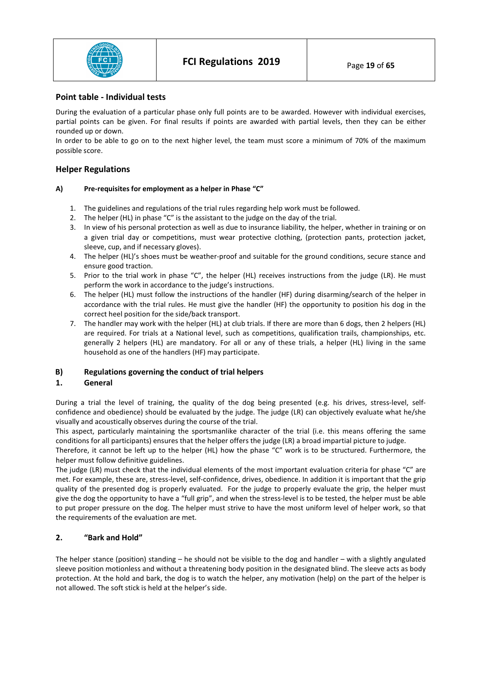

# **Point table - Individual tests**

During the evaluation of a particular phase only full points are to be awarded. However with individual exercises, partial points can be given. For final results if points are awarded with partial levels, then they can be either rounded up or down.

In order to be able to go on to the next higher level, the team must score a minimum of 70% of the maximum possible score.

# **Helper Regulations**

## **A) Pre-requisites for employment as a helper in Phase "C"**

- 1. The guidelines and regulations of the trial rules regarding help work must be followed.
- 2. The helper (HL) in phase "C" is the assistant to the judge on the day of the trial.
- 3. In view of his personal protection as well as due to insurance liability, the helper, whether in training or on a given trial day or competitions, must wear protective clothing, (protection pants, protection jacket, sleeve, cup, and if necessary gloves).
- 4. The helper (HL)'s shoes must be weather-proof and suitable for the ground conditions, secure stance and ensure good traction.
- 5. Prior to the trial work in phase "C", the helper (HL) receives instructions from the judge (LR). He must perform the work in accordance to the judge's instructions.
- 6. The helper (HL) must follow the instructions of the handler (HF) during disarming/search of the helper in accordance with the trial rules. He must give the handler (HF) the opportunity to position his dog in the correct heel position for the side/back transport.
- 7. The handler may work with the helper (HL) at club trials. If there are more than 6 dogs, then 2 helpers (HL) are required. For trials at a National level, such as competitions, qualification trails, championships, etc. generally 2 helpers (HL) are mandatory. For all or any of these trials, a helper (HL) living in the same household as one of the handlers (HF) may participate.

# **B) Regulations governing the conduct of trial helpers**

## **1. General**

During a trial the level of training, the quality of the dog being presented (e.g. his drives, stress-level, selfconfidence and obedience) should be evaluated by the judge. The judge (LR) can objectively evaluate what he/she visually and acoustically observes during the course of the trial.

This aspect, particularly maintaining the sportsmanlike character of the trial (i.e. this means offering the same conditions for all participants) ensures that the helper offers the judge (LR) a broad impartial picture to judge.

Therefore, it cannot be left up to the helper (HL) how the phase "C" work is to be structured. Furthermore, the helper must follow definitive guidelines.

The judge (LR) must check that the individual elements of the most important evaluation criteria for phase "C" are met. For example, these are, stress-level, self-confidence, drives, obedience. In addition it is important that the grip quality of the presented dog is properly evaluated. For the judge to properly evaluate the grip, the helper must give the dog the opportunity to have a "full grip", and when the stress-level is to be tested, the helper must be able to put proper pressure on the dog. The helper must strive to have the most uniform level of helper work, so that the requirements of the evaluation are met.

# **2. "Bark and Hold"**

The helper stance (position) standing – he should not be visible to the dog and handler – with a slightly angulated sleeve position motionless and without a threatening body position in the designated blind. The sleeve acts as body protection. At the hold and bark, the dog is to watch the helper, any motivation (help) on the part of the helper is not allowed. The soft stick is held at the helper's side.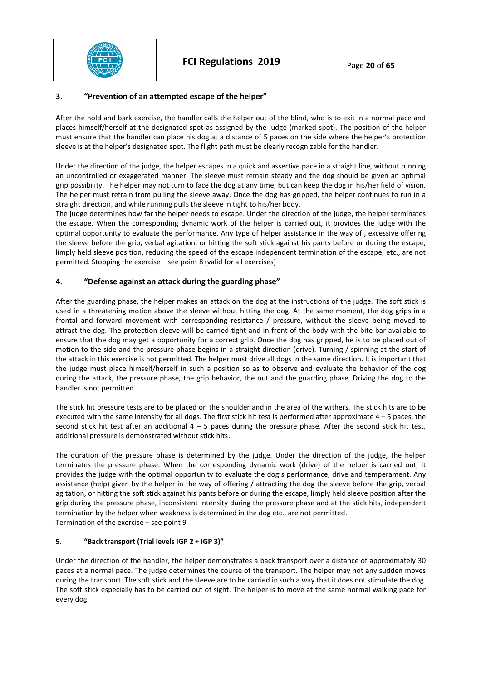

# **3. "Prevention of an attempted escape of the helper"**

After the hold and bark exercise, the handler calls the helper out of the blind, who is to exit in a normal pace and places himself/herself at the designated spot as assigned by the judge (marked spot). The position of the helper must ensure that the handler can place his dog at a distance of 5 paces on the side where the helper's protection sleeve is at the helper's designated spot. The flight path must be clearly recognizable for the handler.

Under the direction of the judge, the helper escapes in a quick and assertive pace in a straight line, without running an uncontrolled or exaggerated manner. The sleeve must remain steady and the dog should be given an optimal grip possibility. The helper may not turn to face the dog at any time, but can keep the dog in his/her field of vision. The helper must refrain from pulling the sleeve away. Once the dog has gripped, the helper continues to run in a straight direction, and while running pulls the sleeve in tight to his/her body.

The judge determines how far the helper needs to escape. Under the direction of the judge, the helper terminates the escape. When the corresponding dynamic work of the helper is carried out, it provides the judge with the optimal opportunity to evaluate the performance. Any type of helper assistance in the way of , excessive offering the sleeve before the grip, verbal agitation, or hitting the soft stick against his pants before or during the escape, limply held sleeve position, reducing the speed of the escape independent termination of the escape, etc., are not permitted. Stopping the exercise – see point 8 (valid for all exercises)

# **4. "Defense against an attack during the guarding phase"**

After the guarding phase, the helper makes an attack on the dog at the instructions of the judge. The soft stick is used in a threatening motion above the sleeve without hitting the dog. At the same moment, the dog grips in a frontal and forward movement with corresponding resistance / pressure, without the sleeve being moved to attract the dog. The protection sleeve will be carried tight and in front of the body with the bite bar available to ensure that the dog may get a opportunity for a correct grip. Once the dog has gripped, he is to be placed out of motion to the side and the pressure phase begins in a straight direction (drive). Turning / spinning at the start of the attack in this exercise is not permitted. The helper must drive all dogs in the same direction. It is important that the judge must place himself/herself in such a position so as to observe and evaluate the behavior of the dog during the attack, the pressure phase, the grip behavior, the out and the guarding phase. Driving the dog to the handler is not permitted.

The stick hit pressure tests are to be placed on the shoulder and in the area of the withers. The stick hits are to be executed with the same intensity for all dogs. The first stick hit test is performed after approximate  $4 - 5$  paces, the second stick hit test after an additional  $4 - 5$  paces during the pressure phase. After the second stick hit test, additional pressure is demonstrated without stick hits.

The duration of the pressure phase is determined by the judge. Under the direction of the judge, the helper terminates the pressure phase. When the corresponding dynamic work (drive) of the helper is carried out, it provides the judge with the optimal opportunity to evaluate the dog's performance, drive and temperament. Any assistance (help) given by the helper in the way of offering / attracting the dog the sleeve before the grip, verbal agitation, or hitting the soft stick against his pants before or during the escape, limply held sleeve position after the grip during the pressure phase, inconsistent intensity during the pressure phase and at the stick hits, independent termination by the helper when weakness is determined in the dog etc., are not permitted. Termination of the exercise – see point 9

## **5. "Back transport (Trial levels IGP 2 + IGP 3)"**

Under the direction of the handler, the helper demonstrates a back transport over a distance of approximately 30 paces at a normal pace. The judge determines the course of the transport. The helper may not any sudden moves during the transport. The soft stick and the sleeve are to be carried in such a way that it does not stimulate the dog. The soft stick especially has to be carried out of sight. The helper is to move at the same normal walking pace for every dog.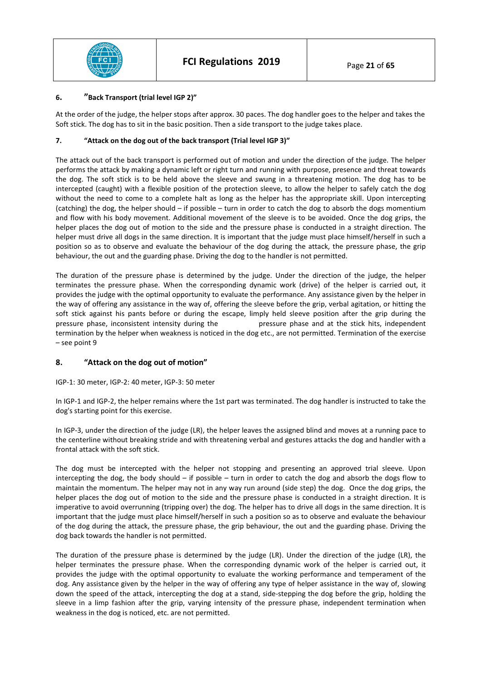

# **6. "Back Transport (trial level IGP 2)"**

At the order of the judge, the helper stops after approx. 30 paces. The dog handler goes to the helper and takes the Soft stick. The dog has to sit in the basic position. Then a side transport to the judge takes place.

## **7. "Attack on the dog out of the back transport (Trial level IGP 3)"**

The attack out of the back transport is performed out of motion and under the direction of the judge. The helper performs the attack by making a dynamic left or right turn and running with purpose, presence and threat towards the dog. The soft stick is to be held above the sleeve and swung in a threatening motion. The dog has to be intercepted (caught) with a flexible position of the protection sleeve, to allow the helper to safely catch the dog without the need to come to a complete halt as long as the helper has the appropriate skill. Upon intercepting (catching) the dog, the helper should – if possible – turn in order to catch the dog to absorb the dogs momentium and flow with his body movement. Additional movement of the sleeve is to be avoided. Once the dog grips, the helper places the dog out of motion to the side and the pressure phase is conducted in a straight direction. The helper must drive all dogs in the same direction. It is important that the judge must place himself/herself in such a position so as to observe and evaluate the behaviour of the dog during the attack, the pressure phase, the grip behaviour, the out and the guarding phase. Driving the dog to the handler is not permitted.

The duration of the pressure phase is determined by the judge. Under the direction of the judge, the helper terminates the pressure phase. When the corresponding dynamic work (drive) of the helper is carried out, it provides the judge with the optimal opportunity to evaluate the performance. Any assistance given by the helper in the way of offering any assistance in the way of, offering the sleeve before the grip, verbal agitation, or hitting the soft stick against his pants before or during the escape, limply held sleeve position after the grip during the pressure phase, inconsistent intensity during the pressure phase and at the stick hits, independent termination by the helper when weakness is noticed in the dog etc., are not permitted. Termination of the exercise – see point 9

# **8. "Attack on the dog out of motion"**

## IGP-1: 30 meter, IGP-2: 40 meter, IGP-3: 50 meter

In IGP-1 and IGP-2, the helper remains where the 1st part was terminated. The dog handler is instructed to take the dog's starting point for this exercise.

In IGP-3, under the direction of the judge (LR), the helper leaves the assigned blind and moves at a running pace to the centerline without breaking stride and with threatening verbal and gestures attacks the dog and handler with a frontal attack with the soft stick.

The dog must be intercepted with the helper not stopping and presenting an approved trial sleeve. Upon intercepting the dog, the body should – if possible – turn in order to catch the dog and absorb the dogs flow to maintain the momentum. The helper may not in any way run around (side step) the dog. Once the dog grips, the helper places the dog out of motion to the side and the pressure phase is conducted in a straight direction. It is imperative to avoid overrunning (tripping over) the dog. The helper has to drive all dogs in the same direction. It is important that the judge must place himself/herself in such a position so as to observe and evaluate the behaviour of the dog during the attack, the pressure phase, the grip behaviour, the out and the guarding phase. Driving the dog back towards the handler is not permitted.

The duration of the pressure phase is determined by the judge (LR). Under the direction of the judge (LR), the helper terminates the pressure phase. When the corresponding dynamic work of the helper is carried out, it provides the judge with the optimal opportunity to evaluate the working performance and temperament of the dog. Any assistance given by the helper in the way of offering any type of helper assistance in the way of, slowing down the speed of the attack, intercepting the dog at a stand, side-stepping the dog before the grip, holding the sleeve in a limp fashion after the grip, varying intensity of the pressure phase, independent termination when weakness in the dog is noticed, etc. are not permitted.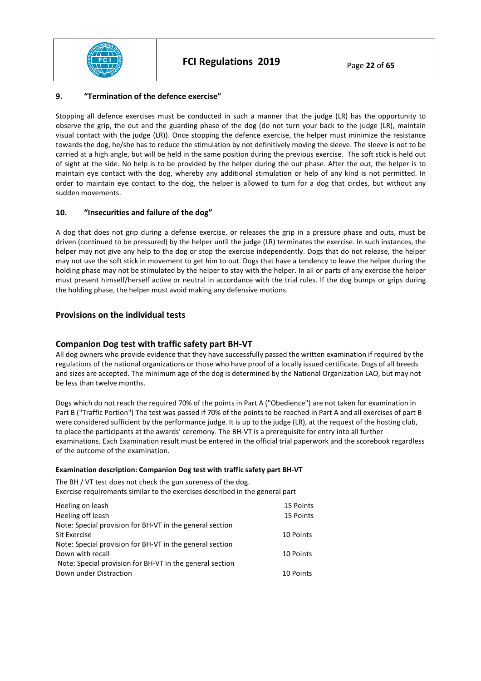

# **9. "Termination of the defence exercise"**

Stopping all defence exercises must be conducted in such a manner that the judge (LR) has the opportunity to observe the grip, the out and the guarding phase of the dog (do not turn your back to the judge (LR), maintain visual contact with the judge (LR)). Once stopping the defence exercise, the helper must minimize the resistance towards the dog, he/she has to reduce the stimulation by not definitively moving the sleeve. The sleeve is not to be carried at a high angle, but will be held in the same position during the previous exercise. The soft stick is held out of sight at the side. No help is to be provided by the helper during the out phase. After the out, the helper is to maintain eye contact with the dog, whereby any additional stimulation or help of any kind is not permitted. In order to maintain eye contact to the dog, the helper is allowed to turn for a dog that circles, but without any sudden movements.

# **10. "Insecurities and failure of the dog"**

A dog that does not grip during a defense exercise, or releases the grip in a pressure phase and outs, must be driven (continued to be pressured) by the helper until the judge (LR) terminates the exercise. In such instances, the helper may not give any help to the dog or stop the exercise independently. Dogs that do not release, the helper may not use the soft stick in movement to get him to out. Dogs that have a tendency to leave the helper during the holding phase may not be stimulated by the helper to stay with the helper. In all or parts of any exercise the helper must present himself/herself active or neutral in accordance with the trial rules. If the dog bumps or grips during the holding phase, the helper must avoid making any defensive motions.

# **Provisions on the individual tests**

# **Companion Dog test with traffic safety part BH-VT**

All dog owners who provide evidence that they have successfully passed the written examination if required by the regulations of the national organizations or those who have proof of a locally issued certificate. Dogs of all breeds and sizes are accepted. The minimum age of the dog is determined by the National Organization LAO, but may not be less than twelve months.

Dogs which do not reach the required 70% of the points in Part A ("Obedience") are not taken for examination in Part B ("Traffic Portion") The test was passed if 70% of the points to be reached in Part A and all exercises of part B were considered sufficient by the performance judge. It is up to the judge (LR), at the request of the hosting club, to place the participants at the awards' ceremony. The BH-VT is a prerequisite for entry into all further examinations. Each Examination result must be entered in the official trial paperwork and the scorebook regardless of the outcome of the examination.

## **Examination description: Companion Dog test with traffic safety part BH-VT**

The BH / VT test does not check the gun sureness of the dog. Exercise requirements similar to the exercises described in the general part

| Heeling on leash                                         | 15 Points |
|----------------------------------------------------------|-----------|
| Heeling off leash                                        | 15 Points |
| Note: Special provision for BH-VT in the general section |           |
| <b>Sit Exercise</b>                                      | 10 Points |
| Note: Special provision for BH-VT in the general section |           |
| Down with recall                                         | 10 Points |
| Note: Special provision for BH-VT in the general section |           |
| Down under Distraction                                   | 10 Points |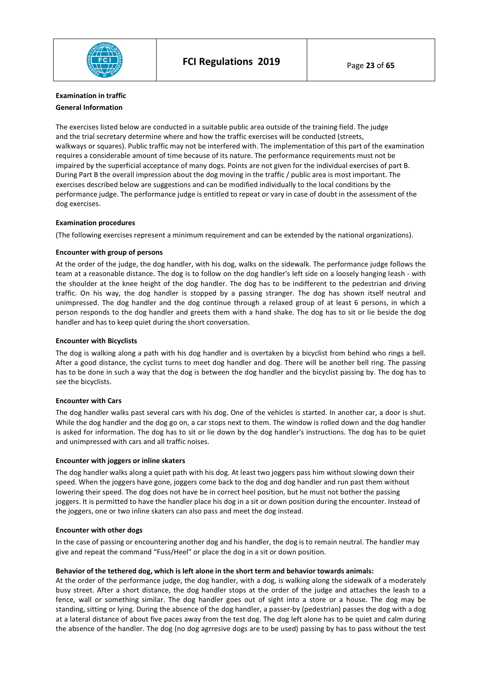

# **Examination in traffic General Information**

The exercises listed below are conducted in a suitable public area outside of the training field. The judge and the trial secretary determine where and how the traffic exercises will be conducted (streets, walkways or squares). Public traffic may not be interfered with. The implementation of this part of the examination requires a considerable amount of time because of its nature. The performance requirements must not be impaired by the superficial acceptance of many dogs. Points are not given for the individual exercises of part B. During Part B the overall impression about the dog moving in the traffic / public area is most important. The exercises described below are suggestions and can be modified individually to the local conditions by the performance judge. The performance judge is entitled to repeat or vary in case of doubt in the assessment of the dog exercises.

#### **Examination procedures**

(The following exercises represent a minimum requirement and can be extended by the national organizations).

#### **Encounter with group of persons**

At the order of the judge, the dog handler, with his dog, walks on the sidewalk. The performance judge follows the team at a reasonable distance. The dog is to follow on the dog handler's left side on a loosely hanging leash - with the shoulder at the knee height of the dog handler. The dog has to be indifferent to the pedestrian and driving traffic. On his way, the dog handler is stopped by a passing stranger. The dog has shown itself neutral and unimpressed. The dog handler and the dog continue through a relaxed group of at least 6 persons, in which a person responds to the dog handler and greets them with a hand shake. The dog has to sit or lie beside the dog handler and has to keep quiet during the short conversation.

#### **Encounter with Bicyclists**

The dog is walking along a path with his dog handler and is overtaken by a bicyclist from behind who rings a bell. After a good distance, the cyclist turns to meet dog handler and dog. There will be another bell ring. The passing has to be done in such a way that the dog is between the dog handler and the bicyclist passing by. The dog has to see the bicyclists.

## **Encounter with Cars**

The dog handler walks past several cars with his dog. One of the vehicles is started. In another car, a door is shut. While the dog handler and the dog go on, a car stops next to them. The window is rolled down and the dog handler is asked for information. The dog has to sit or lie down by the dog handler's instructions. The dog has to be quiet and unimpressed with cars and all traffic noises.

#### **Encounter with joggers or inline skaters**

The dog handler walks along a quiet path with his dog. At least two joggers pass him without slowing down their speed. When the joggers have gone, joggers come back to the dog and dog handler and run past them without lowering their speed. The dog does not have be in correct heel position, but he must not bother the passing joggers. It is permitted to have the handler place his dog in a sit or down position during the encounter. Instead of the joggers, one or two inline skaters can also pass and meet the dog instead.

## **Encounter with other dogs**

In the case of passing or encountering another dog and his handler, the dog is to remain neutral. The handler may give and repeat the command "Fuss/Heel" or place the dog in a sit or down position.

## **Behavior of the tethered dog, which is left alone in the short term and behavior towards animals:**

At the order of the performance judge, the dog handler, with a dog, is walking along the sidewalk of a moderately busy street. After a short distance, the dog handler stops at the order of the judge and attaches the leash to a fence, wall or something similar. The dog handler goes out of sight into a store or a house. The dog may be standing, sitting or lying. During the absence of the dog handler, a passer-by (pedestrian) passes the dog with a dog at a lateral distance of about five paces away from the test dog. The dog left alone has to be quiet and calm during the absence of the handler. The dog (no dog agrresive dogs are to be used) passing by has to pass without the test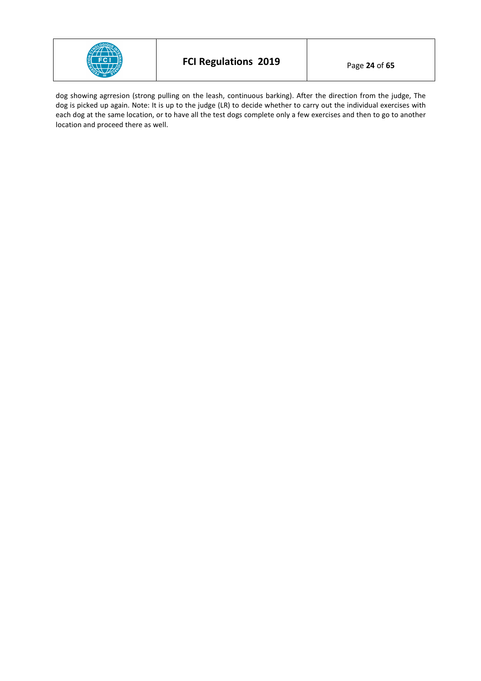

dog showing agrresion (strong pulling on the leash, continuous barking). After the direction from the judge, The dog is picked up again. Note: It is up to the judge (LR) to decide whether to carry out the individual exercises with each dog at the same location, or to have all the test dogs complete only a few exercises and then to go to another location and proceed there as well.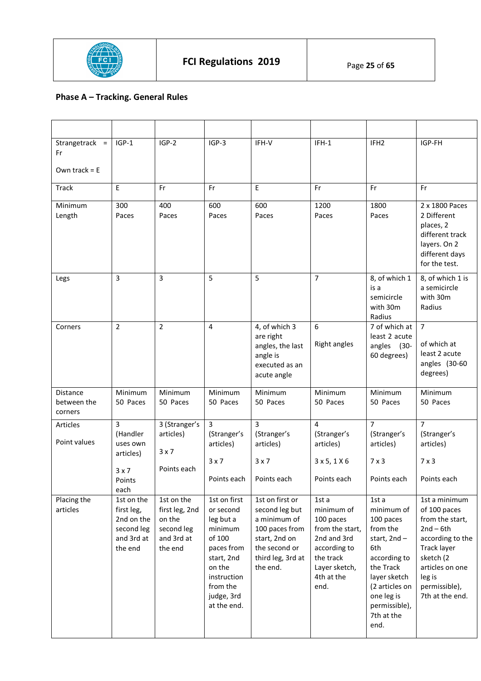

# **Phase A – Tracking. General Rules**

| Strangetrack =<br>Fr                      | $IGP-1$                                                                       | $IGP-2$                                                                       | $IGP-3$                                                                                                                                                   | IFH-V                                                                                                                                  | $IFH-1$                                                                                                                                | IFH <sub>2</sub>                                                                                                                                                                       | IGP-FH                                                                                                                                                                           |
|-------------------------------------------|-------------------------------------------------------------------------------|-------------------------------------------------------------------------------|-----------------------------------------------------------------------------------------------------------------------------------------------------------|----------------------------------------------------------------------------------------------------------------------------------------|----------------------------------------------------------------------------------------------------------------------------------------|----------------------------------------------------------------------------------------------------------------------------------------------------------------------------------------|----------------------------------------------------------------------------------------------------------------------------------------------------------------------------------|
| Own track = $E$                           |                                                                               |                                                                               |                                                                                                                                                           |                                                                                                                                        |                                                                                                                                        |                                                                                                                                                                                        |                                                                                                                                                                                  |
| <b>Track</b>                              | E                                                                             | Fr                                                                            | Fr                                                                                                                                                        | E                                                                                                                                      | Fr                                                                                                                                     | Fr                                                                                                                                                                                     | Fr                                                                                                                                                                               |
| Minimum<br>Length                         | 300<br>Paces                                                                  | 400<br>Paces                                                                  | 600<br>Paces                                                                                                                                              | 600<br>Paces                                                                                                                           | 1200<br>Paces                                                                                                                          | 1800<br>Paces                                                                                                                                                                          | 2 x 1800 Paces<br>2 Different<br>places, 2<br>different track<br>layers. On 2<br>different days<br>for the test.                                                                 |
| Legs                                      | 3                                                                             | 3                                                                             | 5                                                                                                                                                         | 5                                                                                                                                      | $\overline{7}$                                                                                                                         | 8, of which 1<br>is a<br>semicircle<br>with 30m<br>Radius                                                                                                                              | 8, of which 1 is<br>a semicircle<br>with 30m<br>Radius                                                                                                                           |
| Corners                                   | $\overline{2}$                                                                | $\overline{2}$                                                                | 4                                                                                                                                                         | 4, of which 3<br>are right<br>angles, the last<br>angle is<br>executed as an<br>acute angle                                            | 6<br><b>Right angles</b>                                                                                                               | 7 of which at<br>least 2 acute<br>angles (30-<br>60 degrees)                                                                                                                           | $\overline{7}$<br>of which at<br>least 2 acute<br>angles (30-60<br>degrees)                                                                                                      |
| <b>Distance</b><br>between the<br>corners | Minimum<br>50 Paces                                                           | Minimum<br>50 Paces                                                           | Minimum<br>50 Paces                                                                                                                                       | Minimum<br>50 Paces                                                                                                                    | Minimum<br>50 Paces                                                                                                                    | Minimum<br>50 Paces                                                                                                                                                                    | Minimum<br>50 Paces                                                                                                                                                              |
| Articles<br>Point values                  | $\overline{3}$<br>(Handler<br>uses own<br>articles)<br>3x7<br>Points<br>each  | 3 (Stranger's<br>articles)<br>$3 \times 7$<br>Points each                     | $\overline{3}$<br>(Stranger's<br>articles)<br>3x7<br>Points each                                                                                          | $\overline{3}$<br>(Stranger's<br>articles)<br>3x7<br>Points each                                                                       | $\overline{4}$<br>(Stranger's<br>articles)<br>3x5, 1X6<br>Points each                                                                  | $\overline{7}$<br>(Stranger's<br>articles)<br>$7 \times 3$<br>Points each                                                                                                              | $\overline{7}$<br>(Stranger's<br>articles)<br>$7 \times 3$<br>Points each                                                                                                        |
| Placing the<br>articles                   | 1st on the<br>first leg,<br>2nd on the<br>second leg<br>and 3rd at<br>the end | 1st on the<br>first leg, 2nd<br>on the<br>second leg<br>and 3rd at<br>the end | 1st on first<br>or second<br>leg but a<br>minimum<br>of 100<br>paces from<br>start, 2nd<br>on the<br>instruction<br>from the<br>judge, 3rd<br>at the end. | 1st on first or<br>second leg but<br>a minimum of<br>100 paces from<br>start, 2nd on<br>the second or<br>third leg, 3rd at<br>the end. | 1st a<br>minimum of<br>100 paces<br>from the start,<br>2nd and 3rd<br>according to<br>the track<br>Layer sketch,<br>4th at the<br>end. | 1st a<br>minimum of<br>100 paces<br>from the<br>start, 2nd-<br>6th<br>according to<br>the Track<br>layer sketch<br>(2 articles on<br>one leg is<br>permissible),<br>7th at the<br>end. | 1st a minimum<br>of 100 paces<br>from the start,<br>$2nd - 6th$<br>according to the<br>Track layer<br>sketch (2<br>articles on one<br>leg is<br>permissible),<br>7th at the end. |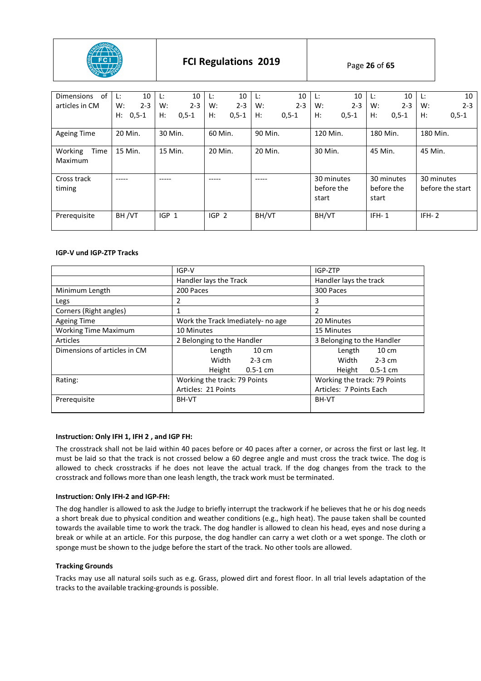

| 0f<br>Dimensions           | 10<br>Ŀ.      | 10<br>Ŀ.      | 10<br>Ŀ.         | 10<br>L:         | 10<br>Ŀ.                          | 10<br>Ŀ.                          | 10<br>Ŀ.                       |
|----------------------------|---------------|---------------|------------------|------------------|-----------------------------------|-----------------------------------|--------------------------------|
| articles in CM             | $2 - 3$<br>W: | $2 - 3$<br>W: | $2 - 3$<br>W:    | $2 - 3$<br>W:    | $2 - 3$<br>W:                     | $2 - 3$<br>W:                     | W:<br>$2 - 3$                  |
|                            | H:<br>$0,5-1$ | H:<br>$0,5-1$ | $H$ :<br>$0,5-1$ | Н:<br>$0, 5 - 1$ | H:<br>$0,5-1$                     | H:<br>$0, 5 - 1$                  | H:<br>$0, 5 - 1$               |
| Ageing Time                | 20 Min.       | 30 Min.       | 60 Min.          | 90 Min.          | 120 Min.                          | 180 Min.                          | 180 Min.                       |
| Working<br>Time<br>Maximum | 15 Min.       | 15 Min.       | 20 Min.          | 20 Min.          | 30 Min.                           | 45 Min.                           | 45 Min.                        |
| Cross track<br>timing      | ----          |               |                  |                  | 30 minutes<br>before the<br>start | 30 minutes<br>before the<br>start | 30 minutes<br>before the start |
| Prerequisite               | BH/VT         | $IGP_1$       | IGP <sub>2</sub> | BH/VT            | BH/VT                             | $IFH-1$                           | $IFH-2$                        |

## **IGP-V und IGP-ZTP Tracks**

|                              | IGP-V                             | IGP-ZTP                      |  |
|------------------------------|-----------------------------------|------------------------------|--|
|                              | Handler lays the Track            | Handler lays the track       |  |
| Minimum Length               | 200 Paces                         | 300 Paces                    |  |
| Legs                         | 2                                 | 3                            |  |
| Corners (Right angles)       |                                   | 2                            |  |
| <b>Ageing Time</b>           | Work the Track Imediately- no age | 20 Minutes                   |  |
| <b>Working Time Maximum</b>  | 10 Minutes                        | 15 Minutes                   |  |
| Articles                     | 2 Belonging to the Handler        | 3 Belonging to the Handler   |  |
| Dimensions of articles in CM | $10 \text{ cm}$<br>Length         | Length<br>10 cm              |  |
|                              | Width<br>$2-3$ cm                 | Width<br>$2-3$ cm            |  |
|                              | Height<br>$0.5 - 1$ cm            | Height<br>$0.5 - 1$ cm       |  |
| Rating:                      | Working the track: 79 Points      | Working the track: 79 Points |  |
|                              | Articles: 21 Points               | Articles: 7 Points Each      |  |
| Prerequisite                 | BH-VT                             | BH-VT                        |  |
|                              |                                   |                              |  |

## **Instruction: Only IFH 1, IFH 2 , and IGP FH:**

The crosstrack shall not be laid within 40 paces before or 40 paces after a corner, or across the first or last leg. It must be laid so that the track is not crossed below a 60 degree angle and must cross the track twice. The dog is allowed to check crosstracks if he does not leave the actual track. If the dog changes from the track to the crosstrack and follows more than one leash length, the track work must be terminated.

#### **Instruction: Only IFH-2 and IGP-FH:**

The dog handler is allowed to ask the Judge to briefly interrupt the trackwork if he believes that he or his dog needs a short break due to physical condition and weather conditions (e.g., high heat). The pause taken shall be counted towards the available time to work the track. The dog handler is allowed to clean his head, eyes and nose during a break or while at an article. For this purpose, the dog handler can carry a wet cloth or a wet sponge. The cloth or sponge must be shown to the judge before the start of the track. No other tools are allowed.

#### **Tracking Grounds**

Tracks may use all natural soils such as e.g. Grass, plowed dirt and forest floor. In all trial levels adaptation of the tracks to the available tracking-grounds is possible.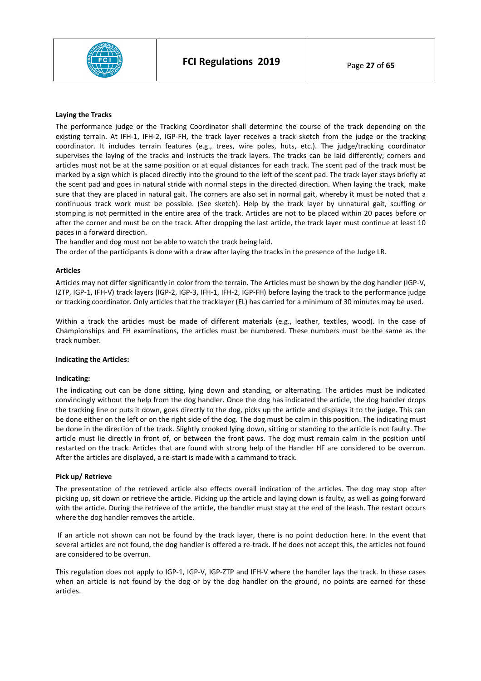

#### **Laying the Tracks**

The performance judge or the Tracking Coordinator shall determine the course of the track depending on the existing terrain. At IFH-1, IFH-2, IGP-FH, the track layer receives a track sketch from the judge or the tracking coordinator. It includes terrain features (e.g., trees, wire poles, huts, etc.). The judge/tracking coordinator supervises the laying of the tracks and instructs the track layers. The tracks can be laid differently; corners and articles must not be at the same position or at equal distances for each track. The scent pad of the track must be marked by a sign which is placed directly into the ground to the left of the scent pad. The track layer stays briefly at the scent pad and goes in natural stride with normal steps in the directed direction. When laying the track, make sure that they are placed in natural gait. The corners are also set in normal gait, whereby it must be noted that a continuous track work must be possible. (See sketch). Help by the track layer by unnatural gait, scuffing or stomping is not permitted in the entire area of the track. Articles are not to be placed within 20 paces before or after the corner and must be on the track. After dropping the last article, the track layer must continue at least 10 paces in a forward direction.

The handler and dog must not be able to watch the track being laid.

The order of the participants is done with a draw after laying the tracks in the presence of the Judge LR.

#### **Articles**

Articles may not differ significantly in color from the terrain. The Articles must be shown by the dog handler (IGP-V, IZTP, IGP-1, IFH-V) track layers (IGP-2, IGP-3, IFH-1, IFH-2, IGP-FH) before laying the track to the performance judge or tracking coordinator. Only articles that the tracklayer (FL) has carried for a minimum of 30 minutes may be used.

Within a track the articles must be made of different materials (e.g., leather, textiles, wood). In the case of Championships and FH examinations, the articles must be numbered. These numbers must be the same as the track number.

#### **Indicating the Articles:**

#### **Indicating:**

The indicating out can be done sitting, lying down and standing, or alternating. The articles must be indicated convincingly without the help from the dog handler. Once the dog has indicated the article, the dog handler drops the tracking line or puts it down, goes directly to the dog, picks up the article and displays it to the judge. This can be done either on the left or on the right side of the dog. The dog must be calm in this position. The indicating must be done in the direction of the track. Slightly crooked lying down, sitting or standing to the article is not faulty. The article must lie directly in front of, or between the front paws. The dog must remain calm in the position until restarted on the track. Articles that are found with strong help of the Handler HF are considered to be overrun. After the articles are displayed, a re-start is made with a cammand to track.

#### **Pick up/ Retrieve**

The presentation of the retrieved article also effects overall indication of the articles. The dog may stop after picking up, sit down or retrieve the article. Picking up the article and laying down is faulty, as well as going forward with the article. During the retrieve of the article, the handler must stay at the end of the leash. The restart occurs where the dog handler removes the article.

 If an article not shown can not be found by the track layer, there is no point deduction here. In the event that several articles are not found, the dog handler is offered a re-track. If he does not accept this, the articles not found are considered to be overrun.

This regulation does not apply to IGP-1, IGP-V, IGP-ZTP and IFH-V where the handler lays the track. In these cases when an article is not found by the dog or by the dog handler on the ground, no points are earned for these articles.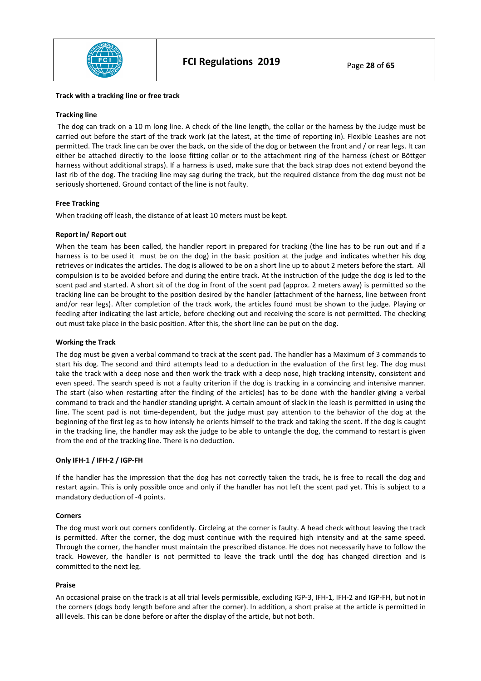

#### **Track with a tracking line or free track**

#### **Tracking line**

 The dog can track on a 10 m long line. A check of the line length, the collar or the harness by the Judge must be carried out before the start of the track work (at the latest, at the time of reporting in). Flexible Leashes are not permitted. The track line can be over the back, on the side of the dog or between the front and / or rear legs. It can either be attached directly to the loose fitting collar or to the attachment ring of the harness (chest or Böttger harness without additional straps). If a harness is used, make sure that the back strap does not extend beyond the last rib of the dog. The tracking line may sag during the track, but the required distance from the dog must not be seriously shortened. Ground contact of the line is not faulty.

#### **Free Tracking**

When tracking off leash, the distance of at least 10 meters must be kept.

#### **Report in/ Report out**

When the team has been called, the handler report in prepared for tracking (the line has to be run out and if a harness is to be used it must be on the dog) in the basic position at the judge and indicates whether his dog retrieves or indicates the articles. The dog is allowed to be on a short line up to about 2 meters before the start. All compulsion is to be avoided before and during the entire track. At the instruction of the judge the dog is led to the scent pad and started. A short sit of the dog in front of the scent pad (approx. 2 meters away) is permitted so the tracking line can be brought to the position desired by the handler (attachment of the harness, line between front and/or rear legs). After completion of the track work, the articles found must be shown to the judge. Playing or feeding after indicating the last article, before checking out and receiving the score is not permitted. The checking out must take place in the basic position. After this, the short line can be put on the dog.

#### **Working the Track**

The dog must be given a verbal command to track at the scent pad. The handler has a Maximum of 3 commands to start his dog. The second and third attempts lead to a deduction in the evaluation of the first leg. The dog must take the track with a deep nose and then work the track with a deep nose, high tracking intensity, consistent and even speed. The search speed is not a faulty criterion if the dog is tracking in a convincing and intensive manner. The start (also when restarting after the finding of the articles) has to be done with the handler giving a verbal command to track and the handler standing upright. A certain amount of slack in the leash is permitted in using the line. The scent pad is not time-dependent, but the judge must pay attention to the behavior of the dog at the beginning of the first leg as to how intensly he orients himself to the track and taking the scent. If the dog is caught in the tracking line, the handler may ask the judge to be able to untangle the dog, the command to restart is given from the end of the tracking line. There is no deduction.

#### **Only IFH-1 / IFH-2 / IGP-FH**

If the handler has the impression that the dog has not correctly taken the track, he is free to recall the dog and restart again. This is only possible once and only if the handler has not left the scent pad yet. This is subject to a mandatory deduction of -4 points.

#### **Corners**

The dog must work out corners confidently. Circleing at the corner is faulty. A head check without leaving the track is permitted. After the corner, the dog must continue with the required high intensity and at the same speed. Through the corner, the handler must maintain the prescribed distance. He does not necessarily have to follow the track. However, the handler is not permitted to leave the track until the dog has changed direction and is committed to the next leg.

#### **Praise**

An occasional praise on the track is at all trial levels permissible, excluding IGP-3, IFH-1, IFH-2 and IGP-FH, but not in the corners (dogs body length before and after the corner). In addition, a short praise at the article is permitted in all levels. This can be done before or after the display of the article, but not both.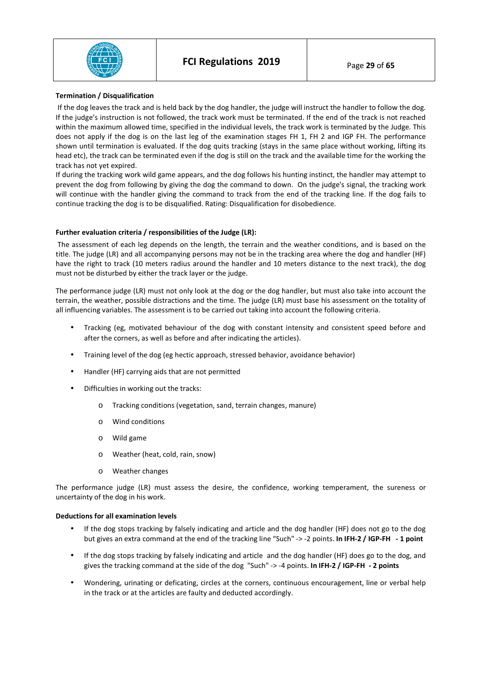

#### **Termination / Disqualification**

 If the dog leaves the track and is held back by the dog handler, the judge will instruct the handler to follow the dog. If the judge's instruction is not followed, the track work must be terminated. If the end of the track is not reached within the maximum allowed time, specified in the individual levels, the track work is terminated by the Judge. This does not apply if the dog is on the last leg of the examination stages FH 1, FH 2 and IGP FH. The performance shown until termination is evaluated. If the dog quits tracking (stays in the same place without working, lifting its head etc), the track can be terminated even if the dog is still on the track and the available time for the working the track has not yet expired.

If during the tracking work wild game appears, and the dog follows his hunting instinct, the handler may attempt to prevent the dog from following by giving the dog the command to down. On the judge's signal, the tracking work will continue with the handler giving the command to track from the end of the tracking line. If the dog fails to continue tracking the dog is to be disqualified. Rating: Disqualification for disobedience.

## **Further evaluation criteria / responsibilities of the Judge (LR):**

 The assessment of each leg depends on the length, the terrain and the weather conditions, and is based on the title. The judge (LR) and all accompanying persons may not be in the tracking area where the dog and handler (HF) have the right to track (10 meters radius around the handler and 10 meters distance to the next track), the dog must not be disturbed by either the track layer or the judge.

The performance judge (LR) must not only look at the dog or the dog handler, but must also take into account the terrain, the weather, possible distractions and the time. The judge (LR) must base his assessment on the totality of all influencing variables. The assessment is to be carried out taking into account the following criteria.

- Tracking (eg, motivated behaviour of the dog with constant intensity and consistent speed before and after the corners, as well as before and after indicating the articles).
- Training level of the dog (eg hectic approach, stressed behavior, avoidance behavior)
- Handler (HF) carrying aids that are not permitted
- Difficulties in working out the tracks:
	- o Tracking conditions (vegetation, sand, terrain changes, manure)
	- o Wind conditions
	- o Wild game
	- o Weather (heat, cold, rain, snow)
	- o Weather changes

The performance judge (LR) must assess the desire, the confidence, working temperament, the sureness or uncertainty of the dog in his work.

## **Deductions for all examination levels**

- If the dog stops tracking by falsely indicating and article and the dog handler (HF) does not go to the dog but gives an extra command at the end of the tracking line "Such" -> -2 points. **In IFH-2 / IGP-FH - 1 point**
- If the dog stops tracking by falsely indicating and article and the dog handler (HF) does go to the dog, and gives the tracking command at the side of the dog "Such" -> -4 points. **In IFH-2 / IGP-FH - 2 points**
- Wondering, urinating or deficating, circles at the corners, continuous encouragement, line or verbal help in the track or at the articles are faulty and deducted accordingly.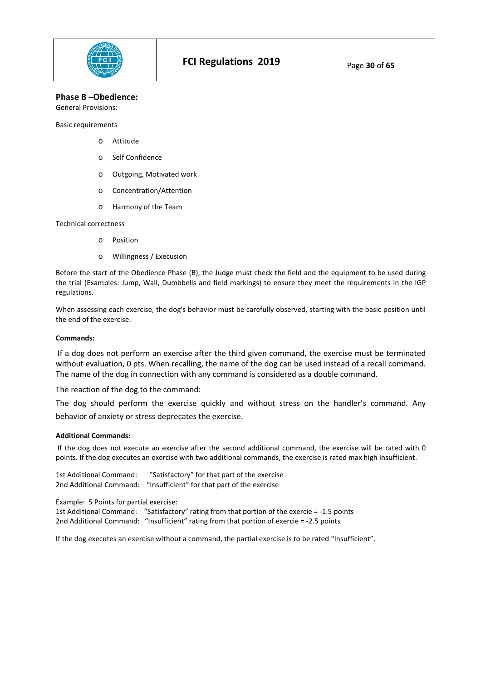

# **Phase B –Obedience:**

General Provisions:

Basic requirements

- o Attitude
- o Self Confidence
- o Outgoing, Motivated work
- o Concentration/Attention
- o Harmony of the Team

#### Technical correctness

- o Position
- o Willingness / Execusion

Before the start of the Obedience Phase (B), the Judge must check the field and the equipment to be used during the trial (Examples: Jump, Wall, Dumbbells and field markings) to ensure they meet the requirements in the IGP regulations.

When assessing each exercise, the dog's behavior must be carefully observed, starting with the basic position until the end of the exercise.

#### **Commands:**

If a dog does not perform an exercise after the third given command, the exercise must be terminated without evaluation, 0 pts. When recalling, the name of the dog can be used instead of a recall command. The name of the dog in connection with any command is considered as a double command.

The reaction of the dog to the command:

The dog should perform the exercise quickly and without stress on the handler's command. Any behavior of anxiety or stress deprecates the exercise.

#### **Additional Commands:**

 If the dog does not execute an exercise after the second additional command, the exercise will be rated with 0 points. If the dog executes an exercise with two additional commands, the exercise is rated max high Insufficient.

1st Additional Command: "Satisfactory" for that part of the exercise 2nd Additional Command: "Insufficient" for that part of the exercise

Example: 5 Points for partial exercise:

1st Additional Command: "Satisfactory" rating from that portion of the exercie = -1.5 points 2nd Additional Command: "Insufficient" rating from that portion of exercie = -2.5 points

If the dog executes an exercise without a command, the partial exercise is to be rated "Insufficient".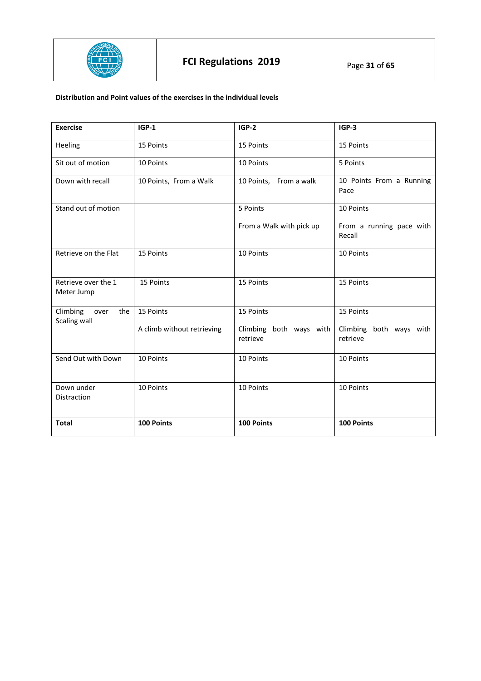

# **Distribution and Point values of the exercises in the individual levels**

| <b>Exercise</b>                         | $IGP-1$                    | $IGP-2$                             | $IGP-3$                             |
|-----------------------------------------|----------------------------|-------------------------------------|-------------------------------------|
| Heeling                                 | 15 Points                  | 15 Points                           | 15 Points                           |
| Sit out of motion                       | 10 Points                  | 10 Points                           | 5 Points                            |
| Down with recall                        | 10 Points, From a Walk     | 10 Points, From a walk              | 10 Points From a Running<br>Pace    |
| Stand out of motion                     |                            | 5 Points                            | 10 Points                           |
|                                         |                            | From a Walk with pick up            | From a running pace with<br>Recall  |
| Retrieve on the Flat                    | 15 Points                  | 10 Points                           | 10 Points                           |
| Retrieve over the 1<br>Meter Jump       | 15 Points                  | 15 Points                           | 15 Points                           |
| Climbing<br>the<br>over<br>Scaling wall | 15 Points                  | 15 Points                           | 15 Points                           |
|                                         | A climb without retrieving | Climbing both ways with<br>retrieve | Climbing both ways with<br>retrieve |
| Send Out with Down                      | 10 Points                  | 10 Points                           | 10 Points                           |
| Down under<br>Distraction               | 10 Points                  | 10 Points                           | 10 Points                           |
| <b>Total</b>                            | 100 Points                 | 100 Points                          | 100 Points                          |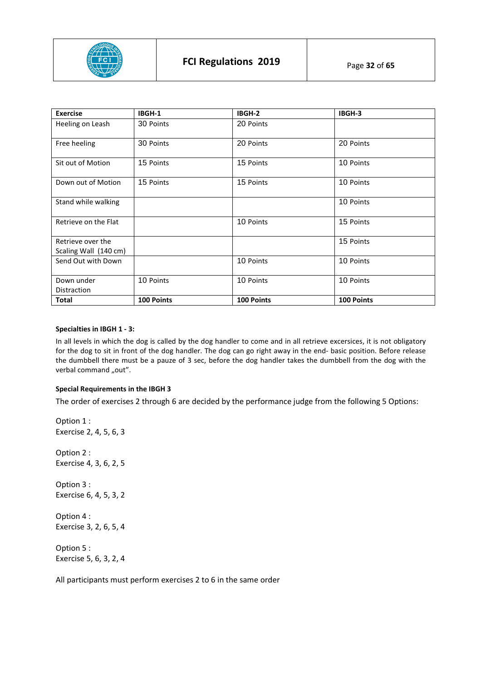

| <b>Exercise</b>       | IBGH-1     | IBGH-2     | IBGH-3     |
|-----------------------|------------|------------|------------|
| Heeling on Leash      | 30 Points  | 20 Points  |            |
| Free heeling          | 30 Points  | 20 Points  | 20 Points  |
| Sit out of Motion     | 15 Points  | 15 Points  | 10 Points  |
| Down out of Motion    | 15 Points  | 15 Points  | 10 Points  |
| Stand while walking   |            |            | 10 Points  |
| Retrieve on the Flat  |            | 10 Points  | 15 Points  |
| Retrieve over the     |            |            | 15 Points  |
| Scaling Wall (140 cm) |            |            |            |
| Send Out with Down    |            | 10 Points  | 10 Points  |
| Down under            | 10 Points  | 10 Points  | 10 Points  |
| Distraction           |            |            |            |
| Total                 | 100 Points | 100 Points | 100 Points |

#### **Specialties in IBGH 1 - 3:**

In all levels in which the dog is called by the dog handler to come and in all retrieve excersices, it is not obligatory for the dog to sit in front of the dog handler. The dog can go right away in the end- basic position. Before release the dumbbell there must be a pauze of 3 sec, before the dog handler takes the dumbbell from the dog with the verbal command "out".

## **Special Requirements in the IBGH 3**

The order of exercises 2 through 6 are decided by the performance judge from the following 5 Options:

Option 1 : Exercise 2, 4, 5, 6, 3 Option 2 : Exercise 4, 3, 6, 2, 5 Option 3 : Exercise 6, 4, 5, 3, 2 Option 4 : Exercise 3, 2, 6, 5, 4 Option 5 : Exercise 5, 6, 3, 2, 4

All participants must perform exercises 2 to 6 in the same order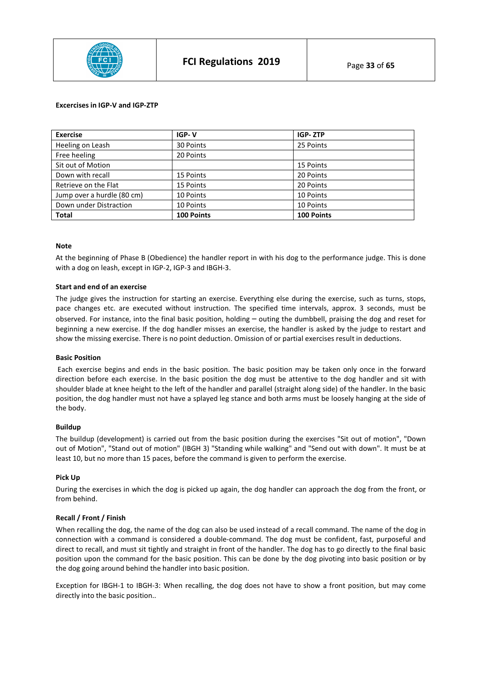

#### **Excercises in IGP-V and IGP-ZTP**

| <b>Exercise</b>            | IGP-V      | IGP-ZTP    |
|----------------------------|------------|------------|
| Heeling on Leash           | 30 Points  | 25 Points  |
| Free heeling               | 20 Points  |            |
| Sit out of Motion          |            | 15 Points  |
| Down with recall           | 15 Points  | 20 Points  |
| Retrieve on the Flat       | 15 Points  | 20 Points  |
| Jump over a hurdle (80 cm) | 10 Points  | 10 Points  |
| Down under Distraction     | 10 Points  | 10 Points  |
| <b>Total</b>               | 100 Points | 100 Points |

#### **Note**

At the beginning of Phase B (Obedience) the handler report in with his dog to the performance judge. This is done with a dog on leash, except in IGP-2, IGP-3 and IBGH-3.

#### **Start and end of an exercise**

The judge gives the instruction for starting an exercise. Everything else during the exercise, such as turns, stops, pace changes etc. are executed without instruction. The specified time intervals, approx. 3 seconds, must be observed. For instance, into the final basic position, holding – outing the dumbbell, praising the dog and reset for beginning a new exercise. If the dog handler misses an exercise, the handler is asked by the judge to restart and show the missing exercise. There is no point deduction. Omission of or partial exercises result in deductions.

#### **Basic Position**

 Each exercise begins and ends in the basic position. The basic position may be taken only once in the forward direction before each exercise. In the basic position the dog must be attentive to the dog handler and sit with shoulder blade at knee height to the left of the handler and parallel (straight along side) of the handler. In the basic position, the dog handler must not have a splayed leg stance and both arms must be loosely hanging at the side of the body.

#### **Buildup**

The buildup (development) is carried out from the basic position during the exercises "Sit out of motion", "Down out of Motion", "Stand out of motion" (IBGH 3) "Standing while walking" and "Send out with down". It must be at least 10, but no more than 15 paces, before the command is given to perform the exercise.

#### **Pick Up**

During the exercises in which the dog is picked up again, the dog handler can approach the dog from the front, or from behind.

## **Recall / Front / Finish**

When recalling the dog, the name of the dog can also be used instead of a recall command. The name of the dog in connection with a command is considered a double-command. The dog must be confident, fast, purposeful and direct to recall, and must sit tightly and straight in front of the handler. The dog has to go directly to the final basic position upon the command for the basic position. This can be done by the dog pivoting into basic position or by the dog going around behind the handler into basic position.

Exception for IBGH-1 to IBGH-3: When recalling, the dog does not have to show a front position, but may come directly into the basic position..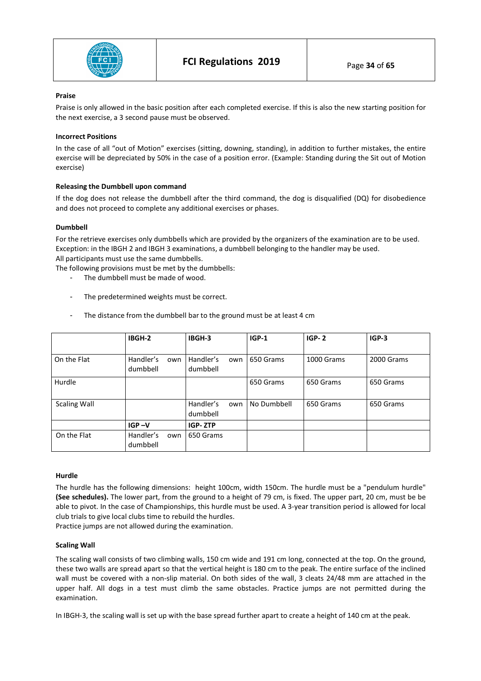

#### **Praise**

Praise is only allowed in the basic position after each completed exercise. If this is also the new starting position for the next exercise, a 3 second pause must be observed.

#### **Incorrect Positions**

In the case of all "out of Motion" exercises (sitting, downing, standing), in addition to further mistakes, the entire exercise will be depreciated by 50% in the case of a position error. (Example: Standing during the Sit out of Motion exercise)

#### **Releasing the Dumbbell upon command**

If the dog does not release the dumbbell after the third command, the dog is disqualified (DQ) for disobedience and does not proceed to complete any additional exercises or phases.

#### **Dumbbell**

For the retrieve exercises only dumbbells which are provided by the organizers of the examination are to be used. Exception: in the IBGH 2 and IBGH 3 examinations, a dumbbell belonging to the handler may be used. All participants must use the same dumbbells.

The following provisions must be met by the dumbbells:

- The dumbbell must be made of wood.
- The predetermined weights must be correct.
- The distance from the dumbbell bar to the ground must be at least 4 cm

|                     | IBGH-2                       | IBGH-3                       | $IGP-1$     | $IGP-2$    | $IGP-3$    |
|---------------------|------------------------------|------------------------------|-------------|------------|------------|
| On the Flat         | Handler's<br>own<br>dumbbell | Handler's<br>own<br>dumbbell | 650 Grams   | 1000 Grams | 2000 Grams |
| Hurdle              |                              |                              | 650 Grams   | 650 Grams  | 650 Grams  |
| <b>Scaling Wall</b> |                              | Handler's<br>own<br>dumbbell | No Dumbbell | 650 Grams  | 650 Grams  |
|                     | $IGP - V$                    | <b>IGP-ZTP</b>               |             |            |            |
| On the Flat         | Handler's<br>own<br>dumbbell | 650 Grams                    |             |            |            |

#### **Hurdle**

The hurdle has the following dimensions: height 100cm, width 150cm. The hurdle must be a "pendulum hurdle" **(See schedules).** The lower part, from the ground to a height of 79 cm, is fixed. The upper part, 20 cm, must be be able to pivot. In the case of Championships, this hurdle must be used. A 3-year transition period is allowed for local club trials to give local clubs time to rebuild the hurdles.

Practice jumps are not allowed during the examination.

#### **Scaling Wall**

The scaling wall consists of two climbing walls, 150 cm wide and 191 cm long, connected at the top. On the ground, these two walls are spread apart so that the vertical height is 180 cm to the peak. The entire surface of the inclined wall must be covered with a non-slip material. On both sides of the wall, 3 cleats 24/48 mm are attached in the upper half. All dogs in a test must climb the same obstacles. Practice jumps are not permitted during the examination.

In IBGH-3, the scaling wall is set up with the base spread further apart to create a height of 140 cm at the peak.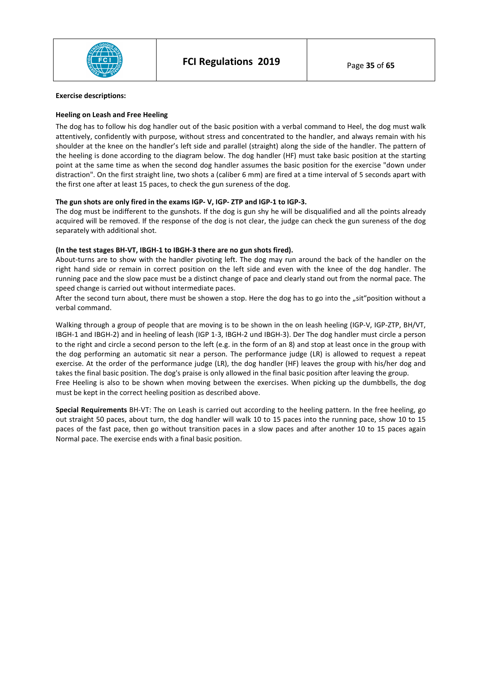

#### **Exercise descriptions:**

#### **Heeling on Leash and Free Heeling**

The dog has to follow his dog handler out of the basic position with a verbal command to Heel, the dog must walk attentively, confidently with purpose, without stress and concentrated to the handler, and always remain with his shoulder at the knee on the handler's left side and parallel (straight) along the side of the handler. The pattern of the heeling is done according to the diagram below. The dog handler (HF) must take basic position at the starting point at the same time as when the second dog handler assumes the basic position for the exercise "down under distraction". On the first straight line, two shots a (caliber 6 mm) are fired at a time interval of 5 seconds apart with the first one after at least 15 paces, to check the gun sureness of the dog.

#### **The gun shots are only fired in the exams IGP- V, IGP- ZTP and IGP-1 to IGP-3.**

The dog must be indifferent to the gunshots. If the dog is gun shy he will be disqualified and all the points already acquired will be removed. If the response of the dog is not clear, the judge can check the gun sureness of the dog separately with additional shot.

#### **(In the test stages BH-VT, IBGH-1 to IBGH-3 there are no gun shots fired).**

About-turns are to show with the handler pivoting left. The dog may run around the back of the handler on the right hand side or remain in correct position on the left side and even with the knee of the dog handler. The running pace and the slow pace must be a distinct change of pace and clearly stand out from the normal pace. The speed change is carried out without intermediate paces.

After the second turn about, there must be showen a stop. Here the dog has to go into the "sit"position without a verbal command.

Walking through a group of people that are moving is to be shown in the on leash heeling (IGP-V, IGP-ZTP, BH/VT, IBGH-1 and IBGH-2) and in heeling of leash (IGP 1-3, IBGH-2 und IBGH-3). Der The dog handler must circle a person to the right and circle a second person to the left (e.g. in the form of an 8) and stop at least once in the group with the dog performing an automatic sit near a person. The performance judge (LR) is allowed to request a repeat exercise. At the order of the performance judge (LR), the dog handler (HF) leaves the group with his/her dog and takes the final basic position. The dog's praise is only allowed in the final basic position after leaving the group. Free Heeling is also to be shown when moving between the exercises. When picking up the dumbbells, the dog must be kept in the correct heeling position as described above.

**Special Requirements** BH-VT: The on Leash is carried out according to the heeling pattern. In the free heeling, go out straight 50 paces, about turn, the dog handler will walk 10 to 15 paces into the running pace, show 10 to 15 paces of the fast pace, then go without transition paces in a slow paces and after another 10 to 15 paces again Normal pace. The exercise ends with a final basic position.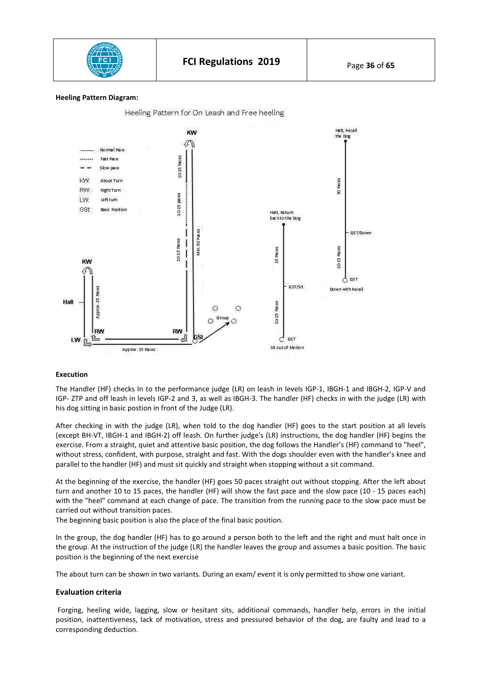

#### **Heeling Pattern Diagram:**



#### **Execution**

The Handler (HF) checks In to the performance judge (LR) on leash in levels IGP-1, IBGH-1 and IBGH-2, IGP-V and IGP- ZTP and off leash in levels IGP-2 and 3, as well as IBGH-3. The handler (HF) checks in with the judge (LR) with his dog sitting in basic postion in front of the Judge (LR).

After checking in with the judge (LR), when told to the dog handler (HF) goes to the start position at all levels (except BH-VT, IBGH-1 and IBGH-2) off leash. On further judge's (LR) instructions, the dog handler (HF) begins the exercise. From a straight, quiet and attentive basic position, the dog follows the Handler's (HF) command to "heel", without stress, confident, with purpose, straight and fast. With the dogs shoulder even with the handler's knee and parallel to the handler (HF) and must sit quickly and straight when stopping without a sit command.

At the beginning of the exercise, the handler (HF) goes 50 paces straight out without stopping. After the left about turn and another 10 to 15 paces, the handler (HF) will show the fast pace and the slow pace (10 - 15 paces each) with the "heel" command at each change of pace. The transition from the running pace to the slow pace must be carried out without transition paces.

The beginning basic position is also the place of the final basic position.

In the group, the dog handler (HF) has to go around a person both to the left and the right and must halt once in the group. At the instruction of the judge (LR) the handler leaves the group and assumes a basic position. The basic position is the beginning of the next exercise

The about turn can be shown in two variants. During an exam/ event it is only permitted to show one variant.

#### **Evaluation criteria**

 Forging, heeling wide, lagging, slow or hesitant sits, additional commands, handler help, errors in the initial position, inattentiveness, lack of motivation, stress and pressured behavior of the dog, are faulty and lead to a corresponding deduction.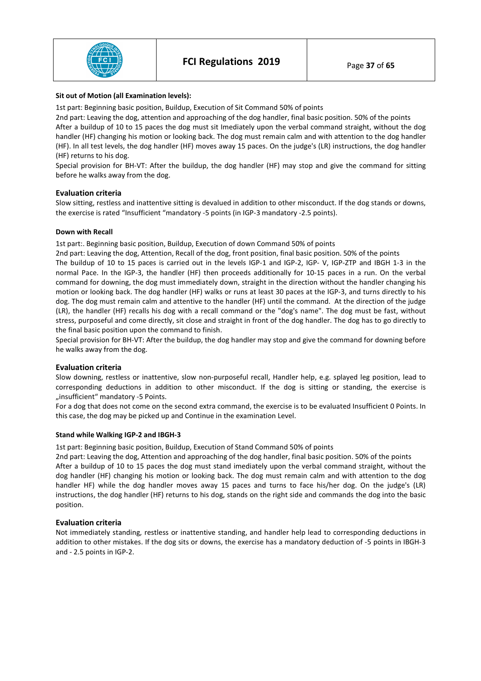

#### **Sit out of Motion (all Examination levels):**

1st part: Beginning basic position, Buildup, Execution of Sit Command 50% of points

2nd part: Leaving the dog, attention and approaching of the dog handler, final basic position. 50% of the points After a buildup of 10 to 15 paces the dog must sit Imediately upon the verbal command straight, without the dog handler (HF) changing his motion or looking back. The dog must remain calm and with attention to the dog handler (HF). In all test levels, the dog handler (HF) moves away 15 paces. On the judge's (LR) instructions, the dog handler (HF) returns to his dog.

Special provision for BH-VT: After the buildup, the dog handler (HF) may stop and give the command for sitting before he walks away from the dog.

## **Evaluation criteria**

Slow sitting, restless and inattentive sitting is devalued in addition to other misconduct. If the dog stands or downs, the exercise is rated "Insufficient "mandatory -5 points (in IGP-3 mandatory -2.5 points).

#### **Down with Recall**

1st part:. Beginning basic position, Buildup, Execution of down Command 50% of points

2nd part: Leaving the dog, Attention, Recall of the dog, front position, final basic position. 50% of the points

The buildup of 10 to 15 paces is carried out in the levels IGP-1 and IGP-2, IGP- V, IGP-ZTP and IBGH 1-3 in the normal Pace. In the IGP-3, the handler (HF) then proceeds additionally for 10-15 paces in a run. On the verbal command for downing, the dog must immediately down, straight in the direction without the handler changing his motion or looking back. The dog handler (HF) walks or runs at least 30 paces at the IGP-3, and turns directly to his dog. The dog must remain calm and attentive to the handler (HF) until the command. At the direction of the judge (LR), the handler (HF) recalls his dog with a recall command or the "dog's name". The dog must be fast, without stress, purposeful and come directly, sit close and straight in front of the dog handler. The dog has to go directly to the final basic position upon the command to finish.

Special provision for BH-VT: After the buildup, the dog handler may stop and give the command for downing before he walks away from the dog.

#### **Evaluation criteria**

Slow downing, restless or inattentive, slow non-purposeful recall, Handler help, e.g. splayed leg position, lead to corresponding deductions in addition to other misconduct. If the dog is sitting or standing, the exercise is ..insufficient" mandatory -5 Points.

For a dog that does not come on the second extra command, the exercise is to be evaluated Insufficient 0 Points. In this case, the dog may be picked up and Continue in the examination Level.

#### **Stand while Walking IGP-2 and IBGH-3**

1st part: Beginning basic position, Buildup, Execution of Stand Command 50% of points

2nd part: Leaving the dog, Attention and approaching of the dog handler, final basic position. 50% of the points After a buildup of 10 to 15 paces the dog must stand imediately upon the verbal command straight, without the dog handler (HF) changing his motion or looking back. The dog must remain calm and with attention to the dog handler HF) while the dog handler moves away 15 paces and turns to face his/her dog. On the judge's (LR) instructions, the dog handler (HF) returns to his dog, stands on the right side and commands the dog into the basic position.

## **Evaluation criteria**

Not immediately standing, restless or inattentive standing, and handler help lead to corresponding deductions in addition to other mistakes. If the dog sits or downs, the exercise has a mandatory deduction of -5 points in IBGH-3 and - 2.5 points in IGP-2.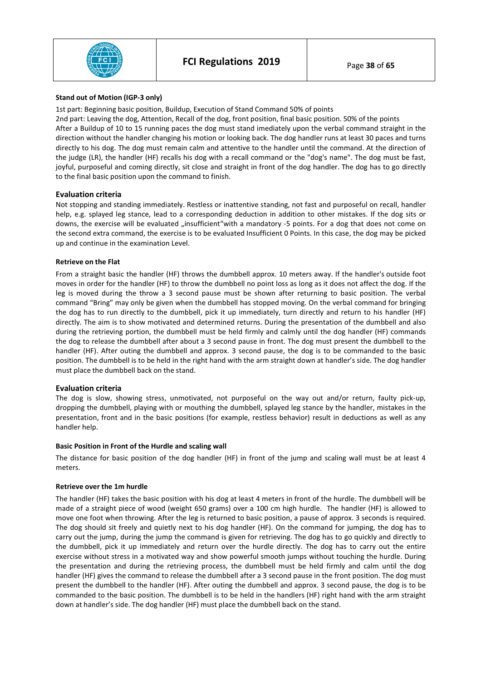

#### **Stand out of Motion (IGP-3 only)**

1st part: Beginning basic position, Buildup, Execution of Stand Command 50% of points

2nd part: Leaving the dog, Attention, Recall of the dog, front position, final basic position. 50% of the points After a Buildup of 10 to 15 running paces the dog must stand imediately upon the verbal command straight in the direction without the handler changing his motion or looking back. The dog handler runs at least 30 paces and turns directly to his dog. The dog must remain calm and attentive to the handler until the command. At the direction of the judge (LR), the handler (HF) recalls his dog with a recall command or the "dog's name". The dog must be fast, joyful, purposeful and coming directly, sit close and straight in front of the dog handler. The dog has to go directly to the final basic position upon the command to finish.

## **Evaluation criteria**

Not stopping and standing immediately. Restless or inattentive standing, not fast and purposeful on recall, handler help, e.g. splayed leg stance, lead to a corresponding deduction in addition to other mistakes. If the dog sits or downs, the exercise will be evaluated "insufficient"with a mandatory -5 points. For a dog that does not come on the second extra command, the exercise is to be evaluated Insufficient 0 Points. In this case, the dog may be picked up and continue in the examination Level.

#### **Retrieve on the Flat**

From a straight basic the handler (HF) throws the dumbbell approx. 10 meters away. If the handler's outside foot moves in order for the handler (HF) to throw the dumbbell no point loss as long as it does not affect the dog. If the leg is moved during the throw a 3 second pause must be shown after returning to basic position. The verbal command "Bring" may only be given when the dumbbell has stopped moving. On the verbal command for bringing the dog has to run directly to the dumbbell, pick it up immediately, turn directly and return to his handler (HF) directly. The aim is to show motivated and determined returns. During the presentation of the dumbbell and also during the retrieving portion, the dumbbell must be held firmly and calmly until the dog handler (HF) commands the dog to release the dumbbell after about a 3 second pause in front. The dog must present the dumbbell to the handler (HF). After outing the dumbbell and approx. 3 second pause, the dog is to be commanded to the basic position. The dumbbell is to be held in the right hand with the arm straight down at handler's side. The dog handler must place the dumbbell back on the stand.

## **Evaluation criteria**

The dog is slow, showing stress, unmotivated, not purposeful on the way out and/or return, faulty pick-up, dropping the dumbbell, playing with or mouthing the dumbbell, splayed leg stance by the handler, mistakes in the presentation, front and in the basic positions (for example, restless behavior) result in deductions as well as any handler help.

#### **Basic Position in Front of the Hurdle and scaling wall**

The distance for basic position of the dog handler (HF) in front of the jump and scaling wall must be at least 4 meters.

#### **Retrieve over the 1m hurdle**

The handler (HF) takes the basic position with his dog at least 4 meters in front of the hurdle. The dumbbell will be made of a straight piece of wood (weight 650 grams) over a 100 cm high hurdle. The handler (HF) is allowed to move one foot when throwing. After the leg is returned to basic position, a pause of approx. 3 seconds is required. The dog should sit freely and quietly next to his dog handler (HF). On the command for jumping, the dog has to carry out the jump, during the jump the command is given for retrieving. The dog has to go quickly and directly to the dumbbell, pick it up immediately and return over the hurdle directly. The dog has to carry out the entire exercise without stress in a motivated way and show powerful smooth jumps without touching the hurdle. During the presentation and during the retrieving process, the dumbbell must be held firmly and calm until the dog handler (HF) gives the command to release the dumbbell after a 3 second pause in the front position. The dog must present the dumbbell to the handler (HF). After outing the dumbbell and approx. 3 second pause, the dog is to be commanded to the basic position. The dumbbell is to be held in the handlers (HF) right hand with the arm straight down at handler's side. The dog handler (HF) must place the dumbbell back on the stand.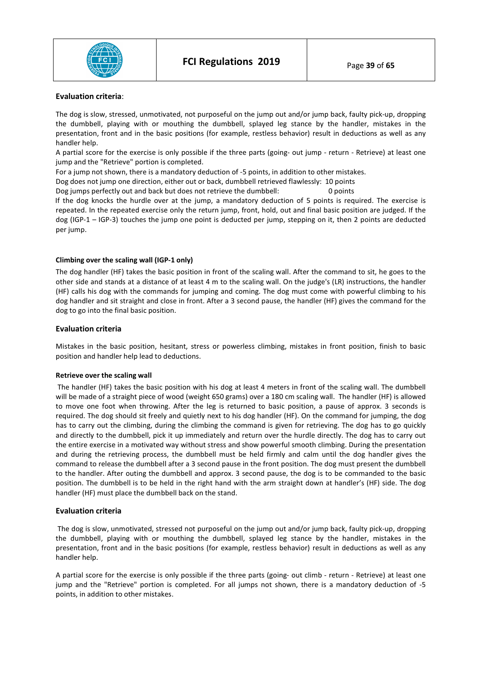

#### **Evaluation criteria**:

The dog is slow, stressed, unmotivated, not purposeful on the jump out and/or jump back, faulty pick-up, dropping the dumbbell, playing with or mouthing the dumbbell, splayed leg stance by the handler, mistakes in the presentation, front and in the basic positions (for example, restless behavior) result in deductions as well as any handler help.

A partial score for the exercise is only possible if the three parts (going- out jump - return - Retrieve) at least one jump and the "Retrieve" portion is completed.

For a jump not shown, there is a mandatory deduction of -5 points, in addition to other mistakes.

Dog does not jump one direction, either out or back, dumbbell retrieved flawlessly: 10 points

Dog jumps perfectly out and back but does not retrieve the dumbbell: 0 points

If the dog knocks the hurdle over at the jump, a mandatory deduction of 5 points is required. The exercise is repeated. In the repeated exercise only the return jump, front, hold, out and final basic position are judged. If the dog (IGP-1 – IGP-3) touches the jump one point is deducted per jump, stepping on it, then 2 points are deducted per jump.

#### **Climbing over the scaling wall (IGP-1 only)**

The dog handler (HF) takes the basic position in front of the scaling wall. After the command to sit, he goes to the other side and stands at a distance of at least 4 m to the scaling wall. On the judge's (LR) instructions, the handler (HF) calls his dog with the commands for jumping and coming. The dog must come with powerful climbing to his dog handler and sit straight and close in front. After a 3 second pause, the handler (HF) gives the command for the dog to go into the final basic position.

#### **Evaluation criteria**

Mistakes in the basic position, hesitant, stress or powerless climbing, mistakes in front position, finish to basic position and handler help lead to deductions.

## **Retrieve over the scaling wall**

 The handler (HF) takes the basic position with his dog at least 4 meters in front of the scaling wall. The dumbbell will be made of a straight piece of wood (weight 650 grams) over a 180 cm scaling wall. The handler (HF) is allowed to move one foot when throwing. After the leg is returned to basic position, a pause of approx. 3 seconds is required. The dog should sit freely and quietly next to his dog handler (HF). On the command for jumping, the dog has to carry out the climbing, during the climbing the command is given for retrieving. The dog has to go quickly and directly to the dumbbell, pick it up immediately and return over the hurdle directly. The dog has to carry out the entire exercise in a motivated way without stress and show powerful smooth climbing. During the presentation and during the retrieving process, the dumbbell must be held firmly and calm until the dog handler gives the command to release the dumbbell after a 3 second pause in the front position. The dog must present the dumbbell to the handler. After outing the dumbbell and approx. 3 second pause, the dog is to be commanded to the basic position. The dumbbell is to be held in the right hand with the arm straight down at handler's (HF) side. The dog handler (HF) must place the dumbbell back on the stand.

#### **Evaluation criteria**

 The dog is slow, unmotivated, stressed not purposeful on the jump out and/or jump back, faulty pick-up, dropping the dumbbell, playing with or mouthing the dumbbell, splayed leg stance by the handler, mistakes in the presentation, front and in the basic positions (for example, restless behavior) result in deductions as well as any handler help.

A partial score for the exercise is only possible if the three parts (going- out climb - return - Retrieve) at least one jump and the "Retrieve" portion is completed. For all jumps not shown, there is a mandatory deduction of -5 points, in addition to other mistakes.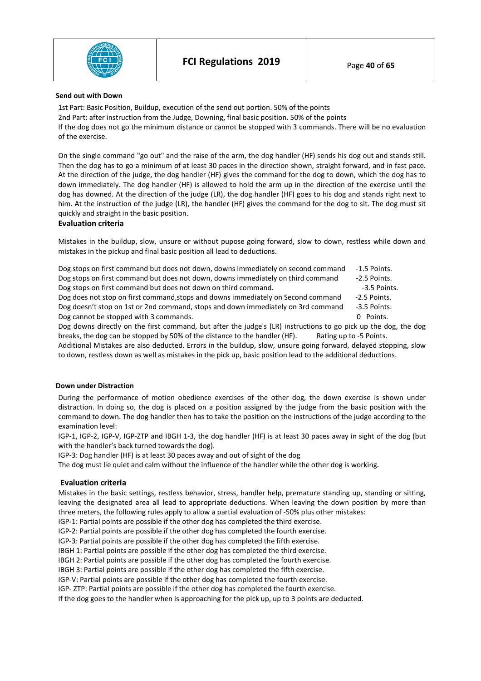

#### **Send out with Down**

1st Part: Basic Position, Buildup, execution of the send out portion. 50% of the points 2nd Part: after instruction from the Judge, Downing, final basic position. 50% of the points If the dog does not go the minimum distance or cannot be stopped with 3 commands. There will be no evaluation of the exercise.

On the single command "go out" and the raise of the arm, the dog handler (HF) sends his dog out and stands still. Then the dog has to go a minimum of at least 30 paces in the direction shown, straight forward, and in fast pace. At the direction of the judge, the dog handler (HF) gives the command for the dog to down, which the dog has to down immediately. The dog handler (HF) is allowed to hold the arm up in the direction of the exercise until the dog has downed. At the direction of the judge (LR), the dog handler (HF) goes to his dog and stands right next to him. At the instruction of the judge (LR), the handler (HF) gives the command for the dog to sit. The dog must sit quickly and straight in the basic position.

#### **Evaluation criteria**

Mistakes in the buildup, slow, unsure or without pupose going forward, slow to down, restless while down and mistakes in the pickup and final basic position all lead to deductions.

| Dog stops on first command but does not down, downs immediately on second command                         | $-1.5$ Points. |
|-----------------------------------------------------------------------------------------------------------|----------------|
| Dog stops on first command but does not down, downs immediately on third command                          | -2.5 Points.   |
| Dog stops on first command but does not down on third command.                                            | -3.5 Points.   |
| Dog does not stop on first command, stops and downs immediately on Second command                         | -2.5 Points.   |
| Dog doesn't stop on 1st or 2nd command, stops and down immediately on 3rd command                         | -3.5 Points.   |
| Dog cannot be stopped with 3 commands.                                                                    | 0 Points.      |
| Dog downs directly on the first command but after the judge's (LR) instructions to go nick un the dog the |                |

Dog downs directly on the first command, but after the judge's (LR) instructions to go pick up the dog, the dog breaks, the dog can be stopped by 50% of the distance to the handler (HF). Rating up to -5 Points.

Additional Mistakes are also deducted. Errors in the buildup, slow, unsure going forward, delayed stopping, slow to down, restless down as well as mistakes in the pick up, basic position lead to the additional deductions.

#### **Down under Distraction**

During the performance of motion obedience exercises of the other dog, the down exercise is shown under distraction. In doing so, the dog is placed on a position assigned by the judge from the basic position with the command to down. The dog handler then has to take the position on the instructions of the judge according to the examination level:

IGP-1, IGP-2, IGP-V, IGP-ZTP and IBGH 1-3, the dog handler (HF) is at least 30 paces away in sight of the dog (but with the handler's back turned towards the dog).

IGP-3: Dog handler (HF) is at least 30 paces away and out of sight of the dog

The dog must lie quiet and calm without the influence of the handler while the other dog is working.

## **Evaluation criteria**

Mistakes in the basic settings, restless behavior, stress, handler help, premature standing up, standing or sitting, leaving the designated area all lead to appropriate deductions. When leaving the down position by more than three meters, the following rules apply to allow a partial evaluation of -50% plus other mistakes:

IGP-1: Partial points are possible if the other dog has completed the third exercise.

IGP-2: Partial points are possible if the other dog has completed the fourth exercise.

IGP-3: Partial points are possible if the other dog has completed the fifth exercise.

IBGH 1: Partial points are possible if the other dog has completed the third exercise.

IBGH 2: Partial points are possible if the other dog has completed the fourth exercise.

IBGH 3: Partial points are possible if the other dog has completed the fifth exercise.

IGP-V: Partial points are possible if the other dog has completed the fourth exercise.

IGP- ZTP: Partial points are possible if the other dog has completed the fourth exercise.

If the dog goes to the handler when is approaching for the pick up, up to 3 points are deducted.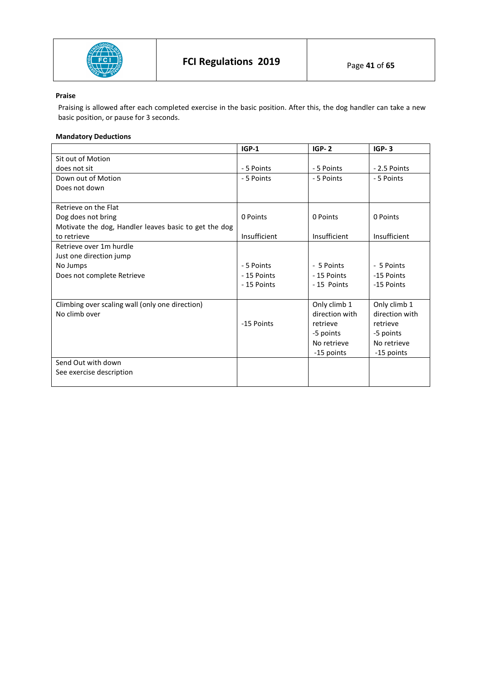

# **Praise**

Praising is allowed after each completed exercise in the basic position. After this, the dog handler can take a new basic position, or pause for 3 seconds.

# **Mandatory Deductions**

|                                                       | $IGP-1$      | $IGP-2$        | $IGP-3$        |
|-------------------------------------------------------|--------------|----------------|----------------|
| Sit out of Motion                                     |              |                |                |
| does not sit                                          | - 5 Points   | - 5 Points     | - 2.5 Points   |
| Down out of Motion                                    | - 5 Points   | - 5 Points     | - 5 Points     |
| Does not down                                         |              |                |                |
|                                                       |              |                |                |
| Retrieve on the Flat                                  |              |                |                |
| Dog does not bring                                    | 0 Points     | 0 Points       | 0 Points       |
| Motivate the dog, Handler leaves basic to get the dog |              |                |                |
| to retrieve                                           | Insufficient | Insufficient   | Insufficient   |
| Retrieve over 1m hurdle                               |              |                |                |
| Just one direction jump                               |              |                |                |
| No Jumps                                              | - 5 Points   | - 5 Points     | - 5 Points     |
| Does not complete Retrieve                            | - 15 Points  | - 15 Points    | -15 Points     |
|                                                       | - 15 Points  | -15 Points     | -15 Points     |
|                                                       |              |                |                |
| Climbing over scaling wall (only one direction)       |              | Only climb 1   | Only climb 1   |
| No climb over                                         |              | direction with | direction with |
|                                                       | -15 Points   | retrieve       | retrieve       |
|                                                       |              | -5 points      | -5 points      |
|                                                       |              | No retrieve    | No retrieve    |
|                                                       |              | -15 points     | -15 points     |
| Send Out with down                                    |              |                |                |
| See exercise description                              |              |                |                |
|                                                       |              |                |                |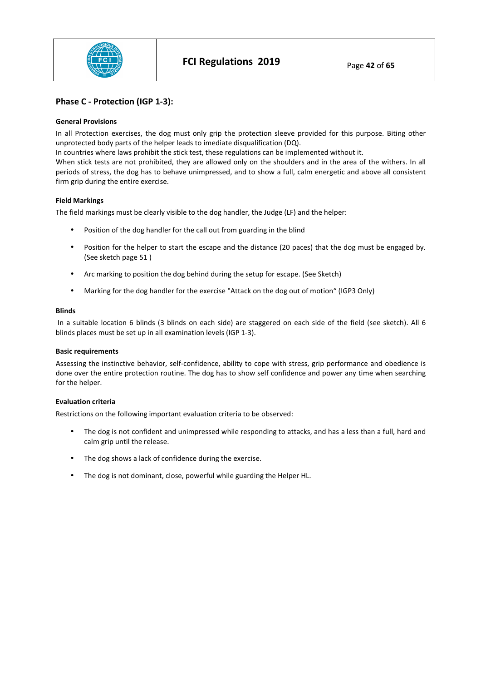

# **Phase C - Protection (IGP 1-3):**

#### **General Provisions**

In all Protection exercises, the dog must only grip the protection sleeve provided for this purpose. Biting other unprotected body parts of the helper leads to imediate disqualification (DQ).

In countries where laws prohibit the stick test, these regulations can be implemented without it.

When stick tests are not prohibited, they are allowed only on the shoulders and in the area of the withers. In all periods of stress, the dog has to behave unimpressed, and to show a full, calm energetic and above all consistent firm grip during the entire exercise.

#### **Field Markings**

The field markings must be clearly visible to the dog handler, the Judge (LF) and the helper:

- Position of the dog handler for the call out from guarding in the blind
- Position for the helper to start the escape and the distance (20 paces) that the dog must be engaged by. (See sketch page 51 )
- Arc marking to position the dog behind during the setup for escape. (See Sketch)
- Marking for the dog handler for the exercise "Attack on the dog out of motion" (IGP3 Only)

#### **Blinds**

 In a suitable location 6 blinds (3 blinds on each side) are staggered on each side of the field (see sketch). All 6 blinds places must be set up in all examination levels (IGP 1-3).

#### **Basic requirements**

Assessing the instinctive behavior, self-confidence, ability to cope with stress, grip performance and obedience is done over the entire protection routine. The dog has to show self confidence and power any time when searching for the helper.

#### **Evaluation criteria**

Restrictions on the following important evaluation criteria to be observed:

- The dog is not confident and unimpressed while responding to attacks, and has a less than a full, hard and calm grip until the release.
- The dog shows a lack of confidence during the exercise.
- The dog is not dominant, close, powerful while guarding the Helper HL.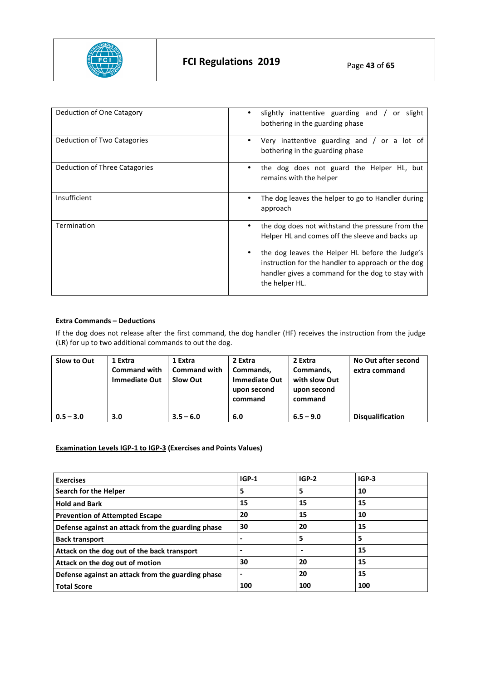

| Deduction of One Catagory     | slightly inattentive guarding and /<br>slight<br>or<br>bothering in the guarding phase                                                                                                                                                                                             |
|-------------------------------|------------------------------------------------------------------------------------------------------------------------------------------------------------------------------------------------------------------------------------------------------------------------------------|
| Deduction of Two Catagories   | Very inattentive guarding and $\frac{1}{2}$ or a lot of<br>bothering in the guarding phase                                                                                                                                                                                         |
| Deduction of Three Catagories | the dog does not guard the Helper HL, but<br>remains with the helper                                                                                                                                                                                                               |
| Insufficient                  | The dog leaves the helper to go to Handler during<br>approach                                                                                                                                                                                                                      |
| Termination                   | the dog does not withstand the pressure from the<br>Helper HL and comes off the sleeve and backs up<br>the dog leaves the Helper HL before the Judge's<br>instruction for the handler to approach or the dog<br>handler gives a command for the dog to stay with<br>the helper HL. |

## **Extra Commands – Deductions**

If the dog does not release after the first command, the dog handler (HF) receives the instruction from the judge (LR) for up to two additional commands to out the dog.

| Slow to Out | 1 Extra<br><b>Command with</b><br><b>Immediate Out</b> | 1 Extra<br><b>Command with</b><br><b>Slow Out</b> | 2 Extra<br>Commands,<br><b>Immediate Out</b><br>upon second<br>command | 2 Extra<br>Commands,<br>with slow Out<br>upon second<br>command | No Out after second<br>extra command |
|-------------|--------------------------------------------------------|---------------------------------------------------|------------------------------------------------------------------------|-----------------------------------------------------------------|--------------------------------------|
| $0.5 - 3.0$ | 3.0                                                    | $3.5 - 6.0$                                       | 6.0                                                                    | $6.5 - 9.0$                                                     | <b>Disqualification</b>              |

# **Examination Levels IGP-1 to IGP-3 (Exercises and Points Values)**

| <b>Exercises</b>                                  | $IGP-1$ | $IGP-2$ | $IGP-3$ |
|---------------------------------------------------|---------|---------|---------|
| Search for the Helper                             | 5       | 5       | 10      |
| <b>Hold and Bark</b>                              | 15      | 15      | 15      |
| <b>Prevention of Attempted Escape</b>             | 20      | 15      | 10      |
| Defense against an attack from the guarding phase | 30      | 20      | 15      |
| <b>Back transport</b>                             |         | 5       |         |
| Attack on the dog out of the back transport       |         |         | 15      |
| Attack on the dog out of motion                   | 30      | 20      | 15      |
| Defense against an attack from the guarding phase | -       | 20      | 15      |
| <b>Total Score</b>                                | 100     | 100     | 100     |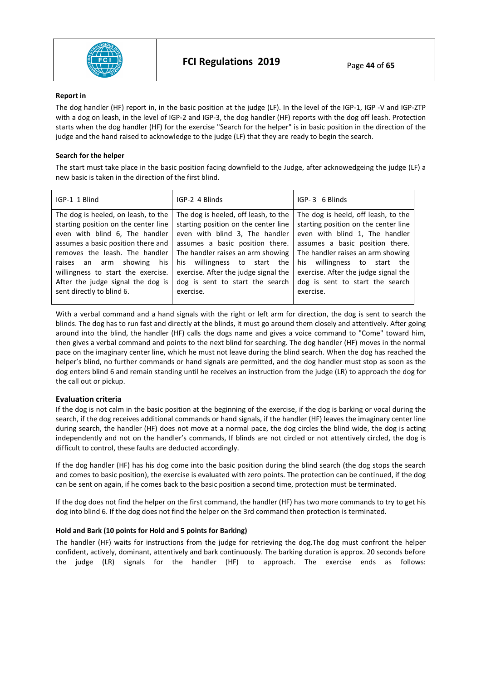

#### **Report in**

The dog handler (HF) report in, in the basic position at the judge (LF). In the level of the IGP-1, IGP -V and IGP-ZTP with a dog on leash, in the level of IGP-2 and IGP-3, the dog handler (HF) reports with the dog off leash. Protection starts when the dog handler (HF) for the exercise "Search for the helper" is in basic position in the direction of the judge and the hand raised to acknowledge to the judge (LF) that they are ready to begin the search.

## **Search for the helper**

The start must take place in the basic position facing downfield to the Judge, after acknowedgeing the judge (LF) a new basic is taken in the direction of the first blind.

| The dog is heeled, on leash, to the<br>The dog is heeld, off leash, to the<br>The dog is heeled, off leash, to the<br>starting position on the center line<br>starting position on the center line<br>starting position on the center line<br>even with blind 1, The handler<br>even with blind 6, The handler<br>even with blind 3, The handler<br>assumes a basic position there and<br>assumes a basic position there.<br>assumes a basic position there.<br>The handler raises an arm showing<br>The handler raises an arm showing<br>removes the leash. The handler<br>raises an arm showing his<br>his willingness to start the<br>his willingness to start the<br>exercise. After the judge signal the<br>willingness to start the exercise.<br>exercise. After the judge signal the<br>After the judge signal the dog is<br>dog is sent to start the search<br>dog is sent to start the search<br>sent directly to blind 6.<br>exercise.<br>exercise. | IGP-1 1 Blind | IGP-2 4 Blinds | IGP-3 6 Blinds |
|---------------------------------------------------------------------------------------------------------------------------------------------------------------------------------------------------------------------------------------------------------------------------------------------------------------------------------------------------------------------------------------------------------------------------------------------------------------------------------------------------------------------------------------------------------------------------------------------------------------------------------------------------------------------------------------------------------------------------------------------------------------------------------------------------------------------------------------------------------------------------------------------------------------------------------------------------------------|---------------|----------------|----------------|
|                                                                                                                                                                                                                                                                                                                                                                                                                                                                                                                                                                                                                                                                                                                                                                                                                                                                                                                                                               |               |                |                |

With a verbal command and a hand signals with the right or left arm for direction, the dog is sent to search the blinds. The dog has to run fast and directly at the blinds, it must go around them closely and attentively. After going around into the blind, the handler (HF) calls the dogs name and gives a voice command to "Come" toward him, then gives a verbal command and points to the next blind for searching. The dog handler (HF) moves in the normal pace on the imaginary center line, which he must not leave during the blind search. When the dog has reached the helper's blind, no further commands or hand signals are permitted, and the dog handler must stop as soon as the dog enters blind 6 and remain standing until he receives an instruction from the judge (LR) to approach the dog for the call out or pickup.

# **Evaluation criteria**

If the dog is not calm in the basic position at the beginning of the exercise, if the dog is barking or vocal during the search, if the dog receives additional commands or hand signals, if the handler (HF) leaves the imaginary center line during search, the handler (HF) does not move at a normal pace, the dog circles the blind wide, the dog is acting independently and not on the handler's commands, If blinds are not circled or not attentively circled, the dog is difficult to control, these faults are deducted accordingly.

If the dog handler (HF) has his dog come into the basic position during the blind search (the dog stops the search and comes to basic position), the exercise is evaluated with zero points. The protection can be continued, if the dog can be sent on again, if he comes back to the basic position a second time, protection must be terminated.

If the dog does not find the helper on the first command, the handler (HF) has two more commands to try to get his dog into blind 6. If the dog does not find the helper on the 3rd command then protection is terminated.

## **Hold and Bark (10 points for Hold and 5 points for Barking)**

The handler (HF) waits for instructions from the judge for retrieving the dog.The dog must confront the helper confident, actively, dominant, attentively and bark continuously. The barking duration is approx. 20 seconds before the judge (LR) signals for the handler (HF) to approach. The exercise ends as follows: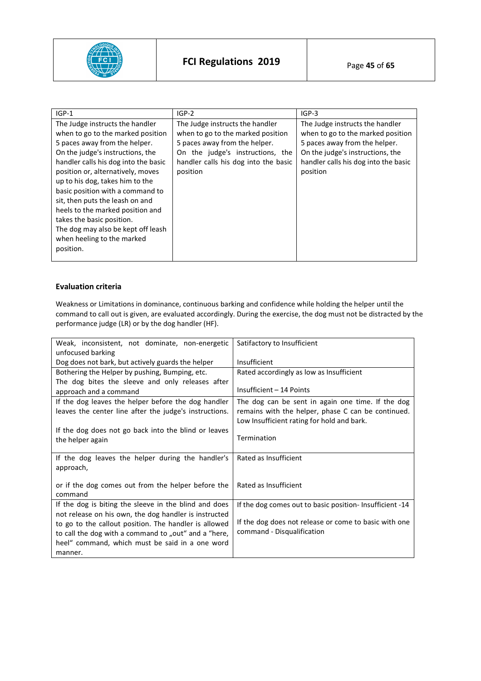

| $IGP-1$                                                                                                                                                                                                                                                                                                                                                                                                                                                                            | $IGP-2$                                                                                                                                                                                       | $IGP-3$                                                                                                                                                                                       |
|------------------------------------------------------------------------------------------------------------------------------------------------------------------------------------------------------------------------------------------------------------------------------------------------------------------------------------------------------------------------------------------------------------------------------------------------------------------------------------|-----------------------------------------------------------------------------------------------------------------------------------------------------------------------------------------------|-----------------------------------------------------------------------------------------------------------------------------------------------------------------------------------------------|
| The Judge instructs the handler<br>when to go to the marked position<br>5 paces away from the helper.<br>On the judge's instructions, the<br>handler calls his dog into the basic<br>position or, alternatively, moves<br>up to his dog, takes him to the<br>basic position with a command to<br>sit, then puts the leash on and<br>heels to the marked position and<br>takes the basic position.<br>The dog may also be kept off leash<br>when heeling to the marked<br>position. | The Judge instructs the handler<br>when to go to the marked position<br>5 paces away from the helper.<br>On the judge's instructions, the<br>handler calls his dog into the basic<br>position | The Judge instructs the handler<br>when to go to the marked position<br>5 paces away from the helper.<br>On the judge's instructions, the<br>handler calls his dog into the basic<br>position |

# **Evaluation criteria**

Weakness or Limitations in dominance, continuous barking and confidence while holding the helper until the command to call out is given, are evaluated accordingly. During the exercise, the dog must not be distracted by the performance judge (LR) or by the dog handler (HF).

| Weak, inconsistent, not dominate, non-energetic        | Satifactory to Insufficient                              |
|--------------------------------------------------------|----------------------------------------------------------|
| unfocused barking                                      |                                                          |
| Dog does not bark, but actively guards the helper      | Insufficient                                             |
| Bothering the Helper by pushing, Bumping, etc.         | Rated accordingly as low as Insufficient                 |
| The dog bites the sleeve and only releases after       |                                                          |
| approach and a command                                 | Insufficient - 14 Points                                 |
| If the dog leaves the helper before the dog handler    | The dog can be sent in again one time. If the dog        |
| leaves the center line after the judge's instructions. | remains with the helper, phase C can be continued.       |
|                                                        | Low Insufficient rating for hold and bark.               |
| If the dog does not go back into the blind or leaves   |                                                          |
| the helper again                                       | Termination                                              |
|                                                        |                                                          |
| If the dog leaves the helper during the handler's      | Rated as Insufficient                                    |
| approach,                                              |                                                          |
|                                                        |                                                          |
| or if the dog comes out from the helper before the     | Rated as Insufficient                                    |
| command                                                |                                                          |
| If the dog is biting the sleeve in the blind and does  | If the dog comes out to basic position- Insufficient -14 |
| not release on his own, the dog handler is instructed  |                                                          |
| to go to the callout position. The handler is allowed  | If the dog does not release or come to basic with one    |
| to call the dog with a command to "out" and a "here,   | command - Disqualification                               |
| heel" command, which must be said in a one word        |                                                          |
| manner.                                                |                                                          |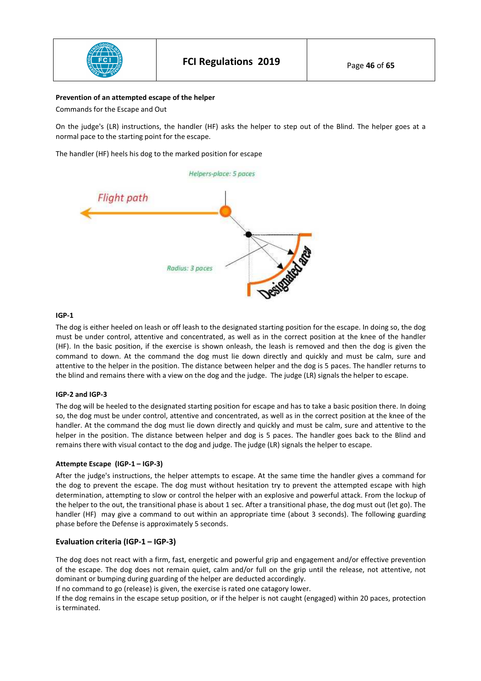

#### **Prevention of an attempted escape of the helper**

Commands for the Escape and Out

On the judge's (LR) instructions, the handler (HF) asks the helper to step out of the Blind. The helper goes at a normal pace to the starting point for the escape.

The handler (HF) heels his dog to the marked position for escape



#### **IGP-1**

The dog is either heeled on leash or off leash to the designated starting position for the escape. In doing so, the dog must be under control, attentive and concentrated, as well as in the correct position at the knee of the handler (HF). In the basic position, if the exercise is shown onleash, the leash is removed and then the dog is given the command to down. At the command the dog must lie down directly and quickly and must be calm, sure and attentive to the helper in the position. The distance between helper and the dog is 5 paces. The handler returns to the blind and remains there with a view on the dog and the judge. The judge (LR) signals the helper to escape.

#### **IGP-2 and IGP-3**

The dog will be heeled to the designated starting position for escape and has to take a basic position there. In doing so, the dog must be under control, attentive and concentrated, as well as in the correct position at the knee of the handler. At the command the dog must lie down directly and quickly and must be calm, sure and attentive to the helper in the position. The distance between helper and dog is 5 paces. The handler goes back to the Blind and remains there with visual contact to the dog and judge. The judge (LR) signals the helper to escape.

#### **Attempte Escape (IGP-1 – IGP-3)**

After the judge's instructions, the helper attempts to escape. At the same time the handler gives a command for the dog to prevent the escape. The dog must without hesitation try to prevent the attempted escape with high determination, attempting to slow or control the helper with an explosive and powerful attack. From the lockup of the helper to the out, the transitional phase is about 1 sec. After a transitional phase, the dog must out (let go). The handler (HF) may give a command to out within an appropriate time (about 3 seconds). The following guarding phase before the Defense is approximately 5 seconds.

## **Evaluation criteria (IGP-1 – IGP-3)**

The dog does not react with a firm, fast, energetic and powerful grip and engagement and/or effective prevention of the escape. The dog does not remain quiet, calm and/or full on the grip until the release, not attentive, not dominant or bumping during guarding of the helper are deducted accordingly.

If no command to go (release) is given, the exercise is rated one catagory lower.

If the dog remains in the escape setup position, or if the helper is not caught (engaged) within 20 paces, protection is terminated.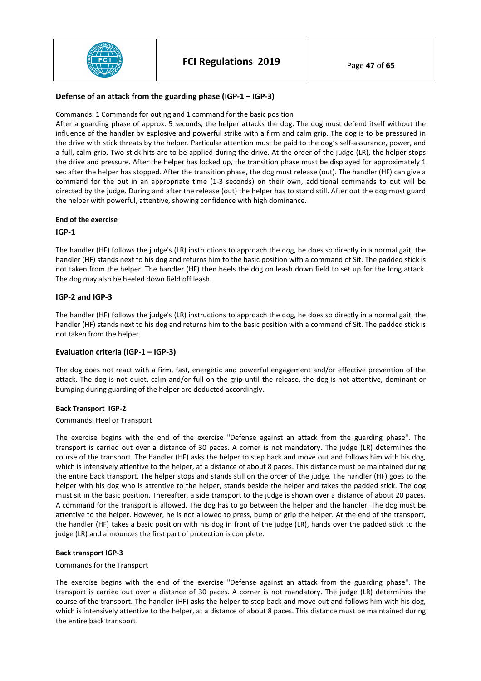

## **Defense of an attack from the guarding phase (IGP-1 – IGP-3)**

Commands: 1 Commands for outing and 1 command for the basic position

After a guarding phase of approx. 5 seconds, the helper attacks the dog. The dog must defend itself without the influence of the handler by explosive and powerful strike with a firm and calm grip. The dog is to be pressured in the drive with stick threats by the helper. Particular attention must be paid to the dog's self-assurance, power, and a full, calm grip. Two stick hits are to be applied during the drive. At the order of the judge (LR), the helper stops the drive and pressure. After the helper has locked up, the transition phase must be displayed for approximately 1 sec after the helper has stopped. After the transition phase, the dog must release (out). The handler (HF) can give a command for the out in an appropriate time (1-3 seconds) on their own, additional commands to out will be directed by the judge. During and after the release (out) the helper has to stand still. After out the dog must guard the helper with powerful, attentive, showing confidence with high dominance.

#### **End of the exercise**

## **IGP-1**

The handler (HF) follows the judge's (LR) instructions to approach the dog, he does so directly in a normal gait, the handler (HF) stands next to his dog and returns him to the basic position with a command of Sit. The padded stick is not taken from the helper. The handler (HF) then heels the dog on leash down field to set up for the long attack. The dog may also be heeled down field off leash.

## **IGP-2 and IGP-3**

The handler (HF) follows the judge's (LR) instructions to approach the dog, he does so directly in a normal gait, the handler (HF) stands next to his dog and returns him to the basic position with a command of Sit. The padded stick is not taken from the helper.

## **Evaluation criteria (IGP-1 – IGP-3)**

The dog does not react with a firm, fast, energetic and powerful engagement and/or effective prevention of the attack. The dog is not quiet, calm and/or full on the grip until the release, the dog is not attentive, dominant or bumping during guarding of the helper are deducted accordingly.

#### **Back Transport IGP-2**

#### Commands: Heel or Transport

The exercise begins with the end of the exercise "Defense against an attack from the guarding phase". The transport is carried out over a distance of 30 paces. A corner is not mandatory. The judge (LR) determines the course of the transport. The handler (HF) asks the helper to step back and move out and follows him with his dog, which is intensively attentive to the helper, at a distance of about 8 paces. This distance must be maintained during the entire back transport. The helper stops and stands still on the order of the judge. The handler (HF) goes to the helper with his dog who is attentive to the helper, stands beside the helper and takes the padded stick. The dog must sit in the basic position. Thereafter, a side transport to the judge is shown over a distance of about 20 paces. A command for the transport is allowed. The dog has to go between the helper and the handler. The dog must be attentive to the helper. However, he is not allowed to press, bump or grip the helper. At the end of the transport, the handler (HF) takes a basic position with his dog in front of the judge (LR), hands over the padded stick to the judge (LR) and announces the first part of protection is complete.

#### **Back transport IGP-3**

#### Commands for the Transport

The exercise begins with the end of the exercise "Defense against an attack from the guarding phase". The transport is carried out over a distance of 30 paces. A corner is not mandatory. The judge (LR) determines the course of the transport. The handler (HF) asks the helper to step back and move out and follows him with his dog, which is intensively attentive to the helper, at a distance of about 8 paces. This distance must be maintained during the entire back transport.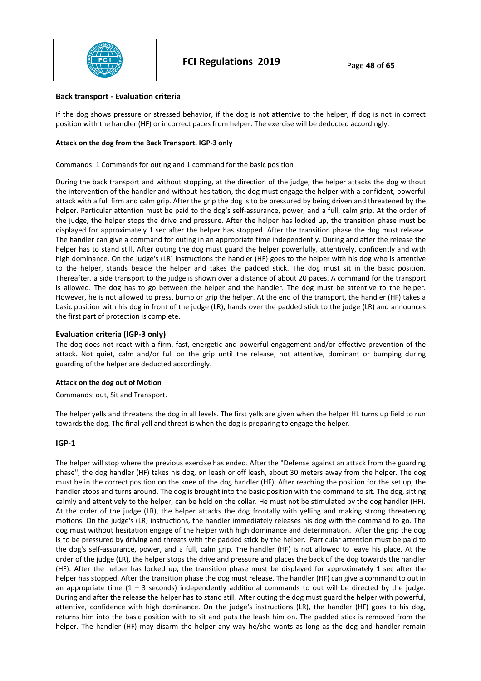

#### **Back transport - Evaluation criteria**

If the dog shows pressure or stressed behavior, if the dog is not attentive to the helper, if dog is not in correct position with the handler (HF) or incorrect paces from helper. The exercise will be deducted accordingly.

#### **Attack on the dog from the Back Transport. IGP-3 only**

Commands: 1 Commands for outing and 1 command for the basic position

During the back transport and without stopping, at the direction of the judge, the helper attacks the dog without the intervention of the handler and without hesitation, the dog must engage the helper with a confident, powerful attack with a full firm and calm grip. After the grip the dog is to be pressured by being driven and threatened by the helper. Particular attention must be paid to the dog's self-assurance, power, and a full, calm grip. At the order of the judge, the helper stops the drive and pressure. After the helper has locked up, the transition phase must be displayed for approximately 1 sec after the helper has stopped. After the transition phase the dog must release. The handler can give a command for outing in an appropriate time independently. During and after the release the helper has to stand still. After outing the dog must guard the helper powerfully, attentively, confidently and with high dominance. On the judge's (LR) instructions the handler (HF) goes to the helper with his dog who is attentive to the helper, stands beside the helper and takes the padded stick. The dog must sit in the basic position. Thereafter, a side transport to the judge is shown over a distance of about 20 paces. A command for the transport is allowed. The dog has to go between the helper and the handler. The dog must be attentive to the helper. However, he is not allowed to press, bump or grip the helper. At the end of the transport, the handler (HF) takes a basic position with his dog in front of the judge (LR), hands over the padded stick to the judge (LR) and announces the first part of protection is complete.

## **Evaluation criteria (IGP-3 only)**

The dog does not react with a firm, fast, energetic and powerful engagement and/or effective prevention of the attack. Not quiet, calm and/or full on the grip until the release, not attentive, dominant or bumping during guarding of the helper are deducted accordingly.

## **Attack on the dog out of Motion**

Commands: out, Sit and Transport.

The helper yells and threatens the dog in all levels. The first yells are given when the helper HL turns up field to run towards the dog. The final yell and threat is when the dog is preparing to engage the helper.

## **IGP-1**

The helper will stop where the previous exercise has ended. After the "Defense against an attack from the guarding phase", the dog handler (HF) takes his dog, on leash or off leash, about 30 meters away from the helper. The dog must be in the correct position on the knee of the dog handler (HF). After reaching the position for the set up, the handler stops and turns around. The dog is brought into the basic position with the command to sit. The dog, sitting calmly and attentively to the helper, can be held on the collar. He must not be stimulated by the dog handler (HF). At the order of the judge (LR), the helper attacks the dog frontally with yelling and making strong threatening motions. On the judge's (LR) instructions, the handler immediately releases his dog with the command to go. The dog must without hesitation engage of the helper with high dominance and determination. After the grip the dog is to be pressured by driving and threats with the padded stick by the helper. Particular attention must be paid to the dog's self-assurance, power, and a full, calm grip. The handler (HF) is not allowed to leave his place. At the order of the judge (LR), the helper stops the drive and pressure and places the back of the dog towards the handler (HF). After the helper has locked up, the transition phase must be displayed for approximately 1 sec after the helper has stopped. After the transition phase the dog must release. The handler (HF) can give a command to out in an appropriate time  $(1 - 3$  seconds) independently additional commands to out will be directed by the judge. During and after the release the helper has to stand still. After outing the dog must guard the helper with powerful, attentive, confidence with high dominance. On the judge's instructions (LR), the handler (HF) goes to his dog, returns him into the basic position with to sit and puts the leash him on. The padded stick is removed from the helper. The handler (HF) may disarm the helper any way he/she wants as long as the dog and handler remain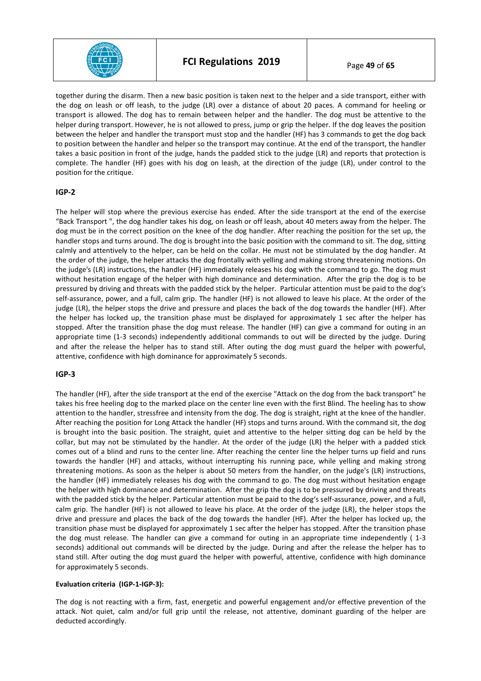

together during the disarm. Then a new basic position is taken next to the helper and a side transport, either with the dog on leash or off leash, to the judge (LR) over a distance of about 20 paces. A command for heeling or transport is allowed. The dog has to remain between helper and the handler. The dog must be attentive to the helper during transport. However, he is not allowed to press, jump or grip the helper. If the dog leaves the position between the helper and handler the transport must stop and the handler (HF) has 3 commands to get the dog back to position between the handler and helper so the transport may continue. At the end of the transport, the handler takes a basic position in front of the judge, hands the padded stick to the judge (LR) and reports that protection is complete. The handler (HF) goes with his dog on leash, at the direction of the judge (LR), under control to the position for the critique.

## **IGP-2**

The helper will stop where the previous exercise has ended. After the side transport at the end of the exercise "Back Transport ", the dog handler takes his dog, on leash or off leash, about 40 meters away from the helper. The dog must be in the correct position on the knee of the dog handler. After reaching the position for the set up, the handler stops and turns around. The dog is brought into the basic position with the command to sit. The dog, sitting calmly and attentively to the helper, can be held on the collar. He must not be stimulated by the dog handler. At the order of the judge, the helper attacks the dog frontally with yelling and making strong threatening motions. On the judge's (LR) instructions, the handler (HF) immediately releases his dog with the command to go. The dog must without hesitation engage of the helper with high dominance and determination. After the grip the dog is to be pressured by driving and threats with the padded stick by the helper. Particular attention must be paid to the dog's self-assurance, power, and a full, calm grip. The handler (HF) is not allowed to leave his place. At the order of the judge (LR), the helper stops the drive and pressure and places the back of the dog towards the handler (HF). After the helper has locked up, the transition phase must be displayed for approximately 1 sec after the helper has stopped. After the transition phase the dog must release. The handler (HF) can give a command for outing in an appropriate time (1-3 seconds) independently additional commands to out will be directed by the judge. During and after the release the helper has to stand still. After outing the dog must guard the helper with powerful, attentive, confidence with high dominance for approximately 5 seconds.

## **IGP-3**

The handler (HF), after the side transport at the end of the exercise "Attack on the dog from the back transport" he takes his free heeling dog to the marked place on the center line even with the first Blind. The heeling has to show attention to the handler, stressfree and intensity from the dog. The dog is straight, right at the knee of the handler. After reaching the position for Long Attack the handler (HF) stops and turns around. With the command sit, the dog is brought into the basic position. The straight, quiet and attentive to the helper sitting dog can be held by the collar, but may not be stimulated by the handler. At the order of the judge (LR) the helper with a padded stick comes out of a blind and runs to the center line. After reaching the center line the helper turns up field and runs towards the handler (HF) and attacks, without interrupting his running pace, while yelling and making strong threatening motions. As soon as the helper is about 50 meters from the handler, on the judge's (LR) instructions, the handler (HF) immediately releases his dog with the command to go. The dog must without hesitation engage the helper with high dominance and determination. After the grip the dog is to be pressured by driving and threats with the padded stick by the helper. Particular attention must be paid to the dog's self-assurance, power, and a full, calm grip. The handler (HF) is not allowed to leave his place. At the order of the judge (LR), the helper stops the drive and pressure and places the back of the dog towards the handler (HF). After the helper has locked up, the transition phase must be displayed for approximately 1 sec after the helper has stopped. After the transition phase the dog must release. The handler can give a command for outing in an appropriate time independently ( 1-3 seconds) additional out commands will be directed by the judge. During and after the release the helper has to stand still. After outing the dog must guard the helper with powerful, attentive, confidence with high dominance for approximately 5 seconds.

#### **Evaluation criteria (IGP-1-IGP-3):**

The dog is not reacting with a firm, fast, energetic and powerful engagement and/or effective prevention of the attack. Not quiet, calm and/or full grip until the release, not attentive, dominant guarding of the helper are deducted accordingly.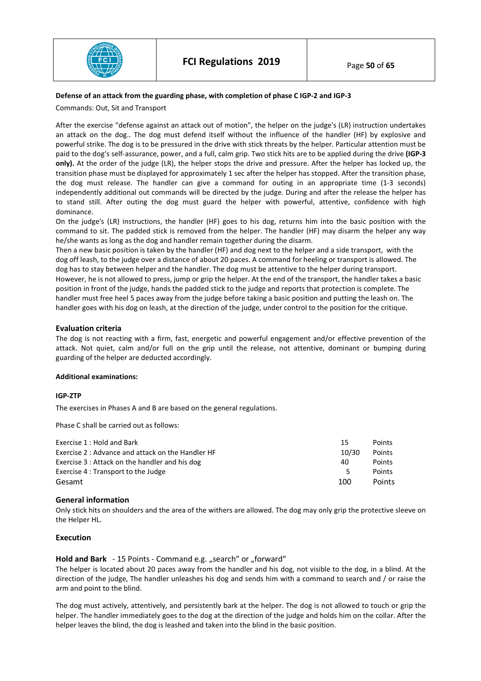

#### **Defense of an attack from the guarding phase, with completion of phase C IGP-2 and IGP-3**

Commands: Out, Sit and Transport

After the exercise "defense against an attack out of motion", the helper on the judge's (LR) instruction undertakes an attack on the dog.. The dog must defend itself without the influence of the handler (HF) by explosive and powerful strike. The dog is to be pressured in the drive with stick threats by the helper. Particular attention must be paid to the dog's self-assurance, power, and a full, calm grip. Two stick hits are to be applied during the drive **(IGP-3 only).** At the order of the judge (LR), the helper stops the drive and pressure. After the helper has locked up, the transition phase must be displayed for approximately 1 sec after the helper has stopped. After the transition phase, the dog must release. The handler can give a command for outing in an appropriate time (1-3 seconds) independently additional out commands will be directed by the judge. During and after the release the helper has to stand still. After outing the dog must guard the helper with powerful, attentive, confidence with high dominance.

On the judge's (LR) instructions, the handler (HF) goes to his dog, returns him into the basic position with the command to sit. The padded stick is removed from the helper. The handler (HF) may disarm the helper any way he/she wants as long as the dog and handler remain together during the disarm.

Then a new basic position is taken by the handler (HF) and dog next to the helper and a side transport, with the dog off leash, to the judge over a distance of about 20 paces. A command for heeling or transport is allowed. The dog has to stay between helper and the handler. The dog must be attentive to the helper during transport. However, he is not allowed to press, jump or grip the helper. At the end of the transport, the handler takes a basic position in front of the judge, hands the padded stick to the judge and reports that protection is complete. The handler must free heel 5 paces away from the judge before taking a basic position and putting the leash on. The handler goes with his dog on leash, at the direction of the judge, under control to the position for the critique.

#### **Evaluation criteria**

The dog is not reacting with a firm, fast, energetic and powerful engagement and/or effective prevention of the attack. Not quiet, calm and/or full on the grip until the release, not attentive, dominant or bumping during guarding of the helper are deducted accordingly.

#### **Additional examinations:**

#### **IGP-ZTP**

The exercises in Phases A and B are based on the general regulations.

Phase C shall be carried out as follows:

| Exercise 1 : Hold and Bark                        | 15    | Points        |
|---------------------------------------------------|-------|---------------|
| Exercise 2 : Advance and attack on the Handler HF | 10/30 | Points        |
| Exercise 3 : Attack on the handler and his dog    | 40    | Points        |
| Exercise 4 : Transport to the Judge               | Б.    | Points        |
| Gesamt                                            | 100   | <b>Points</b> |

#### **General information**

Only stick hits on shoulders and the area of the withers are allowed. The dog may only grip the protective sleeve on the Helper HL.

#### **Execution**

## Hold and Bark - 15 Points - Command e.g. "search" or "forward"

The helper is located about 20 paces away from the handler and his dog, not visible to the dog, in a blind. At the direction of the judge, The handler unleashes his dog and sends him with a command to search and / or raise the arm and point to the blind.

The dog must actively, attentively, and persistently bark at the helper. The dog is not allowed to touch or grip the helper. The handler immediately goes to the dog at the direction of the judge and holds him on the collar. After the helper leaves the blind, the dog is leashed and taken into the blind in the basic position.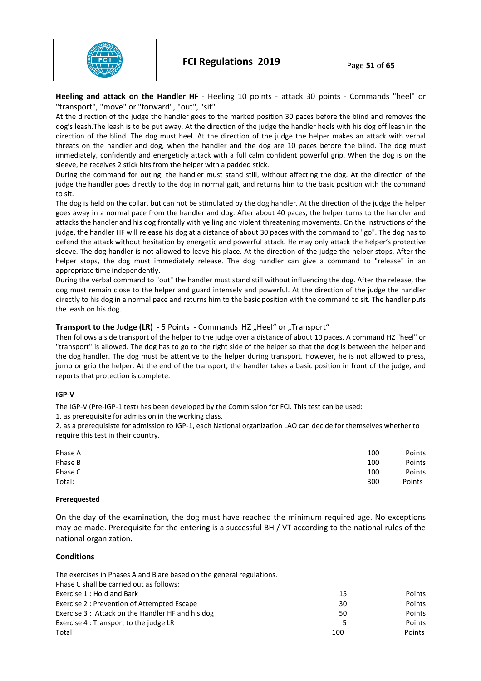

**Heeling and attack on the Handler HF** - Heeling 10 points - attack 30 points - Commands "heel" or "transport", "move" or "forward", "out", "sit"

At the direction of the judge the handler goes to the marked position 30 paces before the blind and removes the dog's leash.The leash is to be put away. At the direction of the judge the handler heels with his dog off leash in the direction of the blind. The dog must heel. At the direction of the judge the helper makes an attack with verbal threats on the handler and dog, when the handler and the dog are 10 paces before the blind. The dog must immediately, confidently and energeticly attack with a full calm confident powerful grip. When the dog is on the sleeve, he receives 2 stick hits from the helper with a padded stick.

During the command for outing, the handler must stand still, without affecting the dog. At the direction of the judge the handler goes directly to the dog in normal gait, and returns him to the basic position with the command to sit.

The dog is held on the collar, but can not be stimulated by the dog handler. At the direction of the judge the helper goes away in a normal pace from the handler and dog. After about 40 paces, the helper turns to the handler and attacks the handler and his dog frontally with yelling and violent threatening movements. On the instructions of the judge, the handler HF will release his dog at a distance of about 30 paces with the command to "go". The dog has to defend the attack without hesitation by energetic and powerful attack. He may only attack the helper's protective sleeve. The dog handler is not allowed to leave his place. At the direction of the judge the helper stops. After the helper stops, the dog must immediately release. The dog handler can give a command to "release" in an appropriate time independently.

During the verbal command to "out" the handler must stand still without influencing the dog. After the release, the dog must remain close to the helper and guard intensely and powerful. At the direction of the judge the handler directly to his dog in a normal pace and returns him to the basic position with the command to sit. The handler puts the leash on his dog.

# **Transport to the Judge (LR)** - 5 Points - Commands HZ "Heel" or "Transport"

Then follows a side transport of the helper to the judge over a distance of about 10 paces. A command HZ "heel" or "transport" is allowed. The dog has to go to the right side of the helper so that the dog is between the helper and the dog handler. The dog must be attentive to the helper during transport. However, he is not allowed to press, jump or grip the helper. At the end of the transport, the handler takes a basic position in front of the judge, and reports that protection is complete.

## **IGP-V**

The IGP-V (Pre-IGP-1 test) has been developed by the Commission for FCI. This test can be used:

1. as prerequisite for admission in the working class.

2. as a prerequisiste for admission to IGP-1, each National organization LAO can decide for themselves whether to require this test in their country.

| Phase A | 100 | Points |
|---------|-----|--------|
| Phase B | 100 | Points |
| Phase C | 100 | Points |
| Total:  | 300 | Points |

#### **Prerequested**

On the day of the examination, the dog must have reached the minimum required age. No exceptions may be made. Prerequisite for the entering is a successful BH / VT according to the national rules of the national organization.

## **Conditions**

| The exercises in Phases A and B are based on the general regulations. |     |        |
|-----------------------------------------------------------------------|-----|--------|
| Phase C shall be carried out as follows:                              |     |        |
| Exercise 1 : Hold and Bark                                            | 15  | Points |
| Exercise 2: Prevention of Attempted Escape                            | 30  | Points |
| Exercise 3: Attack on the Handler HF and his dog                      | 50  | Points |
| Exercise 4 : Transport to the judge LR                                | 5   | Points |
| Total                                                                 | 100 | Points |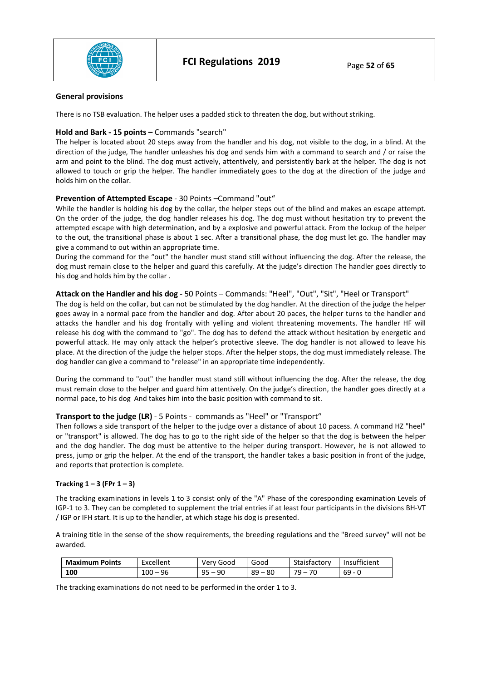

#### **General provisions**

There is no TSB evaluation. The helper uses a padded stick to threaten the dog, but without striking.

## **Hold and Bark - 15 points –** Commands "search"

The helper is located about 20 steps away from the handler and his dog, not visible to the dog, in a blind. At the direction of the judge, The handler unleashes his dog and sends him with a command to search and / or raise the arm and point to the blind. The dog must actively, attentively, and persistently bark at the helper. The dog is not allowed to touch or grip the helper. The handler immediately goes to the dog at the direction of the judge and holds him on the collar.

# **Prevention of Attempted Escape** - 30 Points –Command "out"

While the handler is holding his dog by the collar, the helper steps out of the blind and makes an escape attempt. On the order of the judge, the dog handler releases his dog. The dog must without hesitation try to prevent the attempted escape with high determination, and by a explosive and powerful attack. From the lockup of the helper to the out, the transitional phase is about 1 sec. After a transitional phase, the dog must let go. The handler may give a command to out within an appropriate time.

During the command for the "out" the handler must stand still without influencing the dog. After the release, the dog must remain close to the helper and guard this carefully. At the judge's direction The handler goes directly to his dog and holds him by the collar .

## **Attack on the Handler and his dog** - 50 Points – Commands: "Heel", "Out", "Sit", "Heel or Transport"

The dog is held on the collar, but can not be stimulated by the dog handler. At the direction of the judge the helper goes away in a normal pace from the handler and dog. After about 20 paces, the helper turns to the handler and attacks the handler and his dog frontally with yelling and violent threatening movements. The handler HF will release his dog with the command to "go". The dog has to defend the attack without hesitation by energetic and powerful attack. He may only attack the helper's protective sleeve. The dog handler is not allowed to leave his place. At the direction of the judge the helper stops. After the helper stops, the dog must immediately release. The dog handler can give a command to "release" in an appropriate time independently.

During the command to "out" the handler must stand still without influencing the dog. After the release, the dog must remain close to the helper and guard him attentively. On the judge's direction, the handler goes directly at a normal pace, to his dog And takes him into the basic position with command to sit.

## **Transport to the judge (LR)** - 5 Points - commands as "Heel" or "Transport"

Then follows a side transport of the helper to the judge over a distance of about 10 pacess. A command HZ "heel" or "transport" is allowed. The dog has to go to the right side of the helper so that the dog is between the helper and the dog handler. The dog must be attentive to the helper during transport. However, he is not allowed to press, jump or grip the helper. At the end of the transport, the handler takes a basic position in front of the judge, and reports that protection is complete.

## **Tracking 1 – 3 (FPr 1 – 3)**

The tracking examinations in levels 1 to 3 consist only of the "A" Phase of the coresponding examination Levels of IGP-1 to 3. They can be completed to supplement the trial entries if at least four participants in the divisions BH-VT / IGP or IFH start. It is up to the handler, at which stage his dog is presented.

A training title in the sense of the show requirements, the breeding regulations and the "Breed survey" will not be awarded.

| <b>Maximum Points</b> | Excellent  | Very Good | Good      | Staisfactory | Insufficient |
|-----------------------|------------|-----------|-----------|--------------|--------------|
| 100                   | $100 - 96$ | 95<br>90  | $89 - 80$ | $79-$        | $69 - 0$     |

The tracking examinations do not need to be performed in the order 1 to 3.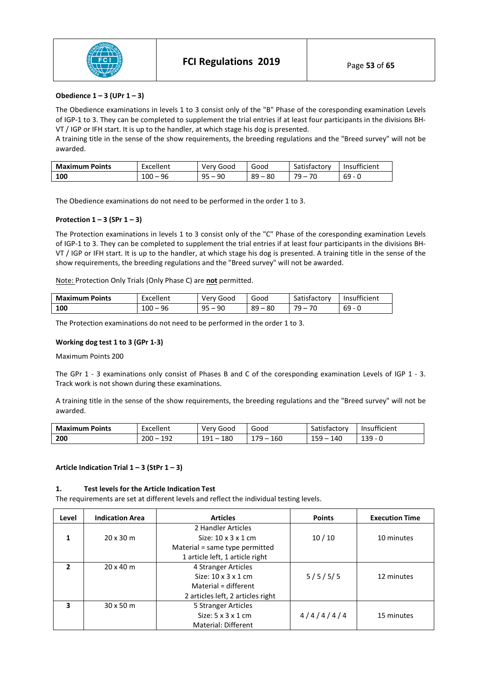

## **Obedience 1 – 3 (UPr 1 – 3)**

The Obedience examinations in levels 1 to 3 consist only of the "B" Phase of the coresponding examination Levels of IGP-1 to 3. They can be completed to supplement the trial entries if at least four participants in the divisions BH-VT / IGP or IFH start. It is up to the handler, at which stage his dog is presented.

A training title in the sense of the show requirements, the breeding regulations and the "Breed survey" will not be awarded.

| <b>Maximum Points</b> | Excellent  | Verv Good    | Good      | Satisfactory | Insufficient |
|-----------------------|------------|--------------|-----------|--------------|--------------|
| 100                   | $100 - 96$ | $95 -$<br>90 | $89 - 80$ | $79-$<br>70  | . - 69       |

The Obedience examinations do not need to be performed in the order 1 to 3.

#### **Protection 1 – 3 (SPr 1 – 3)**

The Protection examinations in levels 1 to 3 consist only of the "C" Phase of the coresponding examination Levels of IGP-1 to 3. They can be completed to supplement the trial entries if at least four participants in the divisions BH-VT / IGP or IFH start. It is up to the handler, at which stage his dog is presented. A training title in the sense of the show requirements, the breeding regulations and the "Breed survey" will not be awarded.

Note: Protection Only Trials (Only Phase C) are **not** permitted.

| <b>Maximum Points</b> | Excellent   | Very Good | Good        | Satisfactory | Insufficient |
|-----------------------|-------------|-----------|-------------|--------------|--------------|
| 100                   | 96<br>100 – | ∩⊏<br>90  | 89<br>$-80$ | 70 –<br>70   | $69 - 0$     |

The Protection examinations do not need to be performed in the order 1 to 3.

#### **Working dog test 1 to 3 (GPr 1-3)**

Maximum Points 200

The GPr 1 - 3 examinations only consist of Phases B and C of the coresponding examination Levels of IGP 1 - 3. Track work is not shown during these examinations.

A training title in the sense of the show requirements, the breeding regulations and the "Breed survey" will not be awarded.

| <b>Maximum</b><br><b>Points</b> | Excellent               | Very Good                              | Good        | satisfactory | $\cdots$<br>Insufficient |
|---------------------------------|-------------------------|----------------------------------------|-------------|--------------|--------------------------|
| 200                             | 10 $\degree$<br>$200 -$ | 180<br>191<br>$\overline{\phantom{0}}$ | מד ו<br>160 | 15G.<br>140  | 139.<br>ᅩココ              |

#### **Article Indication Trial 1 – 3 (StPr 1 – 3)**

#### **1. Test levels for the Article Indication Test**

The requirements are set at different levels and reflect the individual testing levels.

| Level                    | <b>Indication Area</b> | <b>Articles</b>                   | <b>Points</b> | <b>Execution Time</b> |
|--------------------------|------------------------|-----------------------------------|---------------|-----------------------|
|                          |                        | 2 Handler Articles                |               |                       |
| 1                        | $20 \times 30$ m       | Size: $10 \times 3 \times 1$ cm   | 10/10         | 10 minutes            |
|                          |                        | Material = same type permitted    |               |                       |
|                          |                        | 1 article left, 1 article right   |               |                       |
| $\overline{\phantom{a}}$ | $20 \times 40$ m       | 4 Stranger Articles               |               |                       |
|                          |                        | Size: $10 \times 3 \times 1$ cm   | 5/5/5/5       | 12 minutes            |
|                          |                        | Material = different              |               |                       |
|                          |                        | 2 articles left, 2 articles right |               |                       |
| 3                        | $30 \times 50$ m       | 5 Stranger Articles               |               |                       |
|                          |                        | Size: $5 \times 3 \times 1$ cm    | 4/4/4/4/4     | 15 minutes            |
|                          |                        | Material: Different               |               |                       |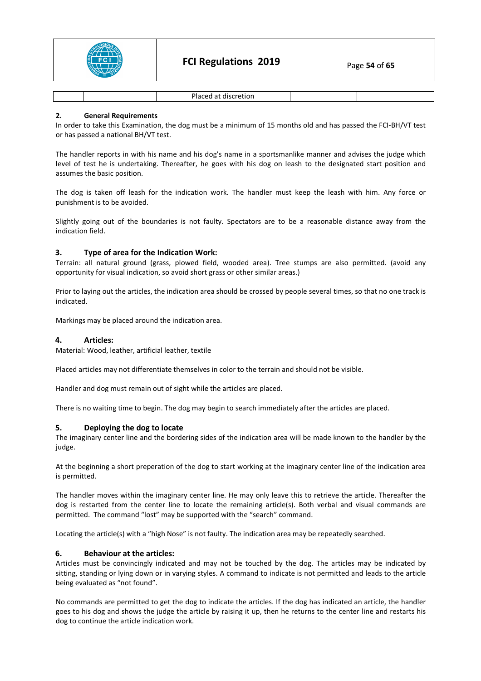

|  |  | $\overline{\phantom{a}}$<br>. |  |  |
|--|--|-------------------------------|--|--|
|--|--|-------------------------------|--|--|

## **2. General Requirements**

In order to take this Examination, the dog must be a minimum of 15 months old and has passed the FCI-BH/VT test or has passed a national BH/VT test.

The handler reports in with his name and his dog's name in a sportsmanlike manner and advises the judge which level of test he is undertaking. Thereafter, he goes with his dog on leash to the designated start position and assumes the basic position.

The dog is taken off leash for the indication work. The handler must keep the leash with him. Any force or punishment is to be avoided.

Slightly going out of the boundaries is not faulty. Spectators are to be a reasonable distance away from the indication field.

## **3. Type of area for the Indication Work:**

Terrain: all natural ground (grass, plowed field, wooded area). Tree stumps are also permitted. (avoid any opportunity for visual indication, so avoid short grass or other similar areas.)

Prior to laying out the articles, the indication area should be crossed by people several times, so that no one track is indicated.

Markings may be placed around the indication area.

#### **4. Articles:**

Material: Wood, leather, artificial leather, textile

Placed articles may not differentiate themselves in color to the terrain and should not be visible.

Handler and dog must remain out of sight while the articles are placed.

There is no waiting time to begin. The dog may begin to search immediately after the articles are placed.

## **5. Deploying the dog to locate**

The imaginary center line and the bordering sides of the indication area will be made known to the handler by the judge.

At the beginning a short preperation of the dog to start working at the imaginary center line of the indication area is permitted.

The handler moves within the imaginary center line. He may only leave this to retrieve the article. Thereafter the dog is restarted from the center line to locate the remaining article(s). Both verbal and visual commands are permitted. The command "lost" may be supported with the "search" command.

Locating the article(s) with a "high Nose" is not faulty. The indication area may be repeatedly searched.

## **6. Behaviour at the articles:**

Articles must be convincingly indicated and may not be touched by the dog. The articles may be indicated by sitting, standing or lying down or in varying styles. A command to indicate is not permitted and leads to the article being evaluated as "not found".

No commands are permitted to get the dog to indicate the articles. If the dog has indicated an article, the handler goes to his dog and shows the judge the article by raising it up, then he returns to the center line and restarts his dog to continue the article indication work.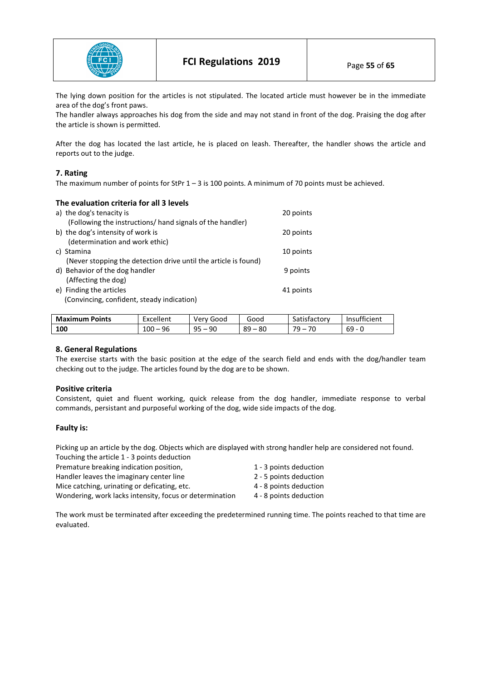

The lying down position for the articles is not stipulated. The located article must however be in the immediate area of the dog's front paws.

The handler always approaches his dog from the side and may not stand in front of the dog. Praising the dog after the article is shown is permitted.

After the dog has located the last article, he is placed on leash. Thereafter, the handler shows the article and reports out to the judge.

## **7. Rating**

The maximum number of points for StPr 1 – 3 is 100 points. A minimum of 70 points must be achieved.

| The evaluation criteria for all 3 levels                        |           |
|-----------------------------------------------------------------|-----------|
| a) the dog's tenacity is                                        | 20 points |
| (Following the instructions/ hand signals of the handler)       |           |
| b) the dog's intensity of work is                               | 20 points |
| (determination and work ethic)                                  |           |
| c) Stamina                                                      | 10 points |
| (Never stopping the detection drive until the article is found) |           |
| d) Behavior of the dog handler                                  | 9 points  |
| (Affecting the dog)                                             |           |
| e) Finding the articles                                         | 41 points |
| (Convincing, confident, steady indication)                      |           |

| <b>Maximum Points</b> | Excellent | Very Good          | Good        | Satisfactory | Insufficient |
|-----------------------|-----------|--------------------|-------------|--------------|--------------|
| 100                   | 96<br>100 | 90<br>۵Ę<br>$\sim$ | 89<br>$-80$ | 70<br>70.    | 69<br>- 0    |

## **8. General Regulations**

The exercise starts with the basic position at the edge of the search field and ends with the dog/handler team checking out to the judge. The articles found by the dog are to be shown.

## **Positive criteria**

Consistent, quiet and fluent working, quick release from the dog handler, immediate response to verbal commands, persistant and purposeful working of the dog, wide side impacts of the dog.

## **Faulty is:**

Picking up an article by the dog. Objects which are displayed with strong handler help are considered not found.  $T_{\rm{max}}$  the article 1 - 3 points deduction  $T_{\rm{max}}$ 

| 1 - 3 points deduction |
|------------------------|
| 2 - 5 points deduction |
| 4 - 8 points deduction |
| 4 - 8 points deduction |
|                        |

The work must be terminated after exceeding the predetermined running time. The points reached to that time are evaluated.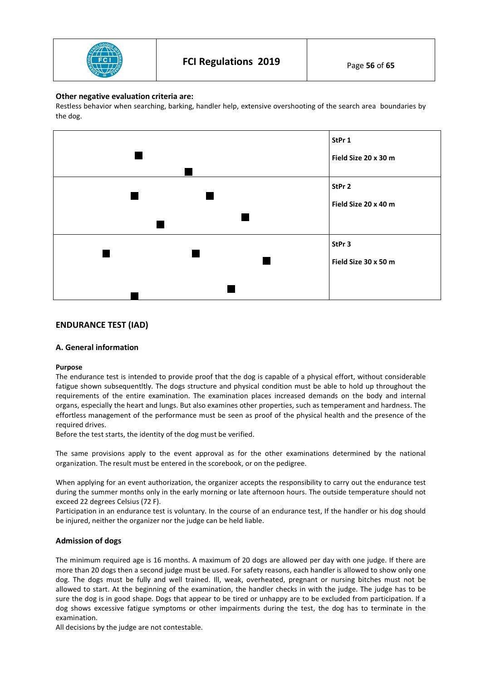

## **Other negative evaluation criteria are:**

Restless behavior when searching, barking, handler help, extensive overshooting of the search area boundaries by the dog.



# **ENDURANCE TEST (IAD)**

## **A. General information**

## **Purpose**

The endurance test is intended to provide proof that the dog is capable of a physical effort, without considerable fatigue shown subsequentltly. The dogs structure and physical condition must be able to hold up throughout the requirements of the entire examination. The examination places increased demands on the body and internal organs, especially the heart and lungs. But also examines other properties, such as temperament and hardness. The effortless management of the performance must be seen as proof of the physical health and the presence of the required drives.

Before the test starts, the identity of the dog must be verified.

The same provisions apply to the event approval as for the other examinations determined by the national organization. The result must be entered in the scorebook, or on the pedigree.

When applying for an event authorization, the organizer accepts the responsibility to carry out the endurance test during the summer months only in the early morning or late afternoon hours. The outside temperature should not exceed 22 degrees Celsius (72 F).

Participation in an endurance test is voluntary. In the course of an endurance test, If the handler or his dog should be injured, neither the organizer nor the judge can be held liable.

## **Admission of dogs**

The minimum required age is 16 months. A maximum of 20 dogs are allowed per day with one judge. If there are more than 20 dogs then a second judge must be used. For safety reasons, each handler is allowed to show only one dog. The dogs must be fully and well trained. Ill, weak, overheated, pregnant or nursing bitches must not be allowed to start. At the beginning of the examination, the handler checks in with the judge. The judge has to be sure the dog is in good shape. Dogs that appear to be tired or unhappy are to be excluded from participation. If a dog shows excessive fatigue symptoms or other impairments during the test, the dog has to terminate in the examination.

All decisions by the judge are not contestable.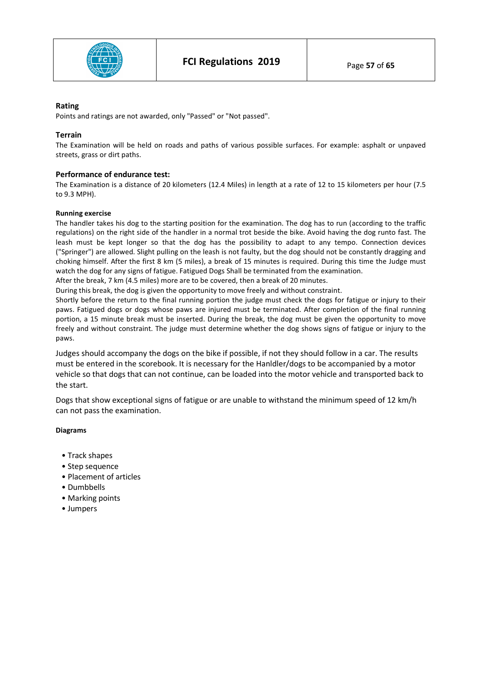

## **Rating**

Points and ratings are not awarded, only "Passed" or "Not passed".

# **Terrain**

The Examination will be held on roads and paths of various possible surfaces. For example: asphalt or unpaved streets, grass or dirt paths.

# **Performance of endurance test:**

The Examination is a distance of 20 kilometers (12.4 Miles) in length at a rate of 12 to 15 kilometers per hour (7.5 to 9.3 MPH).

## **Running exercise**

The handler takes his dog to the starting position for the examination. The dog has to run (according to the traffic regulations) on the right side of the handler in a normal trot beside the bike. Avoid having the dog runto fast. The leash must be kept longer so that the dog has the possibility to adapt to any tempo. Connection devices ("Springer") are allowed. Slight pulling on the leash is not faulty, but the dog should not be constantly dragging and choking himself. After the first 8 km (5 miles), a break of 15 minutes is required. During this time the Judge must watch the dog for any signs of fatigue. Fatigued Dogs Shall be terminated from the examination.

After the break, 7 km (4.5 miles) more are to be covered, then a break of 20 minutes. During this break, the dog is given the opportunity to move freely and without constraint.

Shortly before the return to the final running portion the judge must check the dogs for fatigue or injury to their paws. Fatigued dogs or dogs whose paws are injured must be terminated. After completion of the final running portion, a 15 minute break must be inserted. During the break, the dog must be given the opportunity to move freely and without constraint. The judge must determine whether the dog shows signs of fatigue or injury to the paws.

Judges should accompany the dogs on the bike if possible, if not they should follow in a car. The results must be entered in the scorebook. It is necessary for the Hanldler/dogs to be accompanied by a motor vehicle so that dogs that can not continue, can be loaded into the motor vehicle and transported back to the start.

Dogs that show exceptional signs of fatigue or are unable to withstand the minimum speed of 12 km/h can not pass the examination.

## **Diagrams**

- Track shapes
- Step sequence
- Placement of articles
- Dumbbells
- Marking points
- Jumpers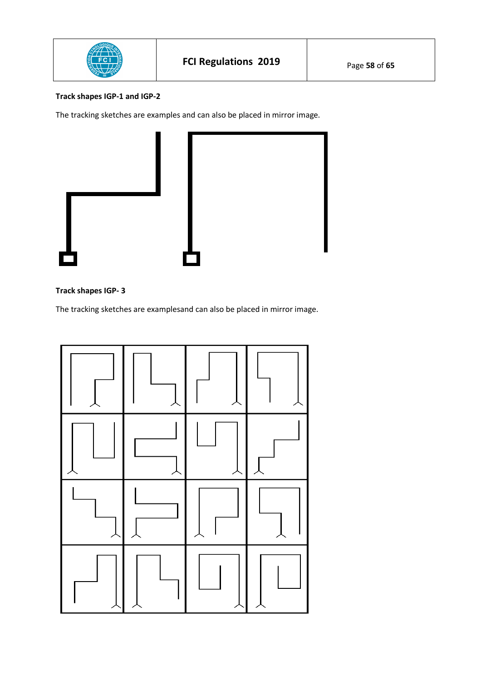

# **Track shapes IGP-1 and IGP-2**

The tracking sketches are examples and can also be placed in mirror image.



# **Track shapes IGP- 3**

The tracking sketches are examplesand can also be placed in mirror image.

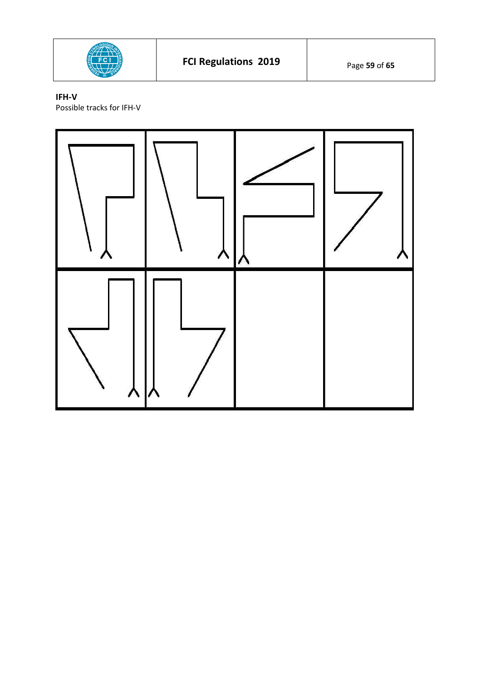

# **IFH-V**

Possible tracks for IFH-V

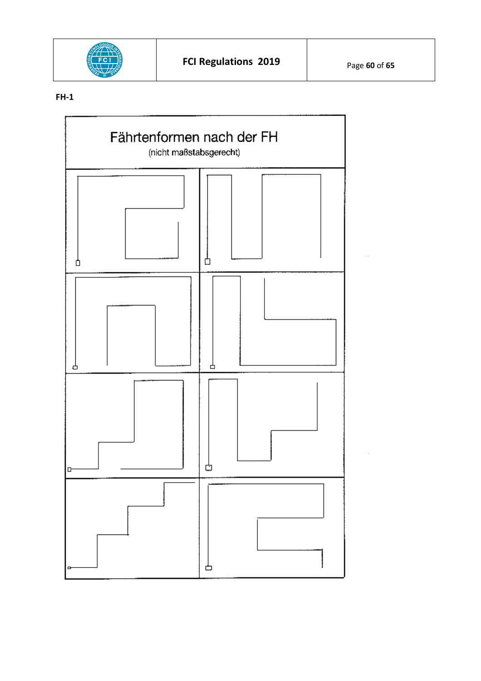![](_page_59_Picture_0.jpeg)

# **FH-1**

![](_page_59_Figure_4.jpeg)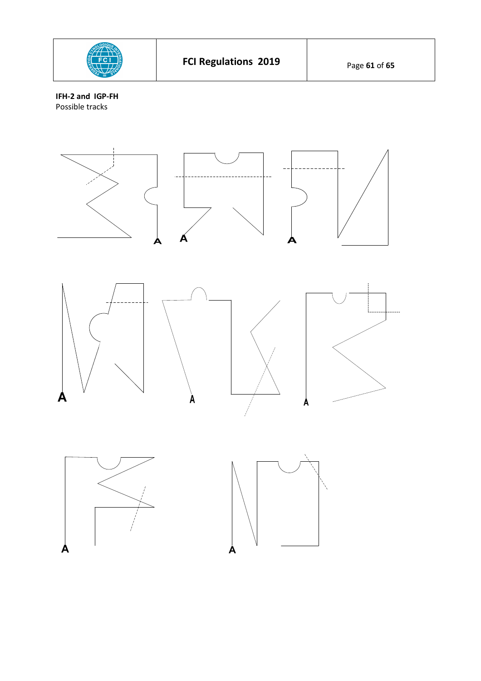![](_page_60_Picture_0.jpeg)

**IFH-2 and IGP-FH**  Possible tracks

![](_page_60_Figure_2.jpeg)

![](_page_60_Figure_3.jpeg)

![](_page_60_Picture_4.jpeg)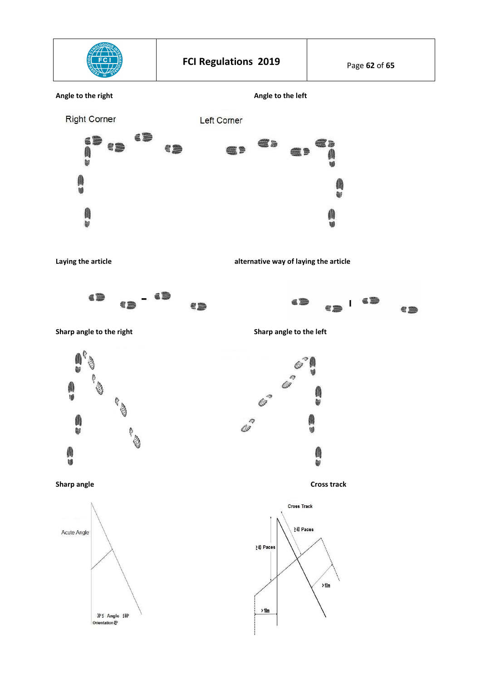![](_page_61_Figure_0.jpeg)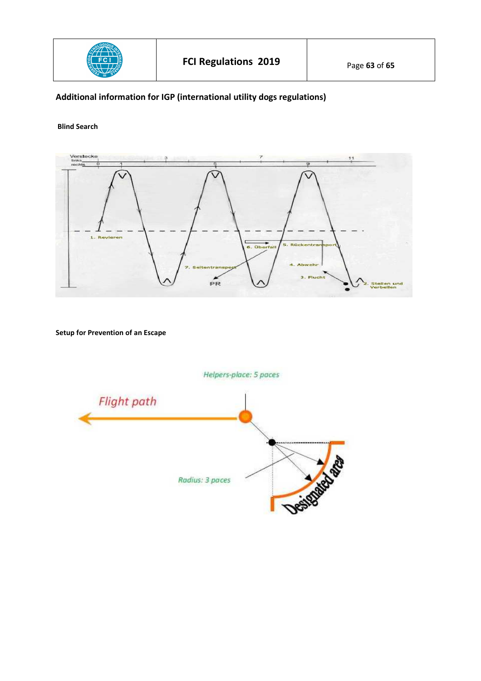![](_page_62_Picture_0.jpeg)

# **Additional information for IGP (international utility dogs regulations)**

## **Blind Search**

![](_page_62_Figure_5.jpeg)

**Setup for Prevention of an Escape** 

![](_page_62_Figure_7.jpeg)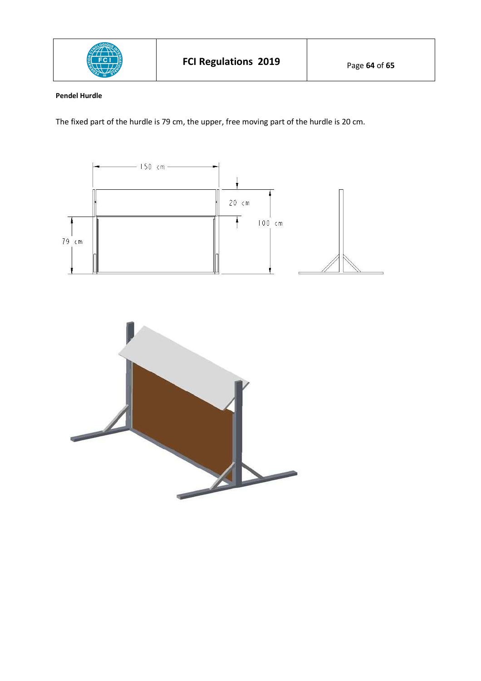![](_page_63_Picture_0.jpeg)

# **Pendel Hurdle**

The fixed part of the hurdle is 79 cm, the upper, free moving part of the hurdle is 20 cm.

![](_page_63_Figure_3.jpeg)

![](_page_63_Picture_4.jpeg)